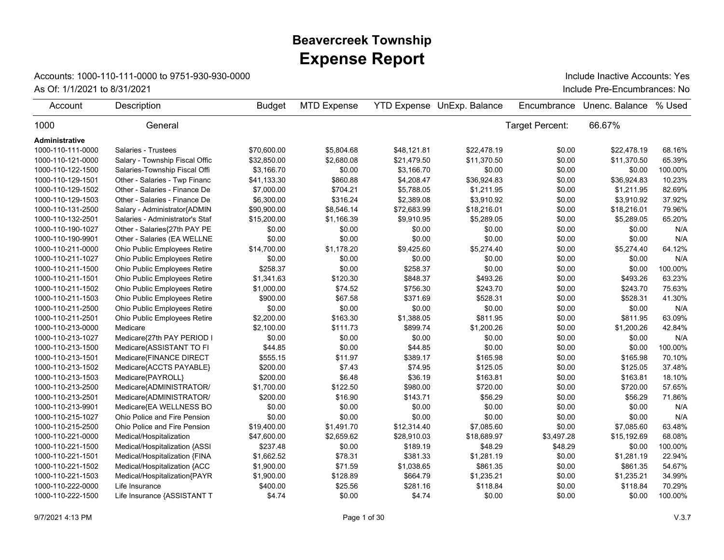## **Expense Report Beavercreek Township**

## Accounts: 1000-110-111-0000 to 9751-930-930-0000

As Of: 1/1/2021 to 8/31/2021 **Include Pre-Encumbrances: No** Include Inactive Accounts: Yes

| Account               | Description                     | <b>Budget</b> | <b>MTD Expense</b> |             | <b>YTD Expense UnExp. Balance</b> | Encumbrance     | Unenc. Balance | % Used  |
|-----------------------|---------------------------------|---------------|--------------------|-------------|-----------------------------------|-----------------|----------------|---------|
| 1000                  | General                         |               |                    |             |                                   | Target Percent: | 66.67%         |         |
| <b>Administrative</b> |                                 |               |                    |             |                                   |                 |                |         |
| 1000-110-111-0000     | Salaries - Trustees             | \$70,600.00   | \$5,804.68         | \$48,121.81 | \$22.478.19                       | \$0.00          | \$22.478.19    | 68.16%  |
| 1000-110-121-0000     | Salary - Township Fiscal Offic  | \$32,850.00   | \$2,680.08         | \$21,479.50 | \$11,370.50                       | \$0.00          | \$11,370.50    | 65.39%  |
| 1000-110-122-1500     | Salaries-Township Fiscal Offi   | \$3,166.70    | \$0.00             | \$3,166.70  | \$0.00                            | \$0.00          | \$0.00         | 100.00% |
| 1000-110-129-1501     | Other - Salaries - Twp Financ   | \$41,133.30   | \$860.88           | \$4,208.47  | \$36,924.83                       | \$0.00          | \$36,924.83    | 10.23%  |
| 1000-110-129-1502     | Other - Salaries - Finance De   | \$7,000.00    | \$704.21           | \$5,788.05  | \$1,211.95                        | \$0.00          | \$1,211.95     | 82.69%  |
| 1000-110-129-1503     | Other - Salaries - Finance De   | \$6,300.00    | \$316.24           | \$2,389.08  | \$3,910.92                        | \$0.00          | \$3,910.92     | 37.92%  |
| 1000-110-131-2500     | Salary - Administrator{ADMIN    | \$90,900.00   | \$8,546.14         | \$72,683.99 | \$18,216.01                       | \$0.00          | \$18,216.01    | 79.96%  |
| 1000-110-132-2501     | Salaries - Administrator's Staf | \$15,200.00   | \$1,166.39         | \$9,910.95  | \$5,289.05                        | \$0.00          | \$5,289.05     | 65.20%  |
| 1000-110-190-1027     | Other - Salaries{27th PAY PE    | \$0.00        | \$0.00             | \$0.00      | \$0.00                            | \$0.00          | \$0.00         | N/A     |
| 1000-110-190-9901     | Other - Salaries (EA WELLNE     | \$0.00        | \$0.00             | \$0.00      | \$0.00                            | \$0.00          | \$0.00         | N/A     |
| 1000-110-211-0000     | Ohio Public Employees Retire    | \$14,700.00   | \$1,178.20         | \$9,425.60  | \$5,274.40                        | \$0.00          | \$5,274.40     | 64.12%  |
| 1000-110-211-1027     | Ohio Public Employees Retire    | \$0.00        | \$0.00             | \$0.00      | \$0.00                            | \$0.00          | \$0.00         | N/A     |
| 1000-110-211-1500     | Ohio Public Employees Retire    | \$258.37      | \$0.00             | \$258.37    | \$0.00                            | \$0.00          | \$0.00         | 100.00% |
| 1000-110-211-1501     | Ohio Public Employees Retire    | \$1,341.63    | \$120.30           | \$848.37    | \$493.26                          | \$0.00          | \$493.26       | 63.23%  |
| 1000-110-211-1502     | Ohio Public Employees Retire    | \$1,000.00    | \$74.52            | \$756.30    | \$243.70                          | \$0.00          | \$243.70       | 75.63%  |
| 1000-110-211-1503     | Ohio Public Employees Retire    | \$900.00      | \$67.58            | \$371.69    | \$528.31                          | \$0.00          | \$528.31       | 41.30%  |
| 1000-110-211-2500     | Ohio Public Employees Retire    | \$0.00        | \$0.00             | \$0.00      | \$0.00                            | \$0.00          | \$0.00         | N/A     |
| 1000-110-211-2501     | Ohio Public Employees Retire    | \$2,200.00    | \$163.30           | \$1,388.05  | \$811.95                          | \$0.00          | \$811.95       | 63.09%  |
| 1000-110-213-0000     | Medicare                        | \$2,100.00    | \$111.73           | \$899.74    | \$1,200.26                        | \$0.00          | \$1,200.26     | 42.84%  |
| 1000-110-213-1027     | Medicare{27th PAY PERIOD I      | \$0.00        | \$0.00             | \$0.00      | \$0.00                            | \$0.00          | \$0.00         | N/A     |
| 1000-110-213-1500     | Medicare{ASSISTANT TO FI        | \$44.85       | \$0.00             | \$44.85     | \$0.00                            | \$0.00          | \$0.00         | 100.00% |
| 1000-110-213-1501     | Medicare{FINANCE DIRECT         | \$555.15      | \$11.97            | \$389.17    | \$165.98                          | \$0.00          | \$165.98       | 70.10%  |
| 1000-110-213-1502     | Medicare{ACCTS PAYABLE}         | \$200.00      | \$7.43             | \$74.95     | \$125.05                          | \$0.00          | \$125.05       | 37.48%  |
| 1000-110-213-1503     | Medicare{PAYROLL}               | \$200.00      | \$6.48             | \$36.19     | \$163.81                          | \$0.00          | \$163.81       | 18.10%  |
| 1000-110-213-2500     | Medicare{ADMINISTRATOR/         | \$1,700.00    | \$122.50           | \$980.00    | \$720.00                          | \$0.00          | \$720.00       | 57.65%  |
| 1000-110-213-2501     | Medicare{ADMINISTRATOR/         | \$200.00      | \$16.90            | \$143.71    | \$56.29                           | \$0.00          | \$56.29        | 71.86%  |
| 1000-110-213-9901     | Medicare{EA WELLNESS BO         | \$0.00        | \$0.00             | \$0.00      | \$0.00                            | \$0.00          | \$0.00         | N/A     |
| 1000-110-215-1027     | Ohio Police and Fire Pension    | \$0.00        | \$0.00             | \$0.00      | \$0.00                            | \$0.00          | \$0.00         | N/A     |
| 1000-110-215-2500     | Ohio Police and Fire Pension    | \$19,400.00   | \$1,491.70         | \$12,314.40 | \$7,085.60                        | \$0.00          | \$7,085.60     | 63.48%  |
| 1000-110-221-0000     | Medical/Hospitalization         | \$47,600.00   | \$2,659.62         | \$28,910.03 | \$18,689.97                       | \$3,497.28      | \$15,192.69    | 68.08%  |
| 1000-110-221-1500     | Medical/Hospitalization {ASSI   | \$237.48      | \$0.00             | \$189.19    | \$48.29                           | \$48.29         | \$0.00         | 100.00% |
| 1000-110-221-1501     | Medical/Hospitalization {FINA   | \$1,662.52    | \$78.31            | \$381.33    | \$1,281.19                        | \$0.00          | \$1,281.19     | 22.94%  |
| 1000-110-221-1502     | Medical/Hospitalization {ACC    | \$1,900.00    | \$71.59            | \$1,038.65  | \$861.35                          | \$0.00          | \$861.35       | 54.67%  |
| 1000-110-221-1503     | Medical/Hospitalization{PAYR    | \$1,900.00    | \$128.89           | \$664.79    | \$1,235.21                        | \$0.00          | \$1,235.21     | 34.99%  |
| 1000-110-222-0000     | Life Insurance                  | \$400.00      | \$25.56            | \$281.16    | \$118.84                          | \$0.00          | \$118.84       | 70.29%  |
| 1000-110-222-1500     | Life Insurance {ASSISTANT T     | \$4.74        | \$0.00             | \$4.74      | \$0.00                            | \$0.00          | \$0.00         | 100.00% |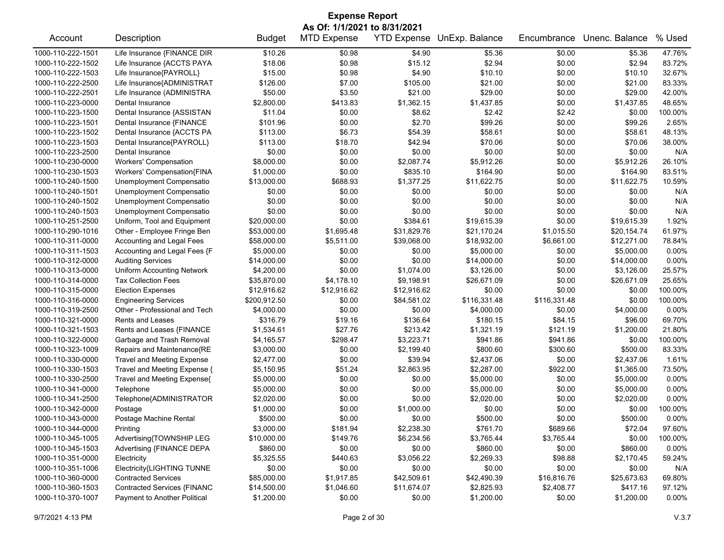| <b>Expense Report</b>        |                                   |               |                    |             |                            |              |                |          |  |
|------------------------------|-----------------------------------|---------------|--------------------|-------------|----------------------------|--------------|----------------|----------|--|
| As Of: 1/1/2021 to 8/31/2021 |                                   |               |                    |             |                            |              |                |          |  |
| Account                      | Description                       | <b>Budget</b> | <b>MTD Expense</b> |             | YTD Expense UnExp. Balance | Encumbrance  | Unenc. Balance | % Used   |  |
| 1000-110-222-1501            | Life Insurance {FINANCE DIR       | \$10.26       | \$0.98             | \$4.90      | \$5.36                     | \$0.00       | \$5.36         | 47.76%   |  |
| 1000-110-222-1502            | Life Insurance {ACCTS PAYA        | \$18.06       | \$0.98             | \$15.12     | \$2.94                     | \$0.00       | \$2.94         | 83.72%   |  |
| 1000-110-222-1503            | Life Insurance{PAYROLL}           | \$15.00       | \$0.98             | \$4.90      | \$10.10                    | \$0.00       | \$10.10        | 32.67%   |  |
| 1000-110-222-2500            | Life Insurance{ADMINISTRAT        | \$126.00      | \$7.00             | \$105.00    | \$21.00                    | \$0.00       | \$21.00        | 83.33%   |  |
| 1000-110-222-2501            | Life Insurance (ADMINISTRA        | \$50.00       | \$3.50             | \$21.00     | \$29.00                    | \$0.00       | \$29.00        | 42.00%   |  |
| 1000-110-223-0000            | Dental Insurance                  | \$2,800.00    | \$413.83           | \$1,362.15  | \$1,437.85                 | \$0.00       | \$1,437.85     | 48.65%   |  |
| 1000-110-223-1500            | Dental Insurance {ASSISTAN        | \$11.04       | \$0.00             | \$8.62      | \$2.42                     | \$2.42       | \$0.00         | 100.00%  |  |
| 1000-110-223-1501            | Dental Insurance {FINANCE         | \$101.96      | \$0.00             | \$2.70      | \$99.26                    | \$0.00       | \$99.26        | 2.65%    |  |
| 1000-110-223-1502            | Dental Insurance {ACCTS PA        | \$113.00      | \$6.73             | \$54.39     | \$58.61                    | \$0.00       | \$58.61        | 48.13%   |  |
| 1000-110-223-1503            | Dental Insurance{PAYROLL}         | \$113.00      | \$18.70            | \$42.94     | \$70.06                    | \$0.00       | \$70.06        | 38.00%   |  |
| 1000-110-223-2500            | Dental Insurance                  | \$0.00        | \$0.00             | \$0.00      | \$0.00                     | \$0.00       | \$0.00         | N/A      |  |
| 1000-110-230-0000            | <b>Workers' Compensation</b>      | \$8,000.00    | \$0.00             | \$2,087.74  | \$5,912.26                 | \$0.00       | \$5,912.26     | 26.10%   |  |
| 1000-110-230-1503            | Workers' Compensation{FINA        | \$1,000.00    | \$0.00             | \$835.10    | \$164.90                   | \$0.00       | \$164.90       | 83.51%   |  |
| 1000-110-240-1500            | Unemployment Compensatio          | \$13,000.00   | \$688.93           | \$1,377.25  | \$11,622.75                | \$0.00       | \$11,622.75    | 10.59%   |  |
| 1000-110-240-1501            | Unemployment Compensatio          | \$0.00        | \$0.00             | \$0.00      | \$0.00                     | \$0.00       | \$0.00         | N/A      |  |
| 1000-110-240-1502            | Unemployment Compensatio          | \$0.00        | \$0.00             | \$0.00      | \$0.00                     | \$0.00       | \$0.00         | N/A      |  |
| 1000-110-240-1503            | Unemployment Compensatio          | \$0.00        | \$0.00             | \$0.00      | \$0.00                     | \$0.00       | \$0.00         | N/A      |  |
| 1000-110-251-2500            | Uniform, Tool and Equipment       | \$20,000.00   | \$0.00             | \$384.61    | \$19,615.39                | \$0.00       | \$19,615.39    | 1.92%    |  |
| 1000-110-290-1016            | Other - Employee Fringe Ben       | \$53,000.00   | \$1,695.48         | \$31,829.76 | \$21,170.24                | \$1,015.50   | \$20,154.74    | 61.97%   |  |
| 1000-110-311-0000            | Accounting and Legal Fees         | \$58,000.00   | \$5,511.00         | \$39,068.00 | \$18,932.00                | \$6,661.00   | \$12,271.00    | 78.84%   |  |
| 1000-110-311-1503            | Accounting and Legal Fees {F      | \$5,000.00    | \$0.00             | \$0.00      | \$5,000.00                 | \$0.00       | \$5,000.00     | 0.00%    |  |
| 1000-110-312-0000            | <b>Auditing Services</b>          | \$14,000.00   | \$0.00             | \$0.00      | \$14,000.00                | \$0.00       | \$14,000.00    | 0.00%    |  |
| 1000-110-313-0000            | <b>Uniform Accounting Network</b> | \$4,200.00    | \$0.00             | \$1,074.00  | \$3,126.00                 | \$0.00       | \$3,126.00     | 25.57%   |  |
| 1000-110-314-0000            | <b>Tax Collection Fees</b>        | \$35,870.00   | \$4,178.10         | \$9,198.91  | \$26,671.09                | \$0.00       | \$26,671.09    | 25.65%   |  |
| 1000-110-315-0000            | <b>Election Expenses</b>          | \$12,916.62   | \$12,916.62        | \$12,916.62 | \$0.00                     | \$0.00       | \$0.00         | 100.00%  |  |
| 1000-110-316-0000            | <b>Engineering Services</b>       | \$200,912.50  | \$0.00             | \$84,581.02 | \$116,331.48               | \$116,331.48 | \$0.00         | 100.00%  |  |
| 1000-110-319-2500            | Other - Professional and Tech     | \$4,000.00    | \$0.00             | \$0.00      | \$4,000.00                 | \$0.00       | \$4,000.00     | 0.00%    |  |
| 1000-110-321-0000            | Rents and Leases                  | \$316.79      | \$19.16            | \$136.64    | \$180.15                   | \$84.15      | \$96.00        | 69.70%   |  |
| 1000-110-321-1503            | Rents and Leases {FINANCE         | \$1,534.61    | \$27.76            | \$213.42    | \$1,321.19                 | \$121.19     | \$1,200.00     | 21.80%   |  |
| 1000-110-322-0000            | Garbage and Trash Removal         | \$4,165.57    | \$298.47           | \$3,223.71  | \$941.86                   | \$941.86     | \$0.00         | 100.00%  |  |
| 1000-110-323-1009            | Repairs and Maintenance{RE        | \$3,000.00    | \$0.00             | \$2,199.40  | \$800.60                   | \$300.60     | \$500.00       | 83.33%   |  |
| 1000-110-330-0000            | <b>Travel and Meeting Expense</b> | \$2,477.00    | \$0.00             | \$39.94     | \$2,437.06                 | \$0.00       | \$2,437.06     | 1.61%    |  |
| 1000-110-330-1503            | Travel and Meeting Expense {      | \$5,150.95    | \$51.24            | \$2,863.95  | \$2,287.00                 | \$922.00     | \$1,365.00     | 73.50%   |  |
| 1000-110-330-2500            | Travel and Meeting Expense{       | \$5,000.00    | \$0.00             | \$0.00      | \$5,000.00                 | \$0.00       | \$5,000.00     | 0.00%    |  |
| 1000-110-341-0000            | Telephone                         | \$5,000.00    | \$0.00             | \$0.00      | \$5,000.00                 | \$0.00       | \$5,000.00     | 0.00%    |  |
| 1000-110-341-2500            | Telephone{ADMINISTRATOR           | \$2,020.00    | \$0.00             | \$0.00      | \$2,020.00                 | \$0.00       | \$2,020.00     | 0.00%    |  |
| 1000-110-342-0000            | Postage                           | \$1,000.00    | \$0.00             | \$1,000.00  | \$0.00                     | \$0.00       | \$0.00         | 100.00%  |  |
| 1000-110-343-0000            | Postage Machine Rental            | \$500.00      | \$0.00             | \$0.00      | \$500.00                   | \$0.00       | \$500.00       | 0.00%    |  |
| 1000-110-344-0000            | Printing                          | \$3,000.00    | \$181.94           | \$2,238.30  | \$761.70                   | \$689.66     | \$72.04        | 97.60%   |  |
| 1000-110-345-1005            | Advertising{TOWNSHIP LEG          | \$10,000.00   | \$149.76           | \$6,234.56  | \$3,765.44                 | \$3,765.44   | \$0.00         | 100.00%  |  |
| 1000-110-345-1503            | Advertising {FINANCE DEPA         | \$860.00      | \$0.00             | \$0.00      | \$860.00                   | \$0.00       | \$860.00       | 0.00%    |  |
| 1000-110-351-0000            | Electricity                       | \$5,325.55    | \$440.63           | \$3,056.22  | \$2,269.33                 | \$98.88      | \$2,170.45     | 59.24%   |  |
| 1000-110-351-1006            | Electricity{LIGHTING TUNNE        | \$0.00        | \$0.00             | \$0.00      | \$0.00                     | \$0.00       | \$0.00         | N/A      |  |
| 1000-110-360-0000            | <b>Contracted Services</b>        | \$85,000.00   | \$1,917.85         | \$42,509.61 | \$42,490.39                | \$16,816.76  | \$25,673.63    | 69.80%   |  |
| 1000-110-360-1503            | Contracted Services {FINANC       | \$14,500.00   | \$1,046.60         | \$11,674.07 | \$2,825.93                 | \$2,408.77   | \$417.16       | 97.12%   |  |
| 1000-110-370-1007            | Payment to Another Political      | \$1,200.00    | \$0.00             | \$0.00      | \$1,200.00                 | \$0.00       | \$1,200.00     | $0.00\%$ |  |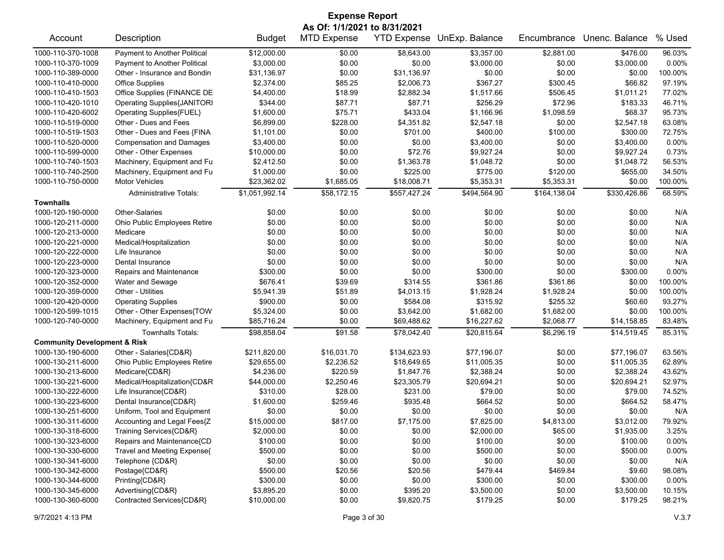| <b>Expense Report</b>                   |                                    |                |                    |              |                            |              |                |         |  |
|-----------------------------------------|------------------------------------|----------------|--------------------|--------------|----------------------------|--------------|----------------|---------|--|
|                                         | As Of: 1/1/2021 to 8/31/2021       |                |                    |              |                            |              |                |         |  |
| Account                                 | Description                        | <b>Budget</b>  | <b>MTD Expense</b> |              | YTD Expense UnExp. Balance | Encumbrance  | Unenc. Balance | % Used  |  |
| 1000-110-370-1008                       | Payment to Another Political       | \$12,000.00    | \$0.00             | \$8,643.00   | \$3,357.00                 | \$2,881.00   | \$476.00       | 96.03%  |  |
| 1000-110-370-1009                       | Payment to Another Political       | \$3,000.00     | \$0.00             | \$0.00       | \$3,000.00                 | \$0.00       | \$3,000.00     | 0.00%   |  |
| 1000-110-389-0000                       | Other - Insurance and Bondin       | \$31,136.97    | \$0.00             | \$31,136.97  | \$0.00                     | \$0.00       | \$0.00         | 100.00% |  |
| 1000-110-410-0000                       | <b>Office Supplies</b>             | \$2,374.00     | \$85.25            | \$2,006.73   | \$367.27                   | \$300.45     | \$66.82        | 97.19%  |  |
| 1000-110-410-1503                       | Office Supplies {FINANCE DE        | \$4,400.00     | \$18.99            | \$2,882.34   | \$1,517.66                 | \$506.45     | \$1,011.21     | 77.02%  |  |
| 1000-110-420-1010                       | <b>Operating Supplies{JANITORI</b> | \$344.00       | \$87.71            | \$87.71      | \$256.29                   | \$72.96      | \$183.33       | 46.71%  |  |
| 1000-110-420-6002                       | Operating Supplies{FUEL}           | \$1,600.00     | \$75.71            | \$433.04     | \$1,166.96                 | \$1,098.59   | \$68.37        | 95.73%  |  |
| 1000-110-519-0000                       | Other - Dues and Fees              | \$6,899.00     | \$228.00           | \$4,351.82   | \$2,547.18                 | \$0.00       | \$2,547.18     | 63.08%  |  |
| 1000-110-519-1503                       | Other - Dues and Fees {FINA        | \$1,101.00     | \$0.00             | \$701.00     | \$400.00                   | \$100.00     | \$300.00       | 72.75%  |  |
| 1000-110-520-0000                       | <b>Compensation and Damages</b>    | \$3,400.00     | \$0.00             | \$0.00       | \$3,400.00                 | \$0.00       | \$3,400.00     | 0.00%   |  |
| 1000-110-599-0000                       | Other - Other Expenses             | \$10,000.00    | \$0.00             | \$72.76      | \$9,927.24                 | \$0.00       | \$9,927.24     | 0.73%   |  |
| 1000-110-740-1503                       | Machinery, Equipment and Fu        | \$2,412.50     | \$0.00             | \$1,363.78   | \$1,048.72                 | \$0.00       | \$1,048.72     | 56.53%  |  |
| 1000-110-740-2500                       | Machinery, Equipment and Fu        | \$1,000.00     | \$0.00             | \$225.00     | \$775.00                   | \$120.00     | \$655.00       | 34.50%  |  |
| 1000-110-750-0000                       | <b>Motor Vehicles</b>              | \$23,362.02    | \$1,685.05         | \$18,008.71  | \$5,353.31                 | \$5,353.31   | \$0.00         | 100.00% |  |
|                                         | <b>Administrative Totals:</b>      | \$1,051,992.14 | \$58,172.15        | \$557,427.24 | \$494,564.90               | \$164,138.04 | \$330,426.86   | 68.59%  |  |
| <b>Townhalls</b>                        |                                    |                |                    |              |                            |              |                |         |  |
| 1000-120-190-0000                       | <b>Other-Salaries</b>              | \$0.00         | \$0.00             | \$0.00       | \$0.00                     | \$0.00       | \$0.00         | N/A     |  |
| 1000-120-211-0000                       | Ohio Public Employees Retire       | \$0.00         | \$0.00             | \$0.00       | \$0.00                     | \$0.00       | \$0.00         | N/A     |  |
| 1000-120-213-0000                       | Medicare                           | \$0.00         | \$0.00             | \$0.00       | \$0.00                     | \$0.00       | \$0.00         | N/A     |  |
| 1000-120-221-0000                       | Medical/Hospitalization            | \$0.00         | \$0.00             | \$0.00       | \$0.00                     | \$0.00       | \$0.00         | N/A     |  |
| 1000-120-222-0000                       | Life Insurance                     | \$0.00         | \$0.00             | \$0.00       | \$0.00                     | \$0.00       | \$0.00         | N/A     |  |
| 1000-120-223-0000                       | Dental Insurance                   | \$0.00         | \$0.00             | \$0.00       | \$0.00                     | \$0.00       | \$0.00         | N/A     |  |
| 1000-120-323-0000                       | Repairs and Maintenance            | \$300.00       | \$0.00             | \$0.00       | \$300.00                   | \$0.00       | \$300.00       | 0.00%   |  |
| 1000-120-352-0000                       | Water and Sewage                   | \$676.41       | \$39.69            | \$314.55     | \$361.86                   | \$361.86     | \$0.00         | 100.00% |  |
| 1000-120-359-0000                       | Other - Utilities                  | \$5,941.39     | \$51.89            | \$4,013.15   | \$1,928.24                 | \$1,928.24   | \$0.00         | 100.00% |  |
| 1000-120-420-0000                       | <b>Operating Supplies</b>          | \$900.00       | \$0.00             | \$584.08     | \$315.92                   | \$255.32     | \$60.60        | 93.27%  |  |
| 1000-120-599-1015                       | Other - Other Expenses{TOW         | \$5,324.00     | \$0.00             | \$3,642.00   | \$1,682.00                 | \$1,682.00   | \$0.00         | 100.00% |  |
| 1000-120-740-0000                       | Machinery, Equipment and Fu        | \$85,716.24    | \$0.00             | \$69,488.62  | \$16,227.62                | \$2,068.77   | \$14,158.85    | 83.48%  |  |
|                                         | <b>Townhalls Totals:</b>           | \$98,858.04    | \$91.58            | \$78,042.40  | \$20,815.64                | \$6,296.19   | \$14,519.45    | 85.31%  |  |
| <b>Community Development &amp; Risk</b> |                                    |                |                    |              |                            |              |                |         |  |
| 1000-130-190-6000                       | Other - Salaries{CD&R}             | \$211,820.00   | \$16,031.70        | \$134,623.93 | \$77,196.07                | \$0.00       | \$77,196.07    | 63.56%  |  |
| 1000-130-211-6000                       | Ohio Public Employees Retire       | \$29,655.00    | \$2,236.52         | \$18,649.65  | \$11,005.35                | \$0.00       | \$11,005.35    | 62.89%  |  |
| 1000-130-213-6000                       | Medicare{CD&R}                     | \$4,236.00     | \$220.59           | \$1,847.76   | \$2,388.24                 | \$0.00       | \$2,388.24     | 43.62%  |  |
| 1000-130-221-6000                       | Medical/Hospitalization{CD&R       | \$44,000.00    | \$2,250.46         | \$23,305.79  | \$20,694.21                | \$0.00       | \$20,694.21    | 52.97%  |  |
| 1000-130-222-6000                       | Life Insurance{CD&R}               | \$310.00       | \$28.00            | \$231.00     | \$79.00                    | \$0.00       | \$79.00        | 74.52%  |  |
| 1000-130-223-6000                       | Dental Insurance{CD&R}             | \$1,600.00     | \$259.46           | \$935.48     | \$664.52                   | \$0.00       | \$664.52       | 58.47%  |  |
| 1000-130-251-6000                       | Uniform, Tool and Equipment        | \$0.00         | \$0.00             | \$0.00       | \$0.00                     | \$0.00       | \$0.00         | N/A     |  |
| 1000-130-311-6000                       | Accounting and Legal Fees{Z        | \$15,000.00    | \$817.00           | \$7,175.00   | \$7,825.00                 | \$4,813.00   | \$3,012.00     | 79.92%  |  |
| 1000-130-318-6000                       | Training Services{CD&R}            | \$2,000.00     | \$0.00             | \$0.00       | \$2,000.00                 | \$65.00      | \$1,935.00     | 3.25%   |  |
| 1000-130-323-6000                       | Repairs and Maintenance{CD         | \$100.00       | \$0.00             | \$0.00       | \$100.00                   | \$0.00       | \$100.00       | 0.00%   |  |
| 1000-130-330-6000                       | Travel and Meeting Expense{        | \$500.00       | \$0.00             | \$0.00       | \$500.00                   | \$0.00       | \$500.00       | 0.00%   |  |
| 1000-130-341-6000                       | Telephone {CD&R}                   | \$0.00         | \$0.00             | \$0.00       | \$0.00                     | \$0.00       | \$0.00         | N/A     |  |
| 1000-130-342-6000                       | Postage{CD&R}                      | \$500.00       | \$20.56            | \$20.56      | \$479.44                   | \$469.84     | \$9.60         | 98.08%  |  |
| 1000-130-344-6000                       | Printing{CD&R}                     | \$300.00       | \$0.00             | \$0.00       | \$300.00                   | \$0.00       | \$300.00       | 0.00%   |  |
| 1000-130-345-6000                       | Advertising{CD&R}                  | \$3,895.20     | \$0.00             | \$395.20     | \$3,500.00                 | \$0.00       | \$3,500.00     | 10.15%  |  |
| 1000-130-360-6000                       | Contracted Services{CD&R}          | \$10,000.00    | \$0.00             | \$9,820.75   | \$179.25                   | \$0.00       | \$179.25       | 98.21%  |  |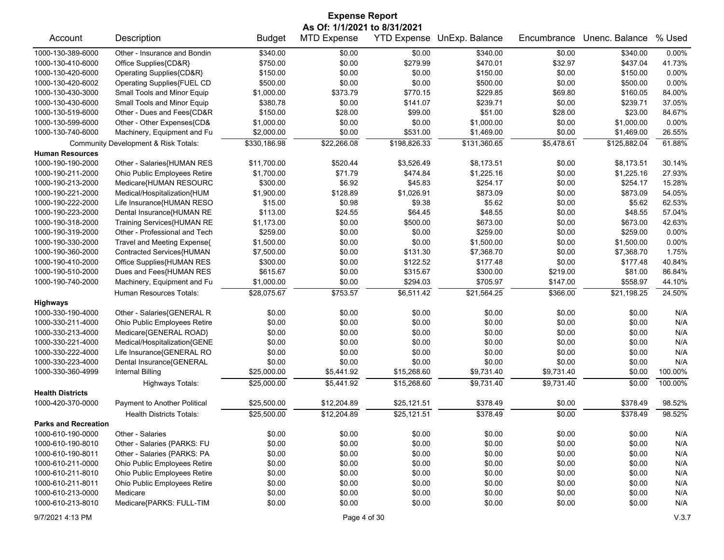| <b>Expense Report</b>       |                                      |               |                              |                    |                |             |                |         |  |
|-----------------------------|--------------------------------------|---------------|------------------------------|--------------------|----------------|-------------|----------------|---------|--|
|                             |                                      |               | As Of: 1/1/2021 to 8/31/2021 |                    |                |             |                |         |  |
| Account                     | Description                          | <b>Budget</b> | <b>MTD Expense</b>           | <b>YTD Expense</b> | UnExp. Balance | Encumbrance | Unenc. Balance | % Used  |  |
| 1000-130-389-6000           | Other - Insurance and Bondin         | \$340.00      | \$0.00                       | \$0.00             | \$340.00       | \$0.00      | \$340.00       | 0.00%   |  |
| 1000-130-410-6000           | Office Supplies{CD&R}                | \$750.00      | \$0.00                       | \$279.99           | \$470.01       | \$32.97     | \$437.04       | 41.73%  |  |
| 1000-130-420-6000           | Operating Supplies{CD&R}             | \$150.00      | \$0.00                       | \$0.00             | \$150.00       | \$0.00      | \$150.00       | 0.00%   |  |
| 1000-130-420-6002           | Operating Supplies{FUEL CD           | \$500.00      | \$0.00                       | \$0.00             | \$500.00       | \$0.00      | \$500.00       | 0.00%   |  |
| 1000-130-430-3000           | Small Tools and Minor Equip          | \$1,000.00    | \$373.79                     | \$770.15           | \$229.85       | \$69.80     | \$160.05       | 84.00%  |  |
| 1000-130-430-6000           | Small Tools and Minor Equip          | \$380.78      | \$0.00                       | \$141.07           | \$239.71       | \$0.00      | \$239.71       | 37.05%  |  |
| 1000-130-519-6000           | Other - Dues and Fees{CD&R           | \$150.00      | \$28.00                      | \$99.00            | \$51.00        | \$28.00     | \$23.00        | 84.67%  |  |
| 1000-130-599-6000           | Other - Other Expenses{CD&           | \$1,000.00    | \$0.00                       | \$0.00             | \$1,000.00     | \$0.00      | \$1,000.00     | 0.00%   |  |
| 1000-130-740-6000           | Machinery, Equipment and Fu          | \$2,000.00    | \$0.00                       | \$531.00           | \$1,469.00     | \$0.00      | \$1,469.00     | 26.55%  |  |
|                             | Community Development & Risk Totals: | \$330,186.98  | \$22,266.08                  | \$198,826.33       | \$131,360.65   | \$5,478.61  | \$125,882.04   | 61.88%  |  |
| <b>Human Resources</b>      |                                      |               |                              |                    |                |             |                |         |  |
| 1000-190-190-2000           | Other - Salaries{HUMAN RES           | \$11,700.00   | \$520.44                     | \$3,526.49         | \$8,173.51     | \$0.00      | \$8,173.51     | 30.14%  |  |
| 1000-190-211-2000           | Ohio Public Employees Retire         | \$1,700.00    | \$71.79                      | \$474.84           | \$1,225.16     | \$0.00      | \$1,225.16     | 27.93%  |  |
| 1000-190-213-2000           | Medicare{HUMAN RESOURC               | \$300.00      | \$6.92                       | \$45.83            | \$254.17       | \$0.00      | \$254.17       | 15.28%  |  |
| 1000-190-221-2000           | Medical/Hospitalization{HUM          | \$1,900.00    | \$128.89                     | \$1,026.91         | \$873.09       | \$0.00      | \$873.09       | 54.05%  |  |
| 1000-190-222-2000           | Life Insurance{HUMAN RESO            | \$15.00       | \$0.98                       | \$9.38             | \$5.62         | \$0.00      | \$5.62         | 62.53%  |  |
| 1000-190-223-2000           | Dental Insurance{HUMAN RE            | \$113.00      | \$24.55                      | \$64.45            | \$48.55        | \$0.00      | \$48.55        | 57.04%  |  |
| 1000-190-318-2000           | Training Services{HUMAN RE           | \$1,173.00    | \$0.00                       | \$500.00           | \$673.00       | \$0.00      | \$673.00       | 42.63%  |  |
| 1000-190-319-2000           | Other - Professional and Tech        | \$259.00      | \$0.00                       | \$0.00             | \$259.00       | \$0.00      | \$259.00       | 0.00%   |  |
| 1000-190-330-2000           | Travel and Meeting Expense{          | \$1,500.00    | \$0.00                       | \$0.00             | \$1,500.00     | \$0.00      | \$1,500.00     | 0.00%   |  |
| 1000-190-360-2000           | Contracted Services{HUMAN            | \$7,500.00    | \$0.00                       | \$131.30           | \$7,368.70     | \$0.00      | \$7,368.70     | 1.75%   |  |
| 1000-190-410-2000           | Office Supplies{HUMAN RES            | \$300.00      | \$0.00                       | \$122.52           | \$177.48       | \$0.00      | \$177.48       | 40.84%  |  |
| 1000-190-510-2000           | Dues and Fees{HUMAN RES              | \$615.67      | \$0.00                       | \$315.67           | \$300.00       | \$219.00    | \$81.00        | 86.84%  |  |
| 1000-190-740-2000           | Machinery, Equipment and Fu          | \$1,000.00    | \$0.00                       | \$294.03           | \$705.97       | \$147.00    | \$558.97       | 44.10%  |  |
|                             | Human Resources Totals:              | \$28,075.67   | \$753.57                     | \$6,511.42         | \$21,564.25    | \$366.00    | \$21,198.25    | 24.50%  |  |
| <b>Highways</b>             |                                      |               |                              |                    |                |             |                |         |  |
| 1000-330-190-4000           | Other - Salaries{GENERAL R           | \$0.00        | \$0.00                       | \$0.00             | \$0.00         | \$0.00      | \$0.00         | N/A     |  |
| 1000-330-211-4000           | Ohio Public Employees Retire         | \$0.00        | \$0.00                       | \$0.00             | \$0.00         | \$0.00      | \$0.00         | N/A     |  |
| 1000-330-213-4000           | Medicare{GENERAL ROAD}               | \$0.00        | \$0.00                       | \$0.00             | \$0.00         | \$0.00      | \$0.00         | N/A     |  |
| 1000-330-221-4000           | Medical/Hospitalization{GENE         | \$0.00        | \$0.00                       | \$0.00             | \$0.00         | \$0.00      | \$0.00         | N/A     |  |
| 1000-330-222-4000           | Life Insurance{GENERAL RO            | \$0.00        | \$0.00                       | \$0.00             | \$0.00         | \$0.00      | \$0.00         | N/A     |  |
| 1000-330-223-4000           | Dental Insurance{GENERAL             | \$0.00        | \$0.00                       | \$0.00             | \$0.00         | \$0.00      | \$0.00         | N/A     |  |
| 1000-330-360-4999           | <b>Internal Billing</b>              | \$25,000.00   | \$5,441.92                   | \$15,268.60        | \$9,731.40     | \$9,731.40  | \$0.00         | 100.00% |  |
|                             | <b>Highways Totals:</b>              | \$25,000.00   | \$5,441.92                   | \$15,268.60        | \$9,731.40     | \$9,731.40  | \$0.00         | 100.00% |  |
| <b>Health Districts</b>     |                                      |               |                              |                    |                |             |                |         |  |
| 1000-420-370-0000           | Payment to Another Political         | \$25,500.00   | \$12,204.89                  | \$25,121.51        | \$378.49       | \$0.00      | \$378.49       | 98.52%  |  |
|                             | <b>Health Districts Totals:</b>      | \$25,500.00   | \$12,204.89                  | \$25,121.51        | \$378.49       | \$0.00      | \$378.49       | 98.52%  |  |
| <b>Parks and Recreation</b> |                                      |               |                              |                    |                |             |                |         |  |
| 1000-610-190-0000           | Other - Salaries                     | \$0.00        | \$0.00                       | \$0.00             | \$0.00         | \$0.00      | \$0.00         | N/A     |  |
| 1000-610-190-8010           | Other - Salaries {PARKS: FU          | \$0.00        | \$0.00                       | \$0.00             | \$0.00         | \$0.00      | \$0.00         | N/A     |  |
| 1000-610-190-8011           | Other - Salaries {PARKS: PA          | \$0.00        | \$0.00                       | \$0.00             | \$0.00         | \$0.00      | \$0.00         | N/A     |  |
| 1000-610-211-0000           | Ohio Public Employees Retire         | \$0.00        | \$0.00                       | \$0.00             | \$0.00         | \$0.00      | \$0.00         | N/A     |  |
| 1000-610-211-8010           | Ohio Public Employees Retire         | \$0.00        | \$0.00                       | \$0.00             | \$0.00         | \$0.00      | \$0.00         | N/A     |  |
| 1000-610-211-8011           | Ohio Public Employees Retire         | \$0.00        | \$0.00                       | \$0.00             | \$0.00         | \$0.00      | \$0.00         | N/A     |  |
| 1000-610-213-0000           | Medicare                             | \$0.00        | \$0.00                       | \$0.00             | \$0.00         | \$0.00      | \$0.00         | N/A     |  |
| 1000-610-213-8010           | Medicare{PARKS: FULL-TIM             | \$0.00        | \$0.00                       | \$0.00             | \$0.00         | \$0.00      | \$0.00         | N/A     |  |
|                             |                                      |               |                              |                    |                |             |                |         |  |

9/7/2021 4:13 PM Page 4 of 30 V.3.7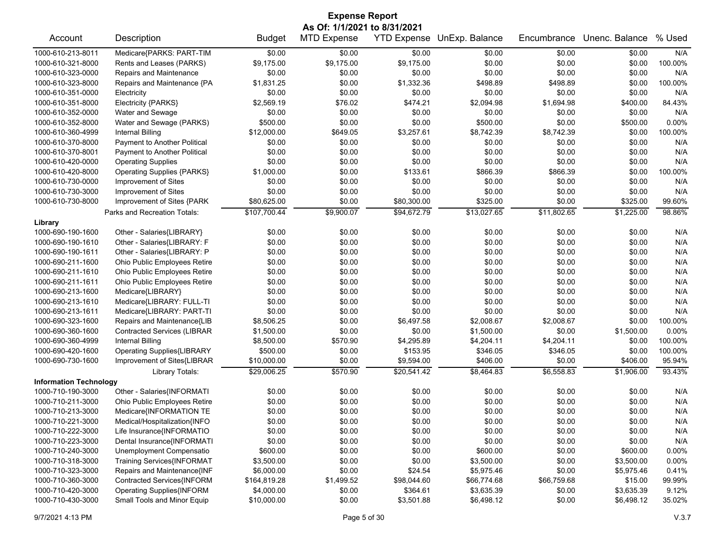| <b>Expense Report</b>         |                                     |               |                                                    |             |                            |             |                |          |  |
|-------------------------------|-------------------------------------|---------------|----------------------------------------------------|-------------|----------------------------|-------------|----------------|----------|--|
| Account                       | Description                         | <b>Budget</b> | As Of: 1/1/2021 to 8/31/2021<br><b>MTD Expense</b> |             | YTD Expense UnExp. Balance | Encumbrance | Unenc. Balance | % Used   |  |
|                               |                                     |               |                                                    |             |                            |             |                |          |  |
| 1000-610-213-8011             | Medicare{PARKS: PART-TIM            | \$0.00        | \$0.00                                             | \$0.00      | \$0.00                     | \$0.00      | \$0.00         | N/A      |  |
| 1000-610-321-8000             | Rents and Leases (PARKS)            | \$9,175.00    | \$9,175.00                                         | \$9,175.00  | \$0.00                     | \$0.00      | \$0.00         | 100.00%  |  |
| 1000-610-323-0000             | Repairs and Maintenance             | \$0.00        | \$0.00                                             | \$0.00      | \$0.00                     | \$0.00      | \$0.00         | N/A      |  |
| 1000-610-323-8000             | Repairs and Maintenance {PA         | \$1,831.25    | \$0.00                                             | \$1,332.36  | \$498.89                   | \$498.89    | \$0.00         | 100.00%  |  |
| 1000-610-351-0000             | Electricity                         | \$0.00        | \$0.00                                             | \$0.00      | \$0.00                     | \$0.00      | \$0.00         | N/A      |  |
| 1000-610-351-8000             | Electricity {PARKS}                 | \$2,569.19    | \$76.02                                            | \$474.21    | \$2,094.98                 | \$1,694.98  | \$400.00       | 84.43%   |  |
| 1000-610-352-0000             | Water and Sewage                    | \$0.00        | \$0.00                                             | \$0.00      | \$0.00                     | \$0.00      | \$0.00         | N/A      |  |
| 1000-610-352-8000             | Water and Sewage (PARKS)            | \$500.00      | \$0.00                                             | \$0.00      | \$500.00                   | \$0.00      | \$500.00       | 0.00%    |  |
| 1000-610-360-4999             | <b>Internal Billing</b>             | \$12,000.00   | \$649.05                                           | \$3,257.61  | \$8,742.39                 | \$8,742.39  | \$0.00         | 100.00%  |  |
| 1000-610-370-8000             | Payment to Another Political        | \$0.00        | \$0.00                                             | \$0.00      | \$0.00                     | \$0.00      | \$0.00         | N/A      |  |
| 1000-610-370-8001             | Payment to Another Political        | \$0.00        | \$0.00                                             | \$0.00      | \$0.00                     | \$0.00      | \$0.00         | N/A      |  |
| 1000-610-420-0000             | <b>Operating Supplies</b>           | \$0.00        | \$0.00                                             | \$0.00      | \$0.00                     | \$0.00      | \$0.00         | N/A      |  |
| 1000-610-420-8000             | <b>Operating Supplies {PARKS}</b>   | \$1,000.00    | \$0.00                                             | \$133.61    | \$866.39                   | \$866.39    | \$0.00         | 100.00%  |  |
| 1000-610-730-0000             | Improvement of Sites                | \$0.00        | \$0.00                                             | \$0.00      | \$0.00                     | \$0.00      | \$0.00         | N/A      |  |
| 1000-610-730-3000             | Improvement of Sites                | \$0.00        | \$0.00                                             | \$0.00      | \$0.00                     | \$0.00      | \$0.00         | N/A      |  |
| 1000-610-730-8000             | Improvement of Sites {PARK          | \$80,625.00   | \$0.00                                             | \$80,300.00 | \$325.00                   | \$0.00      | \$325.00       | 99.60%   |  |
|                               | Parks and Recreation Totals:        | \$107,700.44  | \$9,900.07                                         | \$94,672.79 | \$13,027.65                | \$11,802.65 | \$1,225.00     | 98.86%   |  |
| Library                       |                                     |               |                                                    |             |                            |             |                |          |  |
| 1000-690-190-1600             | Other - Salaries{LIBRARY}           | \$0.00        | \$0.00                                             | \$0.00      | \$0.00                     | \$0.00      | \$0.00         | N/A      |  |
| 1000-690-190-1610             | Other - Salaries{LIBRARY: F         | \$0.00        | \$0.00                                             | \$0.00      | \$0.00                     | \$0.00      | \$0.00         | N/A      |  |
| 1000-690-190-1611             | Other - Salaries{LIBRARY: P         | \$0.00        | \$0.00                                             | \$0.00      | \$0.00                     | \$0.00      | \$0.00         | N/A      |  |
| 1000-690-211-1600             | Ohio Public Employees Retire        | \$0.00        | \$0.00                                             | \$0.00      | \$0.00                     | \$0.00      | \$0.00         | N/A      |  |
| 1000-690-211-1610             | <b>Ohio Public Employees Retire</b> | \$0.00        | \$0.00                                             | \$0.00      | \$0.00                     | \$0.00      | \$0.00         | N/A      |  |
| 1000-690-211-1611             | Ohio Public Employees Retire        | \$0.00        | \$0.00                                             | \$0.00      | \$0.00                     | \$0.00      | \$0.00         | N/A      |  |
| 1000-690-213-1600             | Medicare{LIBRARY}                   | \$0.00        | \$0.00                                             | \$0.00      | \$0.00                     | \$0.00      | \$0.00         | N/A      |  |
| 1000-690-213-1610             | Medicare{LIBRARY: FULL-TI           | \$0.00        | \$0.00                                             | \$0.00      | \$0.00                     | \$0.00      | \$0.00         | N/A      |  |
| 1000-690-213-1611             | Medicare{LIBRARY: PART-TI           | \$0.00        | \$0.00                                             | \$0.00      | \$0.00                     | \$0.00      | \$0.00         | N/A      |  |
| 1000-690-323-1600             | Repairs and Maintenance{LIB         | \$8,506.25    | \$0.00                                             | \$6,497.58  | \$2,008.67                 | \$2,008.67  | \$0.00         | 100.00%  |  |
| 1000-690-360-1600             | <b>Contracted Services (LIBRAR</b>  | \$1,500.00    | \$0.00                                             | \$0.00      | \$1,500.00                 | \$0.00      | \$1,500.00     | 0.00%    |  |
| 1000-690-360-4999             | <b>Internal Billing</b>             | \$8,500.00    | \$570.90                                           | \$4,295.89  | \$4,204.11                 | \$4,204.11  | \$0.00         | 100.00%  |  |
| 1000-690-420-1600             | <b>Operating Supplies{LIBRARY</b>   | \$500.00      | \$0.00                                             | \$153.95    | \$346.05                   | \$346.05    | \$0.00         | 100.00%  |  |
| 1000-690-730-1600             | Improvement of Sites{LIBRAR         | \$10,000.00   | \$0.00                                             | \$9,594.00  | \$406.00                   | \$0.00      | \$406.00       | 95.94%   |  |
|                               | Library Totals:                     | \$29,006.25   | \$570.90                                           | \$20,541.42 | \$8,464.83                 | \$6,558.83  | \$1,906.00     | 93.43%   |  |
| <b>Information Technology</b> |                                     |               |                                                    |             |                            |             |                |          |  |
| 1000-710-190-3000             | Other - Salaries{INFORMATI          | \$0.00        | \$0.00                                             | \$0.00      | \$0.00                     | \$0.00      | \$0.00         | N/A      |  |
| 1000-710-211-3000             | Ohio Public Employees Retire        | \$0.00        | \$0.00                                             | \$0.00      | \$0.00                     | \$0.00      | \$0.00         | N/A      |  |
| 1000-710-213-3000             | Medicare{INFORMATION TE             | \$0.00        | \$0.00                                             | \$0.00      | \$0.00                     | \$0.00      | \$0.00         | N/A      |  |
| 1000-710-221-3000             | Medical/Hospitalization{INFO        | \$0.00        | \$0.00                                             | \$0.00      | \$0.00                     | \$0.00      | \$0.00         | N/A      |  |
| 1000-710-222-3000             | Life Insurance{INFORMATIO           | \$0.00        | \$0.00                                             | \$0.00      | \$0.00                     | \$0.00      | \$0.00         | N/A      |  |
| 1000-710-223-3000             | Dental Insurance{INFORMATI          | \$0.00        | \$0.00                                             | \$0.00      | \$0.00                     | \$0.00      | \$0.00         | N/A      |  |
| 1000-710-240-3000             | Unemployment Compensatio            | \$600.00      | \$0.00                                             | \$0.00      | \$600.00                   | \$0.00      | \$600.00       | $0.00\%$ |  |
| 1000-710-318-3000             | <b>Training Services{INFORMAT</b>   | \$3,500.00    | \$0.00                                             | \$0.00      | \$3,500.00                 | \$0.00      | \$3,500.00     | $0.00\%$ |  |
| 1000-710-323-3000             | Repairs and Maintenance{INF         | \$6,000.00    | \$0.00                                             | \$24.54     | \$5,975.46                 | \$0.00      | \$5,975.46     | 0.41%    |  |
| 1000-710-360-3000             | Contracted Services{INFORM          | \$164,819.28  | \$1,499.52                                         | \$98,044.60 | \$66,774.68                | \$66,759.68 | \$15.00        | 99.99%   |  |
| 1000-710-420-3000             | <b>Operating Supplies{INFORM</b>    | \$4,000.00    | \$0.00                                             | \$364.61    | \$3,635.39                 | \$0.00      | \$3,635.39     | 9.12%    |  |
| 1000-710-430-3000             | Small Tools and Minor Equip         | \$10,000.00   | \$0.00                                             | \$3,501.88  | \$6,498.12                 | \$0.00      | \$6,498.12     | 35.02%   |  |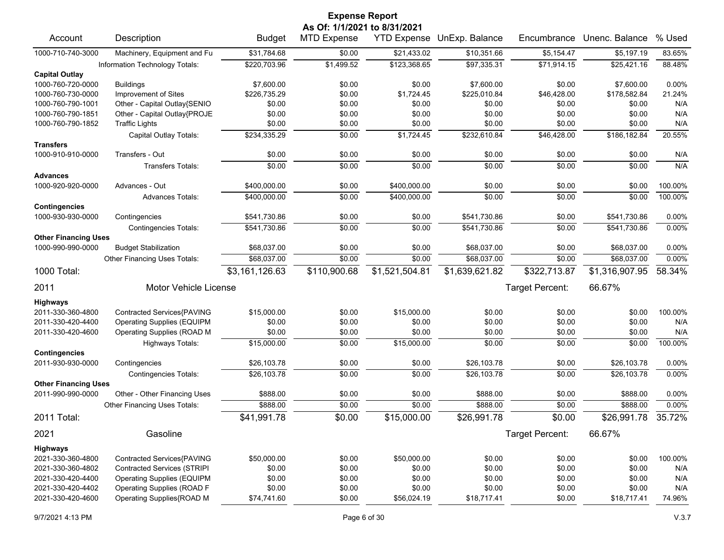|                                                  |                                    |                | <b>Expense Report</b>        |                    |                |                 |                |         |
|--------------------------------------------------|------------------------------------|----------------|------------------------------|--------------------|----------------|-----------------|----------------|---------|
|                                                  |                                    |                | As Of: 1/1/2021 to 8/31/2021 |                    |                |                 |                |         |
| Account                                          | Description                        | <b>Budget</b>  | <b>MTD Expense</b>           | <b>YTD Expense</b> | UnExp. Balance | Encumbrance     | Unenc. Balance | % Used  |
| 1000-710-740-3000                                | Machinery, Equipment and Fu        | \$31,784.68    | \$0.00                       | \$21,433.02        | \$10,351.66    | \$5,154.47      | \$5,197.19     | 83.65%  |
|                                                  | Information Technology Totals:     | \$220,703.96   | \$1,499.52                   | \$123,368.65       | \$97,335.31    | \$71,914.15     | \$25,421.16    | 88.48%  |
| <b>Capital Outlay</b>                            |                                    |                |                              |                    |                |                 |                |         |
| 1000-760-720-0000                                | <b>Buildings</b>                   | \$7,600.00     | \$0.00                       | \$0.00             | \$7,600.00     | \$0.00          | \$7,600.00     | 0.00%   |
| 1000-760-730-0000                                | Improvement of Sites               | \$226,735.29   | \$0.00                       | \$1,724.45         | \$225,010.84   | \$46,428.00     | \$178,582.84   | 21.24%  |
| 1000-760-790-1001                                | Other - Capital Outlay{SENIO       | \$0.00         | \$0.00                       | \$0.00             | \$0.00         | \$0.00          | \$0.00         | N/A     |
| 1000-760-790-1851                                | Other - Capital Outlay{PROJE       | \$0.00         | \$0.00                       | \$0.00             | \$0.00         | \$0.00          | \$0.00         | N/A     |
| 1000-760-790-1852                                | <b>Traffic Lights</b>              | \$0.00         | \$0.00                       | \$0.00             | \$0.00         | \$0.00          | \$0.00         | N/A     |
|                                                  | Capital Outlay Totals:             | \$234,335.29   | \$0.00                       | \$1,724.45         | \$232,610.84   | \$46,428.00     | \$186,182.84   | 20.55%  |
| <b>Transfers</b>                                 |                                    |                |                              |                    |                |                 |                |         |
| 1000-910-910-0000                                | Transfers - Out                    | \$0.00         | \$0.00                       | \$0.00             | \$0.00         | \$0.00          | \$0.00         | N/A     |
|                                                  | <b>Transfers Totals:</b>           | $\sqrt{$0.00}$ | \$0.00                       | \$0.00             | \$0.00         | \$0.00          | \$0.00         | N/A     |
| <b>Advances</b>                                  |                                    |                |                              |                    |                |                 |                |         |
| 1000-920-920-0000                                | Advances - Out                     | \$400,000.00   | \$0.00                       | \$400,000.00       | \$0.00         | \$0.00          | \$0.00         | 100.00% |
|                                                  | <b>Advances Totals:</b>            | \$400,000.00   | \$0.00                       | \$400,000.00       | \$0.00         | \$0.00          | \$0.00         | 100.00% |
| <b>Contingencies</b>                             |                                    |                |                              |                    |                |                 |                |         |
| 1000-930-930-0000                                | Contingencies                      | \$541,730.86   | \$0.00                       | \$0.00             | \$541,730.86   | \$0.00          | \$541,730.86   | 0.00%   |
|                                                  | <b>Contingencies Totals:</b>       | \$541,730.86   | \$0.00                       | \$0.00             | \$541,730.86   | \$0.00          | \$541.730.86   | 0.00%   |
| <b>Other Financing Uses</b>                      |                                    |                |                              |                    |                |                 |                |         |
| 1000-990-990-0000                                | <b>Budget Stabilization</b>        | \$68,037.00    | \$0.00                       | \$0.00             | \$68,037.00    | \$0.00          | \$68,037.00    | 0.00%   |
|                                                  | Other Financing Uses Totals:       | \$68,037.00    | \$0.00                       | \$0.00             | \$68,037.00    | \$0.00          | \$68,037.00    | 0.00%   |
| 1000 Total:                                      |                                    | \$3,161,126.63 | \$110,900.68                 | \$1,521,504.81     | \$1,639,621.82 | \$322,713.87    | \$1,316,907.95 | 58.34%  |
| 2011                                             | <b>Motor Vehicle License</b>       |                |                              |                    |                | Target Percent: | 66.67%         |         |
| <b>Highways</b>                                  |                                    |                |                              |                    |                |                 |                |         |
| 2011-330-360-4800                                | Contracted Services{PAVING         | \$15,000.00    | \$0.00                       | \$15,000.00        | \$0.00         | \$0.00          | \$0.00         | 100.00% |
| 2011-330-420-4400                                | <b>Operating Supplies (EQUIPM</b>  | \$0.00         | \$0.00                       | \$0.00             | \$0.00         | \$0.00          | \$0.00         | N/A     |
| 2011-330-420-4600                                | Operating Supplies (ROAD M         | \$0.00         | \$0.00                       | \$0.00             | \$0.00         | \$0.00          | \$0.00         | N/A     |
|                                                  | <b>Highways Totals:</b>            | \$15,000.00    | \$0.00                       | \$15,000.00        | \$0.00         | \$0.00          | \$0.00         | 100.00% |
| <b>Contingencies</b>                             |                                    |                |                              |                    |                |                 |                |         |
| 2011-930-930-0000                                | Contingencies                      | \$26,103.78    | \$0.00                       | \$0.00             | \$26,103.78    | \$0.00          | \$26,103.78    | 0.00%   |
|                                                  | <b>Contingencies Totals:</b>       | \$26,103.78    | \$0.00                       | \$0.00             | \$26,103.78    | \$0.00          | \$26,103.78    | 0.00%   |
| <b>Other Financing Uses</b><br>2011-990-990-0000 | Other - Other Financing Uses       | \$888.00       | \$0.00                       | \$0.00             | \$888.00       | \$0.00          | \$888.00       | 0.00%   |
|                                                  | Other Financing Uses Totals:       | \$888.00       | \$0.00                       | \$0.00             | \$888.00       | \$0.00          | \$888.00       | 0.00%   |
|                                                  |                                    |                |                              |                    |                |                 |                |         |
| 2011 Total:                                      |                                    | \$41,991.78    | \$0.00                       | \$15,000.00        | \$26,991.78    | \$0.00          | \$26,991.78    | 35.72%  |
| 2021                                             | Gasoline                           |                |                              |                    |                | Target Percent: | 66.67%         |         |
| <b>Highways</b>                                  |                                    |                |                              |                    |                |                 |                |         |
| 2021-330-360-4800                                | Contracted Services{PAVING         | \$50,000.00    | \$0.00                       | \$50,000.00        | \$0.00         | \$0.00          | \$0.00         | 100.00% |
| 2021-330-360-4802                                | <b>Contracted Services (STRIPI</b> | \$0.00         | \$0.00                       | \$0.00             | \$0.00         | \$0.00          | \$0.00         | N/A     |
| 2021-330-420-4400                                | <b>Operating Supplies (EQUIPM</b>  | \$0.00         | \$0.00                       | \$0.00             | \$0.00         | \$0.00          | \$0.00         | N/A     |
| 2021-330-420-4402                                | <b>Operating Supplies (ROAD F</b>  | \$0.00         | \$0.00                       | \$0.00             | \$0.00         | \$0.00          | \$0.00         | N/A     |
| 2021-330-420-4600                                | Operating Supplies{ROAD M          | \$74,741.60    | \$0.00                       | \$56,024.19        | \$18,717.41    | \$0.00          | \$18,717.41    | 74.96%  |
|                                                  |                                    |                |                              |                    |                |                 |                |         |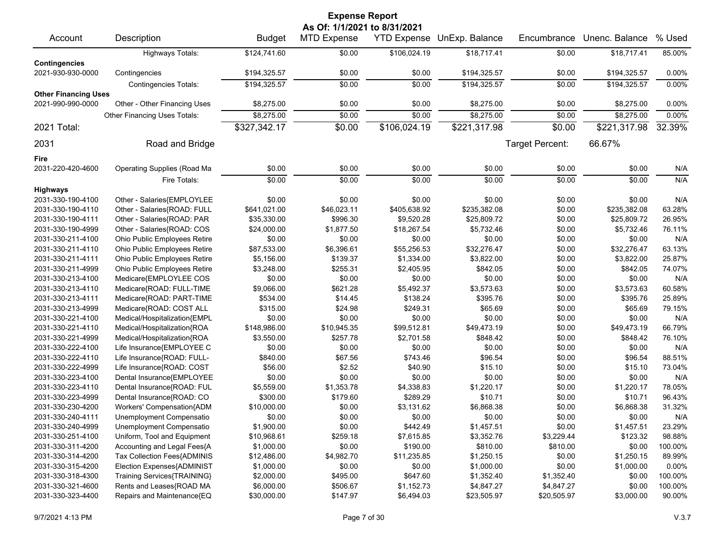| <b>Expense Report</b><br>As Of: 1/1/2021 to 8/31/2021 |                                                      |                         |                    |                    |                            |                  |                      |               |  |
|-------------------------------------------------------|------------------------------------------------------|-------------------------|--------------------|--------------------|----------------------------|------------------|----------------------|---------------|--|
| Account                                               | Description                                          | <b>Budget</b>           | <b>MTD Expense</b> |                    | YTD Expense UnExp. Balance | Encumbrance      | Unenc. Balance       | % Used        |  |
|                                                       | <b>Highways Totals:</b>                              | \$124,741.60            | \$0.00             | \$106,024.19       | \$18,717.41                | \$0.00           | \$18,717.41          | 85.00%        |  |
| <b>Contingencies</b>                                  |                                                      |                         |                    |                    |                            |                  |                      |               |  |
| 2021-930-930-0000                                     | Contingencies                                        | \$194,325.57            | \$0.00             | \$0.00             | \$194,325.57               | \$0.00           | \$194,325.57         | 0.00%         |  |
|                                                       | <b>Contingencies Totals:</b>                         | \$194,325.57            | \$0.00             | \$0.00             | \$194,325.57               | \$0.00           | \$194,325.57         | 0.00%         |  |
| <b>Other Financing Uses</b>                           |                                                      |                         |                    |                    |                            |                  |                      |               |  |
| 2021-990-990-0000                                     | Other - Other Financing Uses                         | \$8,275.00              | \$0.00             | \$0.00             | \$8,275.00                 | \$0.00           | \$8,275.00           | 0.00%         |  |
|                                                       | Other Financing Uses Totals:                         | \$8,275.00              | \$0.00             | \$0.00             | \$8,275.00                 | \$0.00           | \$8,275.00           | 0.00%         |  |
| 2021 Total:                                           |                                                      | \$327,342.17            | \$0.00             | \$106,024.19       | \$221,317.98               | \$0.00           | \$221,317.98         | 32.39%        |  |
|                                                       |                                                      |                         |                    |                    |                            |                  |                      |               |  |
| 2031                                                  | Road and Bridge                                      |                         |                    |                    |                            | Target Percent:  | 66.67%               |               |  |
| Fire                                                  |                                                      |                         |                    |                    |                            |                  |                      |               |  |
| 2031-220-420-4600                                     | Operating Supplies (Road Ma                          | \$0.00                  | \$0.00             | \$0.00             | \$0.00                     | \$0.00           | \$0.00               | N/A           |  |
|                                                       | Fire Totals:                                         | \$0.00                  | \$0.00             | \$0.00             | \$0.00                     | \$0.00           | \$0.00               | N/A           |  |
| <b>Highways</b>                                       |                                                      |                         |                    |                    |                            |                  |                      |               |  |
| 2031-330-190-4100                                     | Other - Salaries{EMPLOYLEE                           | \$0.00                  | \$0.00             | \$0.00             | \$0.00                     | \$0.00           | \$0.00               | N/A           |  |
| 2031-330-190-4110                                     | Other - Salaries{ROAD: FULL                          | \$641,021.00            | \$46,023.11        | \$405,638.92       | \$235,382.08               | \$0.00           | \$235,382.08         | 63.28%        |  |
| 2031-330-190-4111                                     | Other - Salaries{ROAD: PAR                           | \$35,330.00             | \$996.30           | \$9,520.28         | \$25,809.72                | \$0.00           | \$25,809.72          | 26.95%        |  |
| 2031-330-190-4999                                     | Other - Salaries{ROAD: COS                           | \$24,000.00             | \$1,877.50         | \$18,267.54        | \$5,732.46                 | \$0.00           | \$5,732.46           | 76.11%        |  |
| 2031-330-211-4100                                     | Ohio Public Employees Retire                         | \$0.00                  | \$0.00             | \$0.00             | \$0.00                     | \$0.00           | \$0.00               | N/A           |  |
| 2031-330-211-4110                                     | Ohio Public Employees Retire                         | \$87,533.00             | \$6,396.61         | \$55,256.53        | \$32,276.47                | \$0.00           | \$32,276.47          | 63.13%        |  |
| 2031-330-211-4111                                     | Ohio Public Employees Retire                         | \$5,156.00              | \$139.37           | \$1,334.00         | \$3,822.00                 | \$0.00           | \$3,822.00           | 25.87%        |  |
| 2031-330-211-4999                                     | Ohio Public Employees Retire                         | \$3,248.00              | \$255.31           | \$2,405.95         | \$842.05                   | \$0.00           | \$842.05             | 74.07%        |  |
| 2031-330-213-4100                                     | Medicare{EMPLOYLEE COS                               | \$0.00                  | \$0.00             | \$0.00             | \$0.00                     | \$0.00           | \$0.00               | N/A           |  |
| 2031-330-213-4110                                     | Medicare{ROAD: FULL-TIME                             | \$9,066.00              | \$621.28           | \$5,492.37         | \$3,573.63                 | \$0.00           | \$3,573.63           | 60.58%        |  |
| 2031-330-213-4111                                     | Medicare{ROAD: PART-TIME                             | \$534.00                | \$14.45            | \$138.24           | \$395.76                   | \$0.00           | \$395.76             | 25.89%        |  |
| 2031-330-213-4999                                     | Medicare{ROAD: COST ALL                              | \$315.00                | \$24.98            | \$249.31           | \$65.69                    | \$0.00           | \$65.69              | 79.15%        |  |
| 2031-330-221-4100                                     | Medical/Hospitalization{EMPL                         | \$0.00                  | \$0.00             | \$0.00             | \$0.00                     | \$0.00           | \$0.00               | N/A           |  |
| 2031-330-221-4110                                     | Medical/Hospitalization{ROA                          | \$148,986.00            | \$10,945.35        | \$99,512.81        | \$49,473.19                | \$0.00           | \$49,473.19          | 66.79%        |  |
| 2031-330-221-4999                                     | Medical/Hospitalization{ROA                          | \$3,550.00              | \$257.78           | \$2,701.58         | \$848.42                   | \$0.00           | \$848.42             | 76.10%        |  |
| 2031-330-222-4100                                     | Life Insurance{EMPLOYEE C                            | \$0.00                  | \$0.00             | \$0.00             | \$0.00                     | \$0.00           | \$0.00               | N/A           |  |
| 2031-330-222-4110                                     | Life Insurance{ROAD: FULL-                           | \$840.00                | \$67.56            | \$743.46           | \$96.54                    | \$0.00           | \$96.54              | 88.51%        |  |
| 2031-330-222-4999                                     | Life Insurance{ROAD: COST                            | \$56.00                 | \$2.52             | \$40.90            | \$15.10                    | \$0.00           | \$15.10              | 73.04%        |  |
| 2031-330-223-4100                                     | Dental Insurance{EMPLOYEE                            | \$0.00                  | \$0.00             | \$0.00             | \$0.00                     | \$0.00           | \$0.00               | N/A           |  |
| 2031-330-223-4110                                     | Dental Insurance{ROAD: FUL                           | \$5,559.00              | \$1,353.78         | \$4,338.83         | \$1,220.17                 | \$0.00           | \$1,220.17           | 78.05%        |  |
| 2031-330-223-4999                                     | Dental Insurance{ROAD: CO                            | \$300.00<br>\$10,000.00 | \$179.60           | \$289.29           | \$10.71                    | \$0.00           | \$10.71              | 96.43%        |  |
| 2031-330-230-4200                                     | Workers' Compensation{ADM                            |                         | \$0.00             | \$3,131.62         | \$6,868.38                 | \$0.00           | \$6,868.38           | 31.32%        |  |
| 2031-330-240-4111<br>2031-330-240-4999                | Unemployment Compensatio<br>Unemployment Compensatio | \$0.00<br>\$1,900.00    | \$0.00<br>\$0.00   | \$0.00<br>\$442.49 | \$0.00                     | \$0.00<br>\$0.00 | \$0.00<br>\$1,457.51 | N/A<br>23.29% |  |
| 2031-330-251-4100                                     | Uniform, Tool and Equipment                          | \$10,968.61             | \$259.18           | \$7,615.85         | \$1,457.51<br>\$3,352.76   | \$3,229.44       | \$123.32             | 98.88%        |  |
| 2031-330-311-4200                                     | Accounting and Legal Fees{A                          | \$1,000.00              | \$0.00             | \$190.00           | \$810.00                   | \$810.00         | \$0.00               | 100.00%       |  |
| 2031-330-314-4200                                     | Tax Collection Fees{ADMINIS                          | \$12,486.00             | \$4,982.70         | \$11,235.85        | \$1,250.15                 | \$0.00           | \$1,250.15           | 89.99%        |  |
| 2031-330-315-4200                                     | Election Expenses{ADMINIST                           | \$1,000.00              | \$0.00             | \$0.00             | \$1,000.00                 | \$0.00           | \$1,000.00           | 0.00%         |  |
| 2031-330-318-4300                                     | Training Services{TRAINING}                          | \$2,000.00              | \$495.00           | \$647.60           | \$1,352.40                 | \$1,352.40       | \$0.00               | 100.00%       |  |
| 2031-330-321-4600                                     | Rents and Leases{ROAD MA                             | \$6,000.00              | \$506.67           | \$1,152.73         | \$4,847.27                 | \$4,847.27       | \$0.00               | 100.00%       |  |
| 2031-330-323-4400                                     | Repairs and Maintenance{EQ                           | \$30,000.00             | \$147.97           | \$6,494.03         | \$23,505.97                | \$20,505.97      | \$3,000.00           | 90.00%        |  |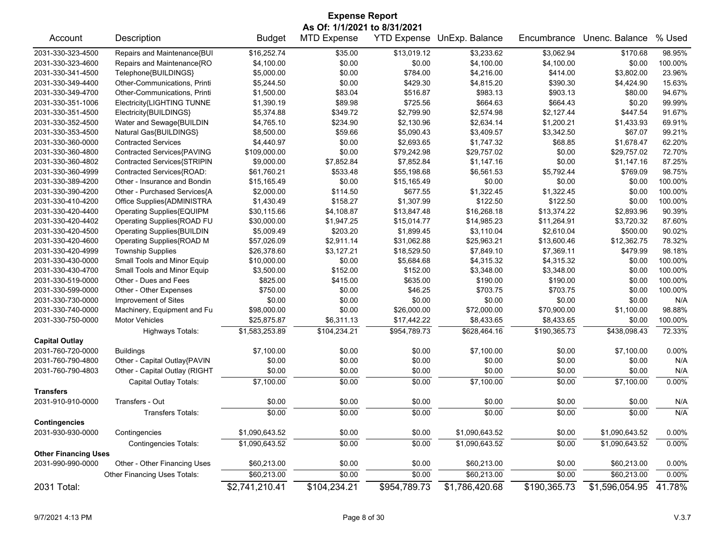|                             | <b>Expense Report</b>             |                |                              |                    |                |              |                |          |  |  |
|-----------------------------|-----------------------------------|----------------|------------------------------|--------------------|----------------|--------------|----------------|----------|--|--|
|                             |                                   |                | As Of: 1/1/2021 to 8/31/2021 |                    |                |              |                |          |  |  |
| Account                     | Description                       | <b>Budget</b>  | <b>MTD Expense</b>           | <b>YTD Expense</b> | UnExp. Balance | Encumbrance  | Unenc. Balance | % Used   |  |  |
| 2031-330-323-4500           | Repairs and Maintenance{BUI       | \$16,252.74    | \$35.00                      | \$13,019.12        | \$3,233.62     | \$3,062.94   | \$170.68       | 98.95%   |  |  |
| 2031-330-323-4600           | Repairs and Maintenance{RO        | \$4,100.00     | \$0.00                       | \$0.00             | \$4,100.00     | \$4,100.00   | \$0.00         | 100.00%  |  |  |
| 2031-330-341-4500           | Telephone{BUILDINGS}              | \$5,000.00     | \$0.00                       | \$784.00           | \$4,216.00     | \$414.00     | \$3,802.00     | 23.96%   |  |  |
| 2031-330-349-4400           | Other-Communications, Printi      | \$5,244.50     | \$0.00                       | \$429.30           | \$4,815.20     | \$390.30     | \$4,424.90     | 15.63%   |  |  |
| 2031-330-349-4700           | Other-Communications, Printi      | \$1,500.00     | \$83.04                      | \$516.87           | \$983.13       | \$903.13     | \$80.00        | 94.67%   |  |  |
| 2031-330-351-1006           | Electricity{LIGHTING TUNNE        | \$1,390.19     | \$89.98                      | \$725.56           | \$664.63       | \$664.43     | \$0.20         | 99.99%   |  |  |
| 2031-330-351-4500           | Electricity{BUILDINGS}            | \$5,374.88     | \$349.72                     | \$2,799.90         | \$2,574.98     | \$2,127.44   | \$447.54       | 91.67%   |  |  |
| 2031-330-352-4500           | Water and Sewage{BUILDIN          | \$4,765.10     | \$234.90                     | \$2,130.96         | \$2,634.14     | \$1,200.21   | \$1,433.93     | 69.91%   |  |  |
| 2031-330-353-4500           | Natural Gas{BUILDINGS}            | \$8,500.00     | \$59.66                      | \$5,090.43         | \$3,409.57     | \$3,342.50   | \$67.07        | 99.21%   |  |  |
| 2031-330-360-0000           | <b>Contracted Services</b>        | \$4,440.97     | \$0.00                       | \$2,693.65         | \$1,747.32     | \$68.85      | \$1.678.47     | 62.20%   |  |  |
| 2031-330-360-4800           | Contracted Services{PAVING        | \$109,000.00   | \$0.00                       | \$79,242.98        | \$29,757.02    | \$0.00       | \$29,757.02    | 72.70%   |  |  |
| 2031-330-360-4802           | Contracted Services{STRIPIN       | \$9,000.00     | \$7,852.84                   | \$7,852.84         | \$1,147.16     | \$0.00       | \$1,147.16     | 87.25%   |  |  |
| 2031-330-360-4999           | Contracted Services{ROAD:         | \$61,760.21    | \$533.48                     | \$55,198.68        | \$6,561.53     | \$5,792.44   | \$769.09       | 98.75%   |  |  |
| 2031-330-389-4200           | Other - Insurance and Bondin      | \$15,165.49    | \$0.00                       | \$15,165.49        | \$0.00         | \$0.00       | \$0.00         | 100.00%  |  |  |
| 2031-330-390-4200           | Other - Purchased Services{A      | \$2,000.00     | \$114.50                     | \$677.55           | \$1,322.45     | \$1,322.45   | \$0.00         | 100.00%  |  |  |
| 2031-330-410-4200           | Office Supplies{ADMINISTRA        | \$1,430.49     | \$158.27                     | \$1,307.99         | \$122.50       | \$122.50     | \$0.00         | 100.00%  |  |  |
| 2031-330-420-4400           | Operating Supplies{EQUIPM         | \$30,115.66    | \$4,108.87                   | \$13,847.48        | \$16,268.18    | \$13,374.22  | \$2,893.96     | 90.39%   |  |  |
| 2031-330-420-4402           | Operating Supplies{ROAD FU        | \$30,000.00    | \$1,947.25                   | \$15,014.77        | \$14,985.23    | \$11,264.91  | \$3,720.32     | 87.60%   |  |  |
| 2031-330-420-4500           | <b>Operating Supplies{BUILDIN</b> | \$5,009.49     | \$203.20                     | \$1,899.45         | \$3.110.04     | \$2,610.04   | \$500.00       | 90.02%   |  |  |
| 2031-330-420-4600           | Operating Supplies{ROAD M         | \$57,026.09    | \$2,911.14                   | \$31,062.88        | \$25,963.21    | \$13,600.46  | \$12,362.75    | 78.32%   |  |  |
| 2031-330-420-4999           | <b>Township Supplies</b>          | \$26,378.60    | \$3,127.21                   | \$18,529.50        | \$7,849.10     | \$7,369.11   | \$479.99       | 98.18%   |  |  |
| 2031-330-430-0000           | Small Tools and Minor Equip       | \$10,000.00    | \$0.00                       | \$5,684.68         | \$4,315.32     | \$4,315.32   | \$0.00         | 100.00%  |  |  |
| 2031-330-430-4700           | Small Tools and Minor Equip       | \$3,500.00     | \$152.00                     | \$152.00           | \$3,348.00     | \$3,348.00   | \$0.00         | 100.00%  |  |  |
| 2031-330-519-0000           | Other - Dues and Fees             | \$825.00       | \$415.00                     | \$635.00           | \$190.00       | \$190.00     | \$0.00         | 100.00%  |  |  |
| 2031-330-599-0000           | Other - Other Expenses            | \$750.00       | \$0.00                       | \$46.25            | \$703.75       | \$703.75     | \$0.00         | 100.00%  |  |  |
| 2031-330-730-0000           | Improvement of Sites              | \$0.00         | \$0.00                       | \$0.00             | \$0.00         | \$0.00       | \$0.00         | N/A      |  |  |
| 2031-330-740-0000           | Machinery, Equipment and Fu       | \$98,000.00    | \$0.00                       | \$26,000.00        | \$72,000.00    | \$70,900.00  | \$1,100.00     | 98.88%   |  |  |
| 2031-330-750-0000           | <b>Motor Vehicles</b>             | \$25,875.87    | \$6,311.13                   | \$17,442.22        | \$8,433.65     | \$8,433.65   | \$0.00         | 100.00%  |  |  |
|                             | <b>Highways Totals:</b>           | \$1,583,253.89 | \$104,234.21                 | \$954,789.73       | \$628,464.16   | \$190,365.73 | \$438,098.43   | 72.33%   |  |  |
| <b>Capital Outlay</b>       |                                   |                |                              |                    |                |              |                |          |  |  |
| 2031-760-720-0000           | <b>Buildings</b>                  | \$7,100.00     | \$0.00                       | \$0.00             | \$7,100.00     | \$0.00       | \$7,100.00     | 0.00%    |  |  |
| 2031-760-790-4800           | Other - Capital Outlay{PAVIN      | \$0.00         | \$0.00                       | \$0.00             | \$0.00         | \$0.00       | \$0.00         | N/A      |  |  |
| 2031-760-790-4803           | Other - Capital Outlay (RIGHT     | \$0.00         | \$0.00                       | \$0.00             | \$0.00         | \$0.00       | \$0.00         | N/A      |  |  |
|                             | Capital Outlay Totals:            | \$7,100.00     | \$0.00                       | \$0.00             | \$7,100.00     | \$0.00       | \$7,100.00     | 0.00%    |  |  |
| <b>Transfers</b>            |                                   |                |                              |                    |                |              |                |          |  |  |
| 2031-910-910-0000           | Transfers - Out                   | \$0.00         | \$0.00                       | \$0.00             | \$0.00         | \$0.00       | \$0.00         | N/A      |  |  |
| <b>Contingencies</b>        | <b>Transfers Totals:</b>          | \$0.00         | \$0.00                       | \$0.00             | \$0.00         | \$0.00       | \$0.00         | N/A      |  |  |
| 2031-930-930-0000           | Contingencies                     | \$1,090,643.52 | \$0.00                       | \$0.00             | \$1,090,643.52 | \$0.00       | \$1,090,643.52 | 0.00%    |  |  |
|                             | <b>Contingencies Totals:</b>      | \$1,090,643.52 | \$0.00                       | \$0.00             | \$1,090,643.52 | \$0.00       | \$1,090,643.52 | 0.00%    |  |  |
| <b>Other Financing Uses</b> |                                   |                |                              |                    |                |              |                |          |  |  |
| 2031-990-990-0000           | Other - Other Financing Uses      | \$60,213.00    | \$0.00                       | \$0.00             | \$60,213.00    | \$0.00       | \$60,213.00    | 0.00%    |  |  |
|                             | Other Financing Uses Totals:      | \$60,213.00    | \$0.00                       | \$0.00             | \$60,213.00    | \$0.00       | \$60,213.00    | $0.00\%$ |  |  |
| 2031 Total:                 |                                   | \$2,741,210.41 | \$104,234.21                 | \$954,789.73       | \$1,786,420.68 | \$190,365.73 | \$1,596,054.95 | 41.78%   |  |  |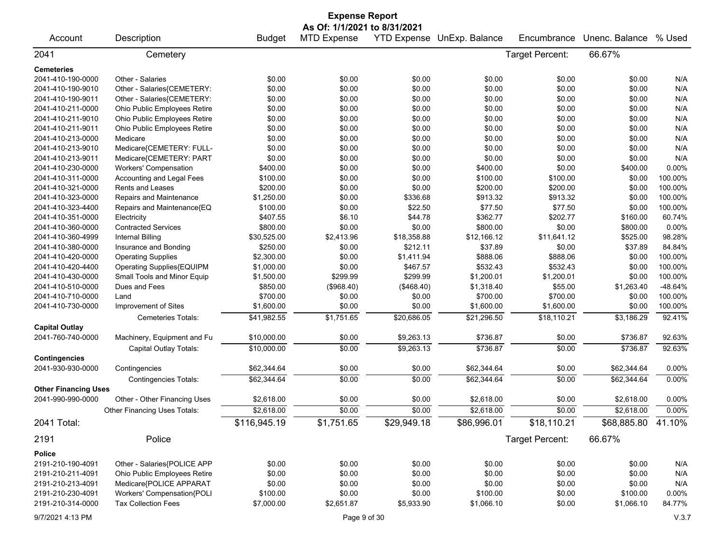|                             |                              |               | <b>Expense Report</b>        |             |                            |                 |                    |         |
|-----------------------------|------------------------------|---------------|------------------------------|-------------|----------------------------|-----------------|--------------------|---------|
|                             |                              |               | As Of: 1/1/2021 to 8/31/2021 |             |                            |                 |                    |         |
| Account                     | Description                  | <b>Budget</b> | <b>MTD Expense</b>           |             | YTD Expense UnExp. Balance | Encumbrance     | Unenc. Balance     | % Used  |
| 2041                        | Cemetery                     |               |                              |             |                            | Target Percent: | 66.67%             |         |
| <b>Cemeteries</b>           |                              |               |                              |             |                            |                 |                    |         |
| 2041-410-190-0000           | Other - Salaries             | \$0.00        | \$0.00                       | \$0.00      | \$0.00                     | \$0.00          | \$0.00             | N/A     |
| 2041-410-190-9010           | Other - Salaries{CEMETERY:   | \$0.00        | \$0.00                       | \$0.00      | \$0.00                     | \$0.00          | \$0.00             | N/A     |
| 2041-410-190-9011           | Other - Salaries{CEMETERY:   | \$0.00        | \$0.00                       | \$0.00      | \$0.00                     | \$0.00          | \$0.00             | N/A     |
| 2041-410-211-0000           | Ohio Public Employees Retire | \$0.00        | \$0.00                       | \$0.00      | \$0.00                     | \$0.00          | \$0.00             | N/A     |
| 2041-410-211-9010           | Ohio Public Employees Retire | \$0.00        | \$0.00                       | \$0.00      | \$0.00                     | \$0.00          | \$0.00             | N/A     |
| 2041-410-211-9011           | Ohio Public Employees Retire | \$0.00        | \$0.00                       | \$0.00      | \$0.00                     | \$0.00          | \$0.00             | N/A     |
| 2041-410-213-0000           | Medicare                     | \$0.00        | \$0.00                       | \$0.00      | \$0.00                     | \$0.00          | \$0.00             | N/A     |
| 2041-410-213-9010           | Medicare{CEMETERY: FULL-     | \$0.00        | \$0.00                       | \$0.00      | \$0.00                     | \$0.00          | \$0.00             | N/A     |
| 2041-410-213-9011           | Medicare{CEMETERY: PART      | \$0.00        | \$0.00                       | \$0.00      | \$0.00                     | \$0.00          | \$0.00             | N/A     |
| 2041-410-230-0000           | <b>Workers' Compensation</b> | \$400.00      | \$0.00                       | \$0.00      | \$400.00                   | \$0.00          | \$400.00           | 0.00%   |
| 2041-410-311-0000           | Accounting and Legal Fees    | \$100.00      | \$0.00                       | \$0.00      | \$100.00                   | \$100.00        | \$0.00             | 100.00% |
| 2041-410-321-0000           | <b>Rents and Leases</b>      | \$200.00      | \$0.00                       | \$0.00      | \$200.00                   | \$200.00        | \$0.00             | 100.00% |
| 2041-410-323-0000           | Repairs and Maintenance      | \$1,250.00    | \$0.00                       | \$336.68    | \$913.32                   | \$913.32        | \$0.00             | 100.00% |
| 2041-410-323-4400           | Repairs and Maintenance{EQ   | \$100.00      | \$0.00                       | \$22.50     | \$77.50                    | \$77.50         | \$0.00             | 100.00% |
| 2041-410-351-0000           | Electricity                  | \$407.55      | \$6.10                       | \$44.78     | \$362.77                   | \$202.77        | \$160.00           | 60.74%  |
| 2041-410-360-0000           | <b>Contracted Services</b>   | \$800.00      | \$0.00                       | \$0.00      | \$800.00                   | \$0.00          | \$800.00           | 0.00%   |
| 2041-410-360-4999           | Internal Billing             | \$30,525.00   | \$2,413.96                   | \$18,358.88 | \$12,166.12                | \$11,641.12     | \$525.00           | 98.28%  |
| 2041-410-380-0000           | Insurance and Bonding        | \$250.00      | \$0.00                       | \$212.11    | \$37.89                    | \$0.00          | \$37.89            | 84.84%  |
| 2041-410-420-0000           | <b>Operating Supplies</b>    | \$2,300.00    | \$0.00                       | \$1,411.94  | \$888.06                   | \$888.06        | \$0.00             | 100.00% |
| 2041-410-420-4400           | Operating Supplies{EQUIPM    | \$1,000.00    | \$0.00                       | \$467.57    | \$532.43                   | \$532.43        | \$0.00             | 100.00% |
| 2041-410-430-0000           | Small Tools and Minor Equip  | \$1,500.00    | \$299.99                     | \$299.99    | \$1,200.01                 | \$1,200.01      | \$0.00             | 100.00% |
| 2041-410-510-0000           | Dues and Fees                | \$850.00      | (\$968.40)                   | (\$468.40)  | \$1,318.40                 | \$55.00         | \$1,263.40         | -48.64% |
| 2041-410-710-0000           | Land                         | \$700.00      | \$0.00                       | \$0.00      | \$700.00                   | \$700.00        | \$0.00             | 100.00% |
| 2041-410-730-0000           | Improvement of Sites         | \$1,600.00    | \$0.00                       | \$0.00      | \$1,600.00                 | \$1,600.00      | \$0.00             | 100.00% |
|                             | Cemeteries Totals:           | \$41,982.55   | \$1,751.65                   | \$20,686.05 | \$21,296.50                | \$18,110.21     | \$3,186.29         | 92.41%  |
| <b>Capital Outlay</b>       |                              |               |                              |             |                            |                 |                    |         |
| 2041-760-740-0000           | Machinery, Equipment and Fu  | \$10,000.00   | \$0.00                       | \$9,263.13  | \$736.87                   | \$0.00          | \$736.87           | 92.63%  |
|                             | Capital Outlay Totals:       | \$10,000.00   | \$0.00                       | \$9,263.13  | \$736.87                   | \$0.00          | \$736.87           | 92.63%  |
| <b>Contingencies</b>        |                              |               |                              |             |                            |                 |                    |         |
| 2041-930-930-0000           | Contingencies                | \$62,344.64   | \$0.00                       | \$0.00      | \$62,344.64                | \$0.00          | \$62,344.64        | 0.00%   |
|                             | <b>Contingencies Totals:</b> | \$62,344.64   | \$0.00                       | \$0.00      | \$62,344.64                | \$0.00          | \$62,344.64        | 0.00%   |
| <b>Other Financing Uses</b> |                              |               |                              |             |                            |                 |                    |         |
| 2041-990-990-0000           | Other - Other Financing Uses | \$2,618.00    | \$0.00                       | \$0.00      | \$2,618.00                 | \$0.00          | \$2,618.00         | 0.00%   |
|                             | Other Financing Uses Totals: | \$2,618.00    | \$0.00                       | \$0.00      | \$2,618.00                 | \$0.00          | \$2,618.00         | 0.00%   |
| 2041 Total:                 |                              | \$116,945.19  | \$1,751.65                   | \$29,949.18 | \$86,996.01                | \$18,110.21     | \$68,885.80 41.10% |         |
| 2191                        | Police                       |               |                              |             |                            | Target Percent: | 66.67%             |         |
| <b>Police</b>               |                              |               |                              |             |                            |                 |                    |         |
| 2191-210-190-4091           | Other - Salaries{POLICE APP  | \$0.00        | \$0.00                       | \$0.00      | \$0.00                     | \$0.00          | \$0.00             | N/A     |
| 2191-210-211-4091           | Ohio Public Employees Retire | \$0.00        | \$0.00                       | \$0.00      | \$0.00                     | \$0.00          | \$0.00             | N/A     |
| 2191-210-213-4091           | Medicare{POLICE APPARAT      | \$0.00        | \$0.00                       | \$0.00      | \$0.00                     | \$0.00          | \$0.00             | N/A     |
| 2191-210-230-4091           | Workers' Compensation{POLI   | \$100.00      | \$0.00                       | \$0.00      | \$100.00                   | \$0.00          | \$100.00           | 0.00%   |
| 2191-210-314-0000           | <b>Tax Collection Fees</b>   | \$7,000.00    | \$2,651.87                   | \$5,933.90  | \$1,066.10                 | \$0.00          | \$1,066.10         | 84.77%  |
| 9/7/2021 4:13 PM            |                              |               | Page 9 of 30                 |             |                            |                 |                    | V.3.7   |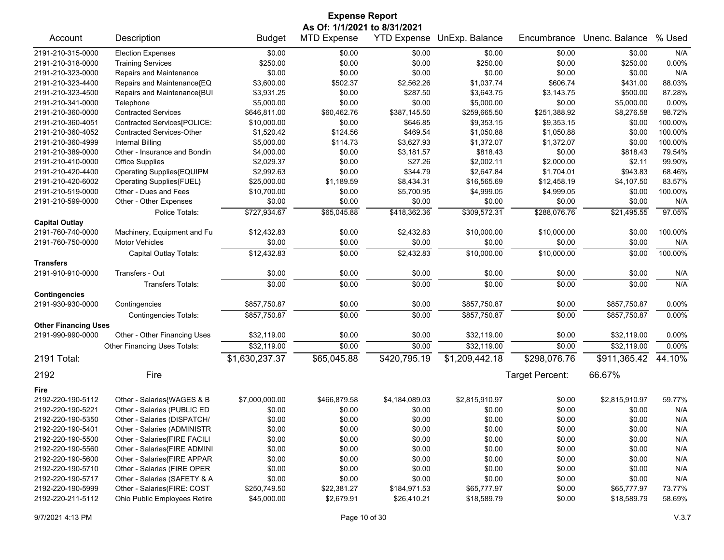## Account Description **Budget MTD Expense YTD Expense UnExp. Balance** Encumbrance Unenc. Balance % Used 2191-210-315-0000 Election Expenses \$0.00 \$0.00 \$0.00 \$0.00 \$0.00 \$0.00 N/A 2191-210-318-0000 Training Services \$250.00 \$0.00 \$250.00 0.00% 2191-210-323-0000 Repairs and Maintenance \$0.00 \$0.00 \$0.00 \$0.00 \$0.00 \$0.00 N/A 2191-210-323-4400 Repairs and Maintenance{EQ \$3,600.00 \$502.37 \$2,562.26 \$1,037.74 \$606.74 \$431.00 88.03% 2191-210-323-4500 Repairs and Maintenance{BUI \$3,931.25 \$0.00 \$287.50 \$3,643.75 \$3,143.75 \$500.00 87.28% 2191-210-341-0000 Telephone \$5,000.00 \$0.00 \$0.00 \$5,000.00 \$5,000.00 0.00% 2191-210-360-0000 Contracted Services \$646,811.00 \$60,462.76 \$387,145.50 \$259,665.50 \$251,388.92 \$8,276.58 98.72% 2191-210-360-4051 Contracted Services[POLICE: \$10,000.00 \$0.00 \$646.85 \$9,353.15 \$9,353.15 \$0.00 100.00% 2191-210-360-4052 Contracted Services-Other \$1,520.42 \$124.56 \$469.54 \$1,050.88 \$1,050.88 \$0.00 100.00% 2191-210-360-4999 Internal Billing \$5,000.00 \$114.73 \$3,627.93 \$1,372.07 \$1,372.07 \$0.00 100.00% 2191-210-389-0000 Other - Insurance and Bondin \$4,000.00 \$0.00 \$3,181.57 \$818.43 \$0.00 \$818.43 79.54% 2191-210-410-0000 Office Supplies \$2,029.37 \$0.00 \$27.26 \$2,002.11 \$2,000.00 \$2.11 99.90% 2191-210-420-4400 Operating Supplies{EQUIPM \$2,992.63 \$0.00 \$344.79 \$2,647.84 \$1,704.01 \$943.83 68.46% 2191-210-420-6002 Operating Supplies{FUEL} \$25,000.00 \$1,189.59 \$8,434.31 \$16,565.69 \$12,458.19 \$4,107.50 83.57% 2191-210-519-0000 Other - Dues and Fees \$10,700.00 \$0.00 \$5,700.95 \$4,999.05 \$4,999.05 \$0.00 100.00% 2191-210-599-0000 Other - Other Expenses \$0.00 \$0.00 \$0.00 \$0.00 \$0.00 \$0.00 N/A Police Totals: \$727,934.67 \$65,045.88 \$418,362.36 \$309,572.31 \$288,076.76 \$21,495.55 97.05% **Capital Outlay** 2191-760-740-0000 Machinery, Equipment and Fu \$12,432.83 \$0.00 \$2,432.83 \$10,000.00 \$10,000.00 \$0.00 100.00% 2191-760-750-0000 Motor Vehicles \$0.00 \$0.00 \$0.00 \$0.00 \$0.00 \$0.00 N/A Capital Outlay Totals:  $\overline{100.00\%}$   $\overline{12.432.83}$   $\overline{150.000}$   $\overline{100.00\%}$   $\overline{100.00\%}$   $\overline{100.00\%}$   $\overline{100.00\%}$ **Transfers** 2191-910-910-0000 Transfers - Out \$0.00 \$0.00 \$0.00 \$0.00 \$0.00 \$0.00 N/A Transfers Totals: \$0.00 \$0.00 \$0.00 \$0.00 \$0.00 \$0.00 N/A **Contingencies** 2191-930-930-0000 Contingencies \$857,750.87 \$0.00 \$0.00 \$857,750.87 \$0.00 \$857,750.87 0.00% Contingencies Totals:  $\frac{$857,750.87}{\$857,750.87}$   $\frac{30.00}{\$857,750.87}$   $\frac{3557,750.87}{\$0.00}$   $\frac{3587,750.87}{\$0.00\%}$ **Other Financing Uses** 2191-990-990-0000 Other - Other Financing Uses \$32,119.00 \$0.00 \$0.00 \$32,119.00 \$0.00 \$32,119.00 0.00% Other Financing Uses Totals:  $\frac{$32,119.00}{0.000}$   $\frac{32,0.00}{0.00}$   $\frac{$32,119.00}{0.00}$   $\frac{32,119.00}{0.00}$   $\frac{32,119.00}{0.00}$ 2191 Total: \$1,630,237.37 \$65,045.88 \$420,795.19 \$1,209,442.18 \$298,076.76 \$911,365.42 44.10% 2192 Fire Target Percent: 66.67% **Fire** 2192-220-190-5112 Other - Salaries{WAGES & B \$7,000,000.00 \$466,879.58 \$4,184,089.03 \$2,815,910.97 \$0.00 \$2,815,910.97 59.77% 2192-220-190-5221 Other - Salaries (PUBLIC ED \$0.00 \$0.00 \$0.00 \$0.00 \$0.00 \$0.00 N/A 2192-220-190-5350 Other - Salaries (DISPATCH/ \$0.00 \$0.00 \$0.00 \$0.00 \$0.00 \$0.00 N/A 2192-220-190-5401 Other - Salaries (ADMINISTR \$0.00 \$0.00 \$0.00 \$0.00 \$0.00 \$0.00 N/A 2192-220-190-5500 Other - Salaries{FIRE FACILI \$0.00 \$0.00 \$0.00 \$0.00 \$0.00 \$0.00 N/A 2192-220-190-5560 Other - Salaries{FIRE ADMINI \$0.00 \$0.00 \$0.00 \$0.00 \$0.00 \$0.00 N/A 2192-220-190-5600 Other - Salaries{FIRE APPAR \$0.00 \$0.00 \$0.00 \$0.00 \$0.00 \$0.00 N/A 2192-220-190-5710 Other - Salaries (FIRE OPER \$0.00 \$0.00 \$0.00 \$0.00 \$0.00 \$0.00 N/A 2192-220-190-5717 Other - Salaries (SAFETY & A \$0.00 \$0.00 \$0.00 \$0.00 \$0.00 \$0.00 N/A 2192-220-190-5999 Other - Salaries(FIRE: COST \$250,749.50 \$22,381.27 \$184,971.53 \$65,777.97 \$0.00 \$65,777.97 73.77% 2192-220-211-5112 Ohio Public Employees Retire \$45,000.00 \$2,679.91 \$26,410.21 \$18,589.79 \$0.00 \$18,589.79 58.69% **Expense Report As Of: 1/1/2021 to 8/31/2021**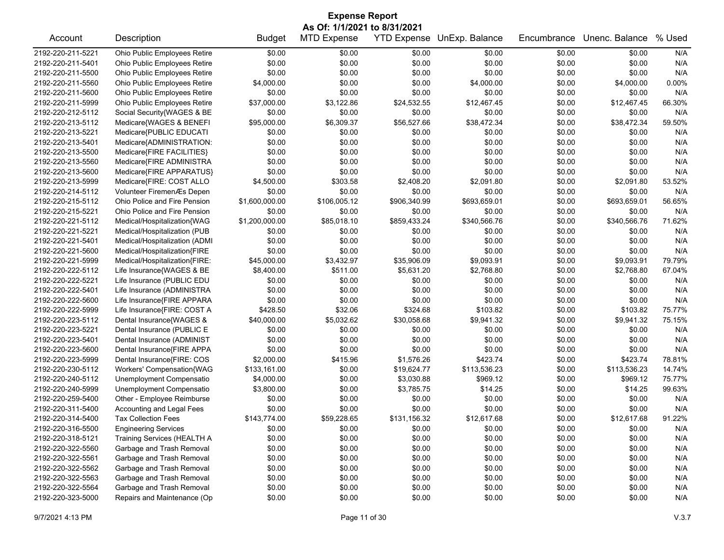| <b>Expense Report</b> |                                                                                                                                                                       |                |              |              |              |        |              |        |  |  |
|-----------------------|-----------------------------------------------------------------------------------------------------------------------------------------------------------------------|----------------|--------------|--------------|--------------|--------|--------------|--------|--|--|
| Account               | As Of: 1/1/2021 to 8/31/2021<br><b>MTD Expense</b><br><b>YTD Expense</b><br>% Used<br>Description<br><b>Budget</b><br>UnExp. Balance<br>Encumbrance<br>Unenc. Balance |                |              |              |              |        |              |        |  |  |
| 2192-220-211-5221     | Ohio Public Employees Retire                                                                                                                                          | \$0.00         | \$0.00       | \$0.00       | \$0.00       | \$0.00 | \$0.00       | N/A    |  |  |
| 2192-220-211-5401     | Ohio Public Employees Retire                                                                                                                                          | \$0.00         | \$0.00       | \$0.00       | \$0.00       | \$0.00 | \$0.00       | N/A    |  |  |
| 2192-220-211-5500     | Ohio Public Employees Retire                                                                                                                                          | \$0.00         | \$0.00       | \$0.00       | \$0.00       | \$0.00 | \$0.00       | N/A    |  |  |
| 2192-220-211-5560     | Ohio Public Employees Retire                                                                                                                                          | \$4,000.00     | \$0.00       | \$0.00       | \$4,000.00   | \$0.00 | \$4,000.00   | 0.00%  |  |  |
| 2192-220-211-5600     | Ohio Public Employees Retire                                                                                                                                          | \$0.00         | \$0.00       | \$0.00       | \$0.00       | \$0.00 | \$0.00       | N/A    |  |  |
| 2192-220-211-5999     | Ohio Public Employees Retire                                                                                                                                          | \$37,000.00    | \$3,122.86   | \$24,532.55  | \$12,467.45  | \$0.00 | \$12,467.45  | 66.30% |  |  |
| 2192-220-212-5112     | Social Security{WAGES & BE                                                                                                                                            | \$0.00         | \$0.00       | \$0.00       | \$0.00       | \$0.00 | \$0.00       | N/A    |  |  |
| 2192-220-213-5112     | Medicare{WAGES & BENEFI                                                                                                                                               | \$95,000.00    | \$6,309.37   | \$56,527.66  | \$38,472.34  | \$0.00 | \$38,472.34  | 59.50% |  |  |
| 2192-220-213-5221     | Medicare{PUBLIC EDUCATI                                                                                                                                               | \$0.00         | \$0.00       | \$0.00       | \$0.00       | \$0.00 | \$0.00       | N/A    |  |  |
| 2192-220-213-5401     | Medicare{ADMINISTRATION:                                                                                                                                              | \$0.00         | \$0.00       | \$0.00       | \$0.00       | \$0.00 | \$0.00       | N/A    |  |  |
| 2192-220-213-5500     | Medicare{FIRE FACILITIES}                                                                                                                                             | \$0.00         | \$0.00       | \$0.00       | \$0.00       | \$0.00 | \$0.00       | N/A    |  |  |
| 2192-220-213-5560     | Medicare{FIRE ADMINISTRA                                                                                                                                              | \$0.00         | \$0.00       | \$0.00       | \$0.00       | \$0.00 | \$0.00       | N/A    |  |  |
| 2192-220-213-5600     | Medicare{FIRE APPARATUS}                                                                                                                                              | \$0.00         | \$0.00       | \$0.00       | \$0.00       | \$0.00 | \$0.00       | N/A    |  |  |
| 2192-220-213-5999     | Medicare{FIRE: COST ALLO                                                                                                                                              | \$4,500.00     | \$303.58     | \$2,408.20   | \$2,091.80   | \$0.00 | \$2,091.80   | 53.52% |  |  |
| 2192-220-214-5112     | Volunteer FiremenÆs Depen                                                                                                                                             | \$0.00         | \$0.00       | \$0.00       | \$0.00       | \$0.00 | \$0.00       | N/A    |  |  |
| 2192-220-215-5112     | Ohio Police and Fire Pension                                                                                                                                          | \$1,600,000.00 | \$106,005.12 | \$906,340.99 | \$693,659.01 | \$0.00 | \$693,659.01 | 56.65% |  |  |
| 2192-220-215-5221     | Ohio Police and Fire Pension                                                                                                                                          | \$0.00         | \$0.00       | \$0.00       | \$0.00       | \$0.00 | \$0.00       | N/A    |  |  |
| 2192-220-221-5112     | Medical/Hospitalization{WAG                                                                                                                                           | \$1,200,000.00 | \$85,018.10  | \$859,433.24 | \$340,566.76 | \$0.00 | \$340,566.76 | 71.62% |  |  |
| 2192-220-221-5221     | Medical/Hospitalization (PUB                                                                                                                                          | \$0.00         | \$0.00       | \$0.00       | \$0.00       | \$0.00 | \$0.00       | N/A    |  |  |
| 2192-220-221-5401     | Medical/Hospitalization (ADMI                                                                                                                                         | \$0.00         | \$0.00       | \$0.00       | \$0.00       | \$0.00 | \$0.00       | N/A    |  |  |
| 2192-220-221-5600     | Medical/Hospitalization{FIRE                                                                                                                                          | \$0.00         | \$0.00       | \$0.00       | \$0.00       | \$0.00 | \$0.00       | N/A    |  |  |
| 2192-220-221-5999     | Medical/Hospitalization{FIRE:                                                                                                                                         | \$45,000.00    | \$3,432.97   | \$35,906.09  | \$9,093.91   | \$0.00 | \$9,093.91   | 79.79% |  |  |
| 2192-220-222-5112     | Life Insurance{WAGES & BE                                                                                                                                             | \$8,400.00     | \$511.00     | \$5,631.20   | \$2,768.80   | \$0.00 | \$2,768.80   | 67.04% |  |  |
| 2192-220-222-5221     | Life Insurance (PUBLIC EDU                                                                                                                                            | \$0.00         | \$0.00       | \$0.00       | \$0.00       | \$0.00 | \$0.00       | N/A    |  |  |
| 2192-220-222-5401     | Life Insurance (ADMINISTRA                                                                                                                                            | \$0.00         | \$0.00       | \$0.00       | \$0.00       | \$0.00 | \$0.00       | N/A    |  |  |
| 2192-220-222-5600     | Life Insurance{FIRE APPARA                                                                                                                                            | \$0.00         | \$0.00       | \$0.00       | \$0.00       | \$0.00 | \$0.00       | N/A    |  |  |
| 2192-220-222-5999     | Life Insurance{FIRE: COST A                                                                                                                                           | \$428.50       | \$32.06      | \$324.68     | \$103.82     | \$0.00 | \$103.82     | 75.77% |  |  |
| 2192-220-223-5112     | Dental Insurance{WAGES &                                                                                                                                              | \$40,000.00    | \$5,032.62   | \$30,058.68  | \$9,941.32   | \$0.00 | \$9,941.32   | 75.15% |  |  |
| 2192-220-223-5221     | Dental Insurance (PUBLIC E                                                                                                                                            | \$0.00         | \$0.00       | \$0.00       | \$0.00       | \$0.00 | \$0.00       | N/A    |  |  |
| 2192-220-223-5401     | Dental Insurance (ADMINIST                                                                                                                                            | \$0.00         | \$0.00       | \$0.00       | \$0.00       | \$0.00 | \$0.00       | N/A    |  |  |
| 2192-220-223-5600     | Dental Insurance{FIRE APPA                                                                                                                                            | \$0.00         | \$0.00       | \$0.00       | \$0.00       | \$0.00 | \$0.00       | N/A    |  |  |
| 2192-220-223-5999     | Dental Insurance{FIRE: COS                                                                                                                                            | \$2,000.00     | \$415.96     | \$1,576.26   | \$423.74     | \$0.00 | \$423.74     | 78.81% |  |  |
| 2192-220-230-5112     | Workers' Compensation{WAG                                                                                                                                             | \$133,161.00   | \$0.00       | \$19,624.77  | \$113,536.23 | \$0.00 | \$113,536.23 | 14.74% |  |  |
| 2192-220-240-5112     | Unemployment Compensatio                                                                                                                                              | \$4,000.00     | \$0.00       | \$3,030.88   | \$969.12     | \$0.00 | \$969.12     | 75.77% |  |  |
| 2192-220-240-5999     | Unemployment Compensatio                                                                                                                                              | \$3,800.00     | \$0.00       | \$3,785.75   | \$14.25      | \$0.00 | \$14.25      | 99.63% |  |  |
| 2192-220-259-5400     | Other - Employee Reimburse                                                                                                                                            | \$0.00         | \$0.00       | \$0.00       | \$0.00       | \$0.00 | \$0.00       | N/A    |  |  |
| 2192-220-311-5400     | Accounting and Legal Fees                                                                                                                                             | \$0.00         | \$0.00       | \$0.00       | \$0.00       | \$0.00 | \$0.00       | N/A    |  |  |
| 2192-220-314-5400     | <b>Tax Collection Fees</b>                                                                                                                                            | \$143,774.00   | \$59,228.65  | \$131,156.32 | \$12,617.68  | \$0.00 | \$12,617.68  | 91.22% |  |  |
| 2192-220-316-5500     | <b>Engineering Services</b>                                                                                                                                           | \$0.00         | \$0.00       | \$0.00       | \$0.00       | \$0.00 | \$0.00       | N/A    |  |  |
| 2192-220-318-5121     | Training Services (HEALTH A                                                                                                                                           | \$0.00         | \$0.00       | \$0.00       | \$0.00       | \$0.00 | \$0.00       | N/A    |  |  |
| 2192-220-322-5560     | Garbage and Trash Removal                                                                                                                                             | \$0.00         | \$0.00       | \$0.00       | \$0.00       | \$0.00 | \$0.00       | N/A    |  |  |
| 2192-220-322-5561     | Garbage and Trash Removal                                                                                                                                             | \$0.00         | \$0.00       | \$0.00       | \$0.00       | \$0.00 | \$0.00       | N/A    |  |  |
| 2192-220-322-5562     | Garbage and Trash Removal                                                                                                                                             | \$0.00         | \$0.00       | \$0.00       | \$0.00       | \$0.00 | \$0.00       | N/A    |  |  |
| 2192-220-322-5563     | Garbage and Trash Removal                                                                                                                                             | \$0.00         | \$0.00       | \$0.00       | \$0.00       | \$0.00 | \$0.00       | N/A    |  |  |
| 2192-220-322-5564     | Garbage and Trash Removal                                                                                                                                             | \$0.00         | \$0.00       | \$0.00       | \$0.00       | \$0.00 | \$0.00       | N/A    |  |  |
| 2192-220-323-5000     | Repairs and Maintenance (Op                                                                                                                                           | \$0.00         | \$0.00       | \$0.00       | \$0.00       | \$0.00 | \$0.00       | N/A    |  |  |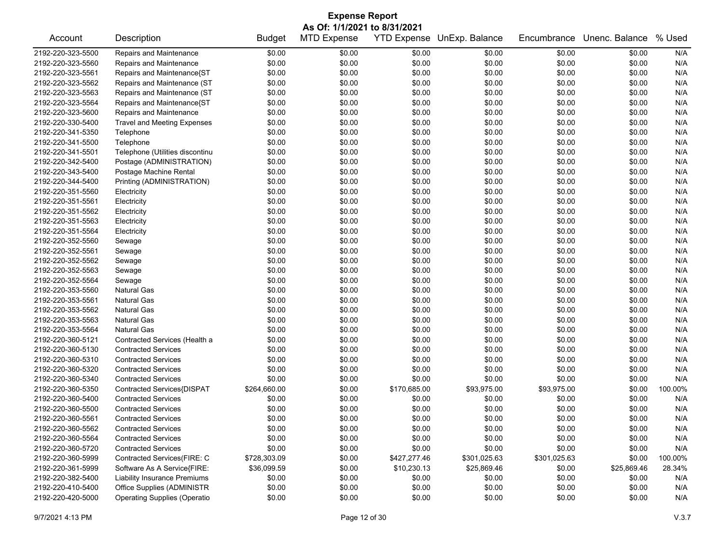| <b>Expense Report</b> |                                     |               |                    |                    |                |              |                |         |  |  |
|-----------------------|-------------------------------------|---------------|--------------------|--------------------|----------------|--------------|----------------|---------|--|--|
|                       | As Of: 1/1/2021 to 8/31/2021        |               |                    |                    |                |              |                |         |  |  |
| Account               | Description                         | <b>Budget</b> | <b>MTD Expense</b> | <b>YTD Expense</b> | UnExp. Balance | Encumbrance  | Unenc. Balance | % Used  |  |  |
| 2192-220-323-5500     | Repairs and Maintenance             | \$0.00        | \$0.00             | \$0.00             | \$0.00         | \$0.00       | \$0.00         | N/A     |  |  |
| 2192-220-323-5560     | Repairs and Maintenance             | \$0.00        | \$0.00             | \$0.00             | \$0.00         | \$0.00       | \$0.00         | N/A     |  |  |
| 2192-220-323-5561     | Repairs and Maintenance{ST          | \$0.00        | \$0.00             | \$0.00             | \$0.00         | \$0.00       | \$0.00         | N/A     |  |  |
| 2192-220-323-5562     | Repairs and Maintenance (ST         | \$0.00        | \$0.00             | \$0.00             | \$0.00         | \$0.00       | \$0.00         | N/A     |  |  |
| 2192-220-323-5563     | Repairs and Maintenance (ST         | \$0.00        | \$0.00             | \$0.00             | \$0.00         | \$0.00       | \$0.00         | N/A     |  |  |
| 2192-220-323-5564     | Repairs and Maintenance{ST          | \$0.00        | \$0.00             | \$0.00             | \$0.00         | \$0.00       | \$0.00         | N/A     |  |  |
| 2192-220-323-5600     | Repairs and Maintenance             | \$0.00        | \$0.00             | \$0.00             | \$0.00         | \$0.00       | \$0.00         | N/A     |  |  |
| 2192-220-330-5400     | <b>Travel and Meeting Expenses</b>  | \$0.00        | \$0.00             | \$0.00             | \$0.00         | \$0.00       | \$0.00         | N/A     |  |  |
| 2192-220-341-5350     | Telephone                           | \$0.00        | \$0.00             | \$0.00             | \$0.00         | \$0.00       | \$0.00         | N/A     |  |  |
| 2192-220-341-5500     | Telephone                           | \$0.00        | \$0.00             | \$0.00             | \$0.00         | \$0.00       | \$0.00         | N/A     |  |  |
| 2192-220-341-5501     | Telephone (Utilities discontinu     | \$0.00        | \$0.00             | \$0.00             | \$0.00         | \$0.00       | \$0.00         | N/A     |  |  |
| 2192-220-342-5400     | Postage (ADMINISTRATION)            | \$0.00        | \$0.00             | \$0.00             | \$0.00         | \$0.00       | \$0.00         | N/A     |  |  |
| 2192-220-343-5400     | Postage Machine Rental              | \$0.00        | \$0.00             | \$0.00             | \$0.00         | \$0.00       | \$0.00         | N/A     |  |  |
| 2192-220-344-5400     | Printing (ADMINISTRATION)           | \$0.00        | \$0.00             | \$0.00             | \$0.00         | \$0.00       | \$0.00         | N/A     |  |  |
| 2192-220-351-5560     | Electricity                         | \$0.00        | \$0.00             | \$0.00             | \$0.00         | \$0.00       | \$0.00         | N/A     |  |  |
| 2192-220-351-5561     | Electricity                         | \$0.00        | \$0.00             | \$0.00             | \$0.00         | \$0.00       | \$0.00         | N/A     |  |  |
| 2192-220-351-5562     | Electricity                         | \$0.00        | \$0.00             | \$0.00             | \$0.00         | \$0.00       | \$0.00         | N/A     |  |  |
| 2192-220-351-5563     | Electricity                         | \$0.00        | \$0.00             | \$0.00             | \$0.00         | \$0.00       | \$0.00         | N/A     |  |  |
| 2192-220-351-5564     | Electricity                         | \$0.00        | \$0.00             | \$0.00             | \$0.00         | \$0.00       | \$0.00         | N/A     |  |  |
| 2192-220-352-5560     | Sewage                              | \$0.00        | \$0.00             | \$0.00             | \$0.00         | \$0.00       | \$0.00         | N/A     |  |  |
| 2192-220-352-5561     | Sewage                              | \$0.00        | \$0.00             | \$0.00             | \$0.00         | \$0.00       | \$0.00         | N/A     |  |  |
| 2192-220-352-5562     | Sewage                              | \$0.00        | \$0.00             | \$0.00             | \$0.00         | \$0.00       | \$0.00         | N/A     |  |  |
| 2192-220-352-5563     | Sewage                              | \$0.00        | \$0.00             | \$0.00             | \$0.00         | \$0.00       | \$0.00         | N/A     |  |  |
| 2192-220-352-5564     | Sewage                              | \$0.00        | \$0.00             | \$0.00             | \$0.00         | \$0.00       | \$0.00         | N/A     |  |  |
| 2192-220-353-5560     | <b>Natural Gas</b>                  | \$0.00        | \$0.00             | \$0.00             | \$0.00         | \$0.00       | \$0.00         | N/A     |  |  |
| 2192-220-353-5561     | <b>Natural Gas</b>                  | \$0.00        | \$0.00             | \$0.00             | \$0.00         | \$0.00       | \$0.00         | N/A     |  |  |
| 2192-220-353-5562     | <b>Natural Gas</b>                  | \$0.00        | \$0.00             | \$0.00             | \$0.00         | \$0.00       | \$0.00         | N/A     |  |  |
| 2192-220-353-5563     | <b>Natural Gas</b>                  | \$0.00        | \$0.00             | \$0.00             | \$0.00         | \$0.00       | \$0.00         | N/A     |  |  |
| 2192-220-353-5564     | <b>Natural Gas</b>                  | \$0.00        | \$0.00             | \$0.00             | \$0.00         | \$0.00       | \$0.00         | N/A     |  |  |
| 2192-220-360-5121     | Contracted Services (Health a       | \$0.00        | \$0.00             | \$0.00             | \$0.00         | \$0.00       | \$0.00         | N/A     |  |  |
| 2192-220-360-5130     | <b>Contracted Services</b>          | \$0.00        | \$0.00             | \$0.00             | \$0.00         | \$0.00       | \$0.00         | N/A     |  |  |
| 2192-220-360-5310     | <b>Contracted Services</b>          | \$0.00        | \$0.00             | \$0.00             | \$0.00         | \$0.00       | \$0.00         | N/A     |  |  |
| 2192-220-360-5320     | <b>Contracted Services</b>          | \$0.00        | \$0.00             | \$0.00             | \$0.00         | \$0.00       | \$0.00         | N/A     |  |  |
| 2192-220-360-5340     | <b>Contracted Services</b>          | \$0.00        | \$0.00             | \$0.00             | \$0.00         | \$0.00       | \$0.00         | N/A     |  |  |
| 2192-220-360-5350     | Contracted Services{DISPAT          | \$264,660.00  | \$0.00             | \$170,685.00       | \$93,975.00    | \$93,975.00  | \$0.00         | 100.00% |  |  |
| 2192-220-360-5400     | <b>Contracted Services</b>          | \$0.00        | \$0.00             | \$0.00             | \$0.00         | \$0.00       | \$0.00         | N/A     |  |  |
| 2192-220-360-5500     | <b>Contracted Services</b>          | \$0.00        | \$0.00             | \$0.00             | \$0.00         | \$0.00       | \$0.00         | N/A     |  |  |
| 2192-220-360-5561     | <b>Contracted Services</b>          | \$0.00        | \$0.00             | \$0.00             | \$0.00         | \$0.00       | \$0.00         | N/A     |  |  |
| 2192-220-360-5562     | <b>Contracted Services</b>          | \$0.00        | \$0.00             | \$0.00             | \$0.00         | \$0.00       | \$0.00         | N/A     |  |  |
| 2192-220-360-5564     | <b>Contracted Services</b>          | \$0.00        | \$0.00             | \$0.00             | \$0.00         | \$0.00       | \$0.00         | N/A     |  |  |
| 2192-220-360-5720     | <b>Contracted Services</b>          | \$0.00        | \$0.00             | \$0.00             | \$0.00         | \$0.00       | \$0.00         | N/A     |  |  |
| 2192-220-360-5999     | Contracted Services(FIRE: C         | \$728,303.09  | \$0.00             | \$427,277.46       | \$301,025.63   | \$301,025.63 | \$0.00         | 100.00% |  |  |
| 2192-220-361-5999     | Software As A Service{FIRE:         | \$36,099.59   | \$0.00             | \$10,230.13        | \$25,869.46    | \$0.00       | \$25,869.46    | 28.34%  |  |  |
| 2192-220-382-5400     | Liability Insurance Premiums        | \$0.00        | \$0.00             | \$0.00             | \$0.00         | \$0.00       | \$0.00         | N/A     |  |  |
| 2192-220-410-5400     | Office Supplies (ADMINISTR          | \$0.00        | \$0.00             | \$0.00             | \$0.00         | \$0.00       | \$0.00         | N/A     |  |  |
| 2192-220-420-5000     | <b>Operating Supplies (Operatio</b> | \$0.00        | \$0.00             | \$0.00             | \$0.00         | \$0.00       | \$0.00         | N/A     |  |  |
|                       |                                     |               |                    |                    |                |              |                |         |  |  |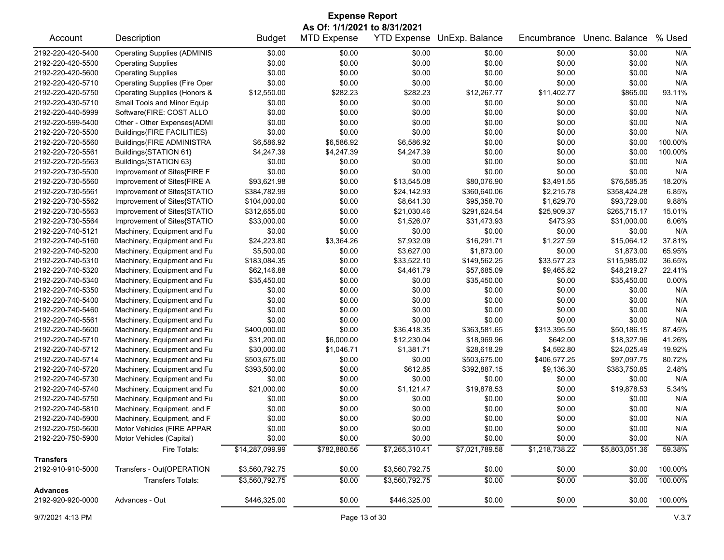| <b>Expense Report</b> |                                      |                 |                    |                  |                            |                |                |         |  |  |
|-----------------------|--------------------------------------|-----------------|--------------------|------------------|----------------------------|----------------|----------------|---------|--|--|
|                       | As Of: 1/1/2021 to 8/31/2021         |                 |                    |                  |                            |                |                |         |  |  |
| Account               | Description                          | <b>Budget</b>   | <b>MTD Expense</b> |                  | YTD Expense UnExp. Balance | Encumbrance    | Unenc. Balance | % Used  |  |  |
| 2192-220-420-5400     | <b>Operating Supplies (ADMINIS</b>   | \$0.00          | \$0.00             | \$0.00           | \$0.00                     | \$0.00         | \$0.00         | N/A     |  |  |
| 2192-220-420-5500     | <b>Operating Supplies</b>            | \$0.00          | \$0.00             | \$0.00           | \$0.00                     | \$0.00         | \$0.00         | N/A     |  |  |
| 2192-220-420-5600     | <b>Operating Supplies</b>            | \$0.00          | \$0.00             | \$0.00           | \$0.00                     | \$0.00         | \$0.00         | N/A     |  |  |
| 2192-220-420-5710     | <b>Operating Supplies (Fire Oper</b> | \$0.00          | \$0.00             | \$0.00           | \$0.00                     | \$0.00         | \$0.00         | N/A     |  |  |
| 2192-220-420-5750     | Operating Supplies (Honors &         | \$12,550.00     | \$282.23           | \$282.23         | \$12,267.77                | \$11,402.77    | \$865.00       | 93.11%  |  |  |
| 2192-220-430-5710     | Small Tools and Minor Equip          | \$0.00          | \$0.00             | \$0.00           | \$0.00                     | \$0.00         | \$0.00         | N/A     |  |  |
| 2192-220-440-5999     | Software(FIRE: COST ALLO             | \$0.00          | \$0.00             | \$0.00           | \$0.00                     | \$0.00         | \$0.00         | N/A     |  |  |
| 2192-220-599-5400     | Other - Other Expenses{ADMI          | \$0.00          | \$0.00             | \$0.00           | \$0.00                     | \$0.00         | \$0.00         | N/A     |  |  |
| 2192-220-720-5500     | Buildings{FIRE FACILITIES}           | \$0.00          | \$0.00             | \$0.00           | \$0.00                     | \$0.00         | \$0.00         | N/A     |  |  |
| 2192-220-720-5560     | Buildings{FIRE ADMINISTRA            | \$6,586.92      | \$6,586.92         | \$6,586.92       | \$0.00                     | \$0.00         | \$0.00         | 100.00% |  |  |
| 2192-220-720-5561     | Buildings{STATION 61}                | \$4,247.39      | \$4,247.39         | \$4,247.39       | \$0.00                     | \$0.00         | \$0.00         | 100.00% |  |  |
| 2192-220-720-5563     | Buildings{STATION 63}                | \$0.00          | \$0.00             | \$0.00           | \$0.00                     | \$0.00         | \$0.00         | N/A     |  |  |
| 2192-220-730-5500     | Improvement of Sites{FIRE F          | \$0.00          | \$0.00             | \$0.00           | \$0.00                     | \$0.00         | \$0.00         | N/A     |  |  |
| 2192-220-730-5560     | Improvement of Sites{FIRE A          | \$93,621.98     | \$0.00             | \$13,545.08      | \$80,076.90                | \$3,491.55     | \$76,585.35    | 18.20%  |  |  |
| 2192-220-730-5561     | Improvement of Sites{STATIO          | \$384,782.99    | \$0.00             | \$24,142.93      | \$360,640.06               | \$2,215.78     | \$358,424.28   | 6.85%   |  |  |
| 2192-220-730-5562     | Improvement of Sites{STATIO          | \$104,000.00    | \$0.00             | \$8,641.30       | \$95,358.70                | \$1,629.70     | \$93,729.00    | 9.88%   |  |  |
| 2192-220-730-5563     | Improvement of Sites{STATIO          | \$312,655.00    | \$0.00             | \$21,030.46      | \$291,624.54               | \$25,909.37    | \$265,715.17   | 15.01%  |  |  |
| 2192-220-730-5564     | Improvement of Sites{STATIO          | \$33,000.00     | \$0.00             | \$1,526.07       | \$31,473.93                | \$473.93       | \$31,000.00    | 6.06%   |  |  |
| 2192-220-740-5121     | Machinery, Equipment and Fu          | \$0.00          | \$0.00             | \$0.00           | \$0.00                     | \$0.00         | \$0.00         | N/A     |  |  |
| 2192-220-740-5160     | Machinery, Equipment and Fu          | \$24,223.80     | \$3,364.26         | \$7,932.09       | \$16,291.71                | \$1,227.59     | \$15,064.12    | 37.81%  |  |  |
| 2192-220-740-5200     | Machinery, Equipment and Fu          | \$5,500.00      | \$0.00             | \$3,627.00       | \$1,873.00                 | \$0.00         | \$1,873.00     | 65.95%  |  |  |
| 2192-220-740-5310     | Machinery, Equipment and Fu          | \$183,084.35    | \$0.00             | \$33,522.10      | \$149,562.25               | \$33,577.23    | \$115,985.02   | 36.65%  |  |  |
| 2192-220-740-5320     | Machinery, Equipment and Fu          | \$62,146.88     | \$0.00             | \$4,461.79       | \$57,685.09                | \$9,465.82     | \$48,219.27    | 22.41%  |  |  |
| 2192-220-740-5340     | Machinery, Equipment and Fu          | \$35,450.00     | \$0.00             | \$0.00           | \$35,450.00                | \$0.00         | \$35,450.00    | 0.00%   |  |  |
|                       |                                      |                 |                    |                  |                            |                |                |         |  |  |
| 2192-220-740-5350     | Machinery, Equipment and Fu          | \$0.00          | \$0.00             | \$0.00<br>\$0.00 | \$0.00                     | \$0.00         | \$0.00         | N/A     |  |  |
| 2192-220-740-5400     | Machinery, Equipment and Fu          | \$0.00          | \$0.00             |                  | \$0.00                     | \$0.00         | \$0.00         | N/A     |  |  |
| 2192-220-740-5460     | Machinery, Equipment and Fu          | \$0.00          | \$0.00             | \$0.00           | \$0.00                     | \$0.00         | \$0.00         | N/A     |  |  |
| 2192-220-740-5561     | Machinery, Equipment and Fu          | \$0.00          | \$0.00             | \$0.00           | \$0.00                     | \$0.00         | \$0.00         | N/A     |  |  |
| 2192-220-740-5600     | Machinery, Equipment and Fu          | \$400,000.00    | \$0.00             | \$36,418.35      | \$363,581.65               | \$313,395.50   | \$50,186.15    | 87.45%  |  |  |
| 2192-220-740-5710     | Machinery, Equipment and Fu          | \$31,200.00     | \$6,000.00         | \$12,230.04      | \$18,969.96                | \$642.00       | \$18,327.96    | 41.26%  |  |  |
| 2192-220-740-5712     | Machinery, Equipment and Fu          | \$30,000.00     | \$1,046.71         | \$1,381.71       | \$28,618.29                | \$4,592.80     | \$24,025.49    | 19.92%  |  |  |
| 2192-220-740-5714     | Machinery, Equipment and Fu          | \$503,675.00    | \$0.00             | \$0.00           | \$503,675.00               | \$406,577.25   | \$97,097.75    | 80.72%  |  |  |
| 2192-220-740-5720     | Machinery, Equipment and Fu          | \$393,500.00    | \$0.00             | \$612.85         | \$392,887.15               | \$9,136.30     | \$383,750.85   | 2.48%   |  |  |
| 2192-220-740-5730     | Machinery, Equipment and Fu          | \$0.00          | \$0.00             | \$0.00           | \$0.00                     | \$0.00         | \$0.00         | N/A     |  |  |
| 2192-220-740-5740     | Machinery, Equipment and Fu          | \$21,000.00     | \$0.00             | \$1,121.47       | \$19,878.53                | \$0.00         | \$19,878.53    | 5.34%   |  |  |
| 2192-220-740-5750     | Machinery, Equipment and Fu          | \$0.00          | \$0.00             | \$0.00           | \$0.00                     | \$0.00         | \$0.00         | N/A     |  |  |
| 2192-220-740-5810     | Machinery, Equipment, and F          | \$0.00          | \$0.00             | \$0.00           | \$0.00                     | \$0.00         | \$0.00         | N/A     |  |  |
| 2192-220-740-5900     | Machinery, Equipment, and F          | \$0.00          | \$0.00             | \$0.00           | \$0.00                     | \$0.00         | \$0.00         | N/A     |  |  |
| 2192-220-750-5600     | Motor Vehicles (FIRE APPAR           | \$0.00          | \$0.00             | \$0.00           | \$0.00                     | \$0.00         | \$0.00         | N/A     |  |  |
| 2192-220-750-5900     | Motor Vehicles (Capital)             | \$0.00          | \$0.00             | \$0.00           | \$0.00                     | \$0.00         | \$0.00         | N/A     |  |  |
|                       | Fire Totals:                         | \$14,287,099.99 | \$782,880.56       | \$7,265,310.41   | \$7,021,789.58             | \$1,218,738.22 | \$5,803,051.36 | 59.38%  |  |  |
| <b>Transfers</b>      |                                      |                 |                    |                  |                            |                |                |         |  |  |
| 2192-910-910-5000     | Transfers - Out{OPERATION            | \$3,560,792.75  | \$0.00             | \$3,560,792.75   | \$0.00                     | \$0.00         | \$0.00         | 100.00% |  |  |
|                       | <b>Transfers Totals:</b>             | \$3,560,792.75  | \$0.00             | \$3,560,792.75   | \$0.00                     | \$0.00         | \$0.00         | 100.00% |  |  |
| <b>Advances</b>       |                                      |                 |                    |                  |                            |                |                |         |  |  |
| 2192-920-920-0000     | Advances - Out                       | \$446,325.00    | \$0.00             | \$446,325.00     | \$0.00                     | \$0.00         | \$0.00         | 100.00% |  |  |
|                       |                                      |                 |                    |                  |                            |                |                |         |  |  |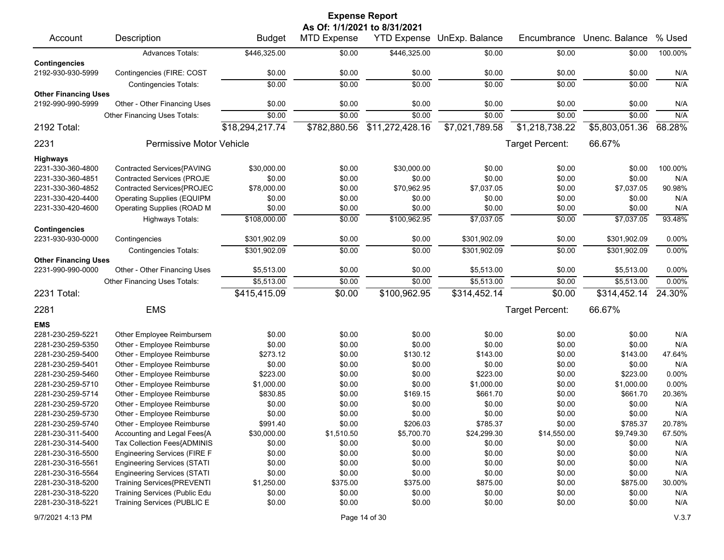| <b>Expense Report</b>                            |                                     |                 |                    |                              |                            |                 |                |         |  |  |
|--------------------------------------------------|-------------------------------------|-----------------|--------------------|------------------------------|----------------------------|-----------------|----------------|---------|--|--|
|                                                  |                                     |                 |                    | As Of: 1/1/2021 to 8/31/2021 |                            |                 |                |         |  |  |
| Account                                          | Description                         | <b>Budget</b>   | <b>MTD Expense</b> |                              | YTD Expense UnExp. Balance | Encumbrance     | Unenc. Balance | % Used  |  |  |
|                                                  | <b>Advances Totals:</b>             | \$446,325.00    | \$0.00             | \$446,325.00                 | \$0.00                     | \$0.00          | \$0.00         | 100.00% |  |  |
| <b>Contingencies</b>                             |                                     |                 |                    |                              |                            |                 |                |         |  |  |
| 2192-930-930-5999                                | Contingencies (FIRE: COST           | \$0.00          | \$0.00             | \$0.00                       | \$0.00                     | \$0.00          | \$0.00         | N/A     |  |  |
|                                                  | <b>Contingencies Totals:</b>        | \$0.00          | \$0.00             | \$0.00                       | \$0.00                     | \$0.00          | \$0.00         | N/A     |  |  |
| <b>Other Financing Uses</b><br>2192-990-990-5999 | Other - Other Financing Uses        | \$0.00          | \$0.00             | \$0.00                       | \$0.00                     | \$0.00          | \$0.00         | N/A     |  |  |
|                                                  | Other Financing Uses Totals:        | \$0.00          | \$0.00             | \$0.00                       | \$0.00                     | \$0.00          | \$0.00         | N/A     |  |  |
| 2192 Total:                                      |                                     | \$18,294,217.74 | \$782,880.56       | \$11,272,428.16              | \$7,021,789.58             | \$1,218,738.22  | \$5,803,051.36 | 68.28%  |  |  |
|                                                  |                                     |                 |                    |                              |                            |                 |                |         |  |  |
| 2231                                             | Permissive Motor Vehicle            |                 |                    |                              |                            | Target Percent: | 66.67%         |         |  |  |
| <b>Highways</b>                                  |                                     |                 |                    |                              |                            |                 |                |         |  |  |
| 2231-330-360-4800                                | Contracted Services{PAVING          | \$30,000.00     | \$0.00             | \$30,000.00                  | \$0.00                     | \$0.00          | \$0.00         | 100.00% |  |  |
| 2231-330-360-4851                                | <b>Contracted Services (PROJE</b>   | \$0.00          | \$0.00             | \$0.00                       | \$0.00                     | \$0.00          | \$0.00         | N/A     |  |  |
| 2231-330-360-4852                                | Contracted Services{PROJEC          | \$78,000.00     | \$0.00             | \$70,962.95                  | \$7,037.05                 | \$0.00          | \$7,037.05     | 90.98%  |  |  |
| 2231-330-420-4400                                | <b>Operating Supplies (EQUIPM</b>   | \$0.00          | \$0.00             | \$0.00                       | \$0.00                     | \$0.00          | \$0.00         | N/A     |  |  |
| 2231-330-420-4600                                | <b>Operating Supplies (ROAD M</b>   | \$0.00          | \$0.00             | \$0.00                       | \$0.00                     | \$0.00          | \$0.00         | N/A     |  |  |
|                                                  | <b>Highways Totals:</b>             | \$108,000.00    | \$0.00             | \$100,962.95                 | \$7,037.05                 | \$0.00          | \$7,037.05     | 93.48%  |  |  |
| <b>Contingencies</b>                             |                                     |                 |                    |                              |                            |                 |                |         |  |  |
| 2231-930-930-0000                                | Contingencies                       | \$301,902.09    | \$0.00             | \$0.00                       | \$301,902.09               | \$0.00          | \$301,902.09   | 0.00%   |  |  |
|                                                  | <b>Contingencies Totals:</b>        | \$301,902.09    | \$0.00             | \$0.00                       | \$301,902.09               | \$0.00          | \$301,902.09   | 0.00%   |  |  |
| <b>Other Financing Uses</b>                      |                                     |                 |                    |                              |                            |                 |                |         |  |  |
| 2231-990-990-0000                                | Other - Other Financing Uses        | \$5,513.00      | \$0.00             | \$0.00                       | \$5,513.00                 | \$0.00          | \$5,513.00     | 0.00%   |  |  |
|                                                  | Other Financing Uses Totals:        | \$5,513.00      | \$0.00             | \$0.00                       | \$5,513.00                 | \$0.00          | \$5,513.00     | 0.00%   |  |  |
| 2231 Total:                                      |                                     | \$415,415.09    | \$0.00             | \$100,962.95                 | \$314,452.14               | \$0.00          | \$314,452.14   | 24.30%  |  |  |
| 2281                                             | <b>EMS</b>                          |                 |                    |                              |                            | Target Percent: | 66.67%         |         |  |  |
| <b>EMS</b>                                       |                                     |                 |                    |                              |                            |                 |                |         |  |  |
| 2281-230-259-5221                                | Other Employee Reimbursem           | \$0.00          | \$0.00             | \$0.00                       | \$0.00                     | \$0.00          | \$0.00         | N/A     |  |  |
| 2281-230-259-5350                                | Other - Employee Reimburse          | \$0.00          | \$0.00             | \$0.00                       | \$0.00                     | \$0.00          | \$0.00         | N/A     |  |  |
| 2281-230-259-5400                                | Other - Employee Reimburse          | \$273.12        | \$0.00             | \$130.12                     | \$143.00                   | \$0.00          | \$143.00       | 47.64%  |  |  |
| 2281-230-259-5401                                | Other - Employee Reimburse          | \$0.00          | \$0.00             | \$0.00                       | \$0.00                     | \$0.00          | \$0.00         | N/A     |  |  |
| 2281-230-259-5460                                | Other - Employee Reimburse          | \$223.00        | \$0.00             | \$0.00                       | \$223.00                   | \$0.00          | \$223.00       | 0.00%   |  |  |
| 2281-230-259-5710                                | Other - Employee Reimburse          | \$1,000.00      | \$0.00             | \$0.00                       | \$1,000.00                 | \$0.00          | \$1,000.00     | 0.00%   |  |  |
| 2281-230-259-5714                                | Other - Employee Reimburse          | \$830.85        | \$0.00             | \$169.15                     | \$661.70                   | \$0.00          | \$661.70       | 20.36%  |  |  |
| 2281-230-259-5720                                | Other - Employee Reimburse          | \$0.00          | \$0.00             | \$0.00                       | \$0.00                     | \$0.00          | \$0.00         | N/A     |  |  |
| 2281-230-259-5730                                | Other - Employee Reimburse          | \$0.00          | \$0.00             | \$0.00                       | \$0.00                     | \$0.00          | \$0.00         | N/A     |  |  |
| 2281-230-259-5740                                | Other - Employee Reimburse          | \$991.40        | \$0.00             | \$206.03                     | \$785.37                   | \$0.00          | \$785.37       | 20.78%  |  |  |
| 2281-230-311-5400                                | Accounting and Legal Fees{A         | \$30,000.00     | \$1,510.50         | \$5,700.70                   | \$24,299.30                | \$14,550.00     | \$9,749.30     | 67.50%  |  |  |
| 2281-230-314-5400                                | Tax Collection Fees{ADMINIS         | \$0.00          | \$0.00             | \$0.00                       | \$0.00                     | \$0.00          | \$0.00         | N/A     |  |  |
| 2281-230-316-5500                                | <b>Engineering Services (FIRE F</b> | \$0.00          | \$0.00             | \$0.00                       | \$0.00                     | \$0.00          | \$0.00         | N/A     |  |  |
| 2281-230-316-5561                                | <b>Engineering Services (STATI</b>  | \$0.00          | \$0.00             | \$0.00                       | \$0.00                     | \$0.00          | \$0.00         | N/A     |  |  |
| 2281-230-316-5564                                | <b>Engineering Services (STATI</b>  | \$0.00          | \$0.00             | \$0.00                       | \$0.00                     | \$0.00          | \$0.00         | N/A     |  |  |
| 2281-230-318-5200                                | Training Services{PREVENTI          | \$1,250.00      | \$375.00           | \$375.00                     | \$875.00                   | \$0.00          | \$875.00       | 30.00%  |  |  |
| 2281-230-318-5220                                | Training Services (Public Edu       | \$0.00          | \$0.00             | \$0.00                       | \$0.00                     | \$0.00          | \$0.00         | N/A     |  |  |
| 2281-230-318-5221                                | Training Services (PUBLIC E         | \$0.00          | \$0.00             | \$0.00                       | \$0.00                     | \$0.00          | \$0.00         | N/A     |  |  |
|                                                  |                                     |                 |                    |                              |                            |                 |                |         |  |  |

9/7/2021 4:13 PM Page 14 of 30 V.3.7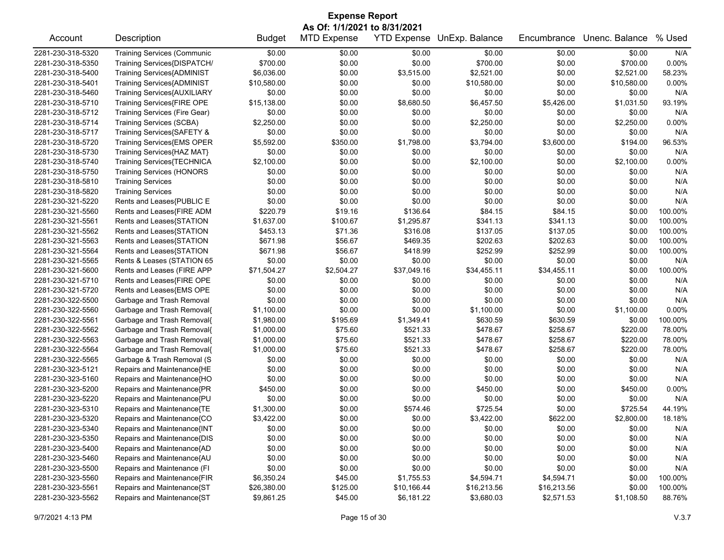| <b>Expense Report</b> |                                    |               |                              |                    |                |             |                |          |  |
|-----------------------|------------------------------------|---------------|------------------------------|--------------------|----------------|-------------|----------------|----------|--|
|                       |                                    |               | As Of: 1/1/2021 to 8/31/2021 |                    |                |             |                |          |  |
| Account               | Description                        | <b>Budget</b> | <b>MTD Expense</b>           | <b>YTD Expense</b> | UnExp. Balance | Encumbrance | Unenc. Balance | % Used   |  |
| 2281-230-318-5320     | <b>Training Services (Communic</b> | \$0.00        | \$0.00                       | \$0.00             | \$0.00         | \$0.00      | \$0.00         | N/A      |  |
| 2281-230-318-5350     | Training Services{DISPATCH/        | \$700.00      | \$0.00                       | \$0.00             | \$700.00       | \$0.00      | \$700.00       | 0.00%    |  |
| 2281-230-318-5400     | <b>Training Services{ADMINIST</b>  | \$6,036.00    | \$0.00                       | \$3,515.00         | \$2,521.00     | \$0.00      | \$2,521.00     | 58.23%   |  |
| 2281-230-318-5401     | <b>Training Services{ADMINIST</b>  | \$10,580.00   | \$0.00                       | \$0.00             | \$10,580.00    | \$0.00      | \$10,580.00    | 0.00%    |  |
| 2281-230-318-5460     | Training Services{AUXILIARY        | \$0.00        | \$0.00                       | \$0.00             | \$0.00         | \$0.00      | \$0.00         | N/A      |  |
| 2281-230-318-5710     | Training Services{FIRE OPE         | \$15,138.00   | \$0.00                       | \$8,680.50         | \$6,457.50     | \$5,426.00  | \$1,031.50     | 93.19%   |  |
| 2281-230-318-5712     | Training Services (Fire Gear)      | \$0.00        | \$0.00                       | \$0.00             | \$0.00         | \$0.00      | \$0.00         | N/A      |  |
| 2281-230-318-5714     | Training Services (SCBA)           | \$2,250.00    | \$0.00                       | \$0.00             | \$2,250.00     | \$0.00      | \$2,250.00     | 0.00%    |  |
| 2281-230-318-5717     | Training Services{SAFETY &         | \$0.00        | \$0.00                       | \$0.00             | \$0.00         | \$0.00      | \$0.00         | N/A      |  |
| 2281-230-318-5720     | Training Services{EMS OPER         | \$5,592.00    | \$350.00                     | \$1,798.00         | \$3,794.00     | \$3,600.00  | \$194.00       | 96.53%   |  |
| 2281-230-318-5730     | Training Services{HAZ MAT}         | \$0.00        | \$0.00                       | \$0.00             | \$0.00         | \$0.00      | \$0.00         | N/A      |  |
| 2281-230-318-5740     | Training Services{TECHNICA         | \$2,100.00    | \$0.00                       | \$0.00             | \$2,100.00     | \$0.00      | \$2,100.00     | 0.00%    |  |
| 2281-230-318-5750     | <b>Training Services (HONORS</b>   | \$0.00        | \$0.00                       | \$0.00             | \$0.00         | \$0.00      | \$0.00         | N/A      |  |
| 2281-230-318-5810     | <b>Training Services</b>           | \$0.00        | \$0.00                       | \$0.00             | \$0.00         | \$0.00      | \$0.00         | N/A      |  |
| 2281-230-318-5820     | <b>Training Services</b>           | \$0.00        | \$0.00                       | \$0.00             | \$0.00         | \$0.00      | \$0.00         | N/A      |  |
| 2281-230-321-5220     | Rents and Leases{PUBLIC E          | \$0.00        | \$0.00                       | \$0.00             | \$0.00         | \$0.00      | \$0.00         | N/A      |  |
| 2281-230-321-5560     | Rents and Leases{FIRE ADM          | \$220.79      | \$19.16                      | \$136.64           | \$84.15        | \$84.15     | \$0.00         | 100.00%  |  |
| 2281-230-321-5561     | Rents and Leases{STATION           | \$1,637.00    | \$100.67                     | \$1,295.87         | \$341.13       | \$341.13    | \$0.00         | 100.00%  |  |
| 2281-230-321-5562     | Rents and Leases{STATION           | \$453.13      | \$71.36                      | \$316.08           | \$137.05       | \$137.05    | \$0.00         | 100.00%  |  |
| 2281-230-321-5563     | Rents and Leases{STATION           | \$671.98      | \$56.67                      | \$469.35           | \$202.63       | \$202.63    | \$0.00         | 100.00%  |  |
| 2281-230-321-5564     | Rents and Leases{STATION           | \$671.98      | \$56.67                      | \$418.99           | \$252.99       | \$252.99    | \$0.00         | 100.00%  |  |
| 2281-230-321-5565     | Rents & Leases (STATION 65         | \$0.00        | \$0.00                       | \$0.00             | \$0.00         | \$0.00      | \$0.00         | N/A      |  |
| 2281-230-321-5600     | Rents and Leases (FIRE APP         | \$71,504.27   | \$2,504.27                   | \$37,049.16        | \$34,455.11    | \$34,455.11 | \$0.00         | 100.00%  |  |
| 2281-230-321-5710     | Rents and Leases{FIRE OPE          | \$0.00        | \$0.00                       | \$0.00             | \$0.00         | \$0.00      | \$0.00         | N/A      |  |
| 2281-230-321-5720     | Rents and Leases{EMS OPE           | \$0.00        | \$0.00                       | \$0.00             | \$0.00         | \$0.00      | \$0.00         | N/A      |  |
| 2281-230-322-5500     | Garbage and Trash Removal          | \$0.00        | \$0.00                       | \$0.00             | \$0.00         | \$0.00      | \$0.00         | N/A      |  |
| 2281-230-322-5560     | Garbage and Trash Removal{         | \$1,100.00    | \$0.00                       | \$0.00             | \$1,100.00     | \$0.00      | \$1,100.00     | $0.00\%$ |  |
| 2281-230-322-5561     | Garbage and Trash Removal{         | \$1,980.00    | \$195.69                     | \$1,349.41         | \$630.59       | \$630.59    | \$0.00         | 100.00%  |  |
| 2281-230-322-5562     | Garbage and Trash Removal{         | \$1,000.00    | \$75.60                      | \$521.33           | \$478.67       | \$258.67    | \$220.00       | 78.00%   |  |
| 2281-230-322-5563     | Garbage and Trash Removal{         | \$1,000.00    | \$75.60                      | \$521.33           | \$478.67       | \$258.67    | \$220.00       | 78.00%   |  |
| 2281-230-322-5564     | Garbage and Trash Removal{         | \$1,000.00    | \$75.60                      | \$521.33           | \$478.67       | \$258.67    | \$220.00       | 78.00%   |  |
| 2281-230-322-5565     | Garbage & Trash Removal (S         | \$0.00        | \$0.00                       | \$0.00             | \$0.00         | \$0.00      | \$0.00         | N/A      |  |
| 2281-230-323-5121     | Repairs and Maintenance{HE         | \$0.00        | \$0.00                       | \$0.00             | \$0.00         | \$0.00      | \$0.00         | N/A      |  |
| 2281-230-323-5160     | Repairs and Maintenance{HO         | \$0.00        | \$0.00                       | \$0.00             | \$0.00         | \$0.00      | \$0.00         | N/A      |  |
| 2281-230-323-5200     | Repairs and Maintenance{PR         | \$450.00      | \$0.00                       | \$0.00             | \$450.00       | \$0.00      | \$450.00       | 0.00%    |  |
| 2281-230-323-5220     | Repairs and Maintenance{PU         | \$0.00        | \$0.00                       | \$0.00             | \$0.00         | \$0.00      | \$0.00         | N/A      |  |
| 2281-230-323-5310     | Repairs and Maintenance{TE         | \$1,300.00    | \$0.00                       | \$574.46           | \$725.54       | \$0.00      | \$725.54       | 44.19%   |  |
| 2281-230-323-5320     | Repairs and Maintenance{CO         | \$3,422.00    | \$0.00                       | \$0.00             | \$3,422.00     | \$622.00    | \$2,800.00     | 18.18%   |  |
| 2281-230-323-5340     | Repairs and Maintenance{INT        | \$0.00        | \$0.00                       | \$0.00             | \$0.00         | \$0.00      | \$0.00         | N/A      |  |
| 2281-230-323-5350     | Repairs and Maintenance{DIS        | \$0.00        | \$0.00                       | \$0.00             | \$0.00         | \$0.00      | \$0.00         | N/A      |  |
| 2281-230-323-5400     | Repairs and Maintenance{AD         | \$0.00        | \$0.00                       | \$0.00             | \$0.00         | \$0.00      | \$0.00         | N/A      |  |
| 2281-230-323-5460     | Repairs and Maintenance{AU         | \$0.00        | \$0.00                       | \$0.00             | \$0.00         | \$0.00      | \$0.00         | N/A      |  |
| 2281-230-323-5500     | Repairs and Maintenance (FI        | \$0.00        | \$0.00                       | \$0.00             | \$0.00         | \$0.00      | \$0.00         | N/A      |  |
| 2281-230-323-5560     | Repairs and Maintenance{FIR        | \$6,350.24    | \$45.00                      | \$1,755.53         | \$4,594.71     | \$4,594.71  | \$0.00         | 100.00%  |  |
| 2281-230-323-5561     | Repairs and Maintenance{ST         | \$26,380.00   | \$125.00                     | \$10,166.44        | \$16,213.56    | \$16,213.56 | \$0.00         | 100.00%  |  |
| 2281-230-323-5562     | Repairs and Maintenance{ST         | \$9,861.25    | \$45.00                      | \$6,181.22         | \$3,680.03     | \$2,571.53  | \$1,108.50     | 88.76%   |  |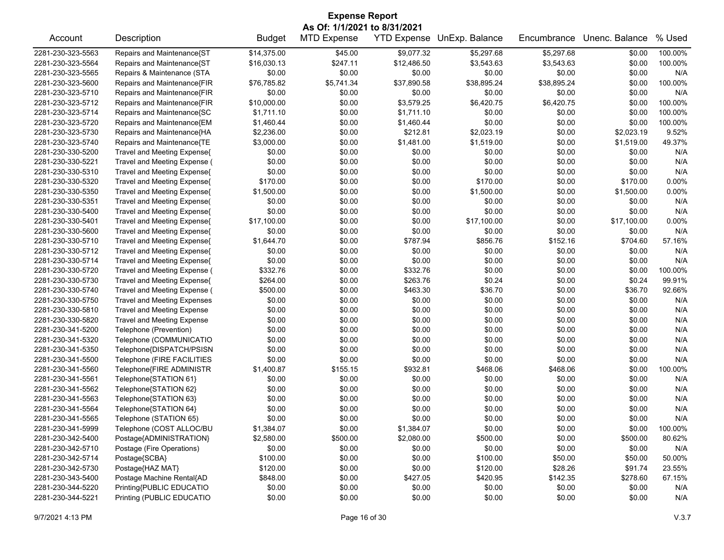| <b>Expense Report</b> |                                    |               |                              |                    |                |             |                |         |  |
|-----------------------|------------------------------------|---------------|------------------------------|--------------------|----------------|-------------|----------------|---------|--|
|                       |                                    |               | As Of: 1/1/2021 to 8/31/2021 |                    |                |             |                |         |  |
| Account               | Description                        | <b>Budget</b> | <b>MTD Expense</b>           | <b>YTD Expense</b> | UnExp. Balance | Encumbrance | Unenc. Balance | % Used  |  |
| 2281-230-323-5563     | Repairs and Maintenance{ST         | \$14,375.00   | \$45.00                      | \$9,077.32         | \$5,297.68     | \$5,297.68  | \$0.00         | 100.00% |  |
| 2281-230-323-5564     | Repairs and Maintenance{ST         | \$16,030.13   | \$247.11                     | \$12,486.50        | \$3,543.63     | \$3,543.63  | \$0.00         | 100.00% |  |
| 2281-230-323-5565     | Repairs & Maintenance (STA         | \$0.00        | \$0.00                       | \$0.00             | \$0.00         | \$0.00      | \$0.00         | N/A     |  |
| 2281-230-323-5600     | Repairs and Maintenance{FIR        | \$76,785.82   | \$5,741.34                   | \$37,890.58        | \$38,895.24    | \$38,895.24 | \$0.00         | 100.00% |  |
| 2281-230-323-5710     | Repairs and Maintenance{FIR        | \$0.00        | \$0.00                       | \$0.00             | \$0.00         | \$0.00      | \$0.00         | N/A     |  |
| 2281-230-323-5712     | Repairs and Maintenance{FIR        | \$10,000.00   | \$0.00                       | \$3,579.25         | \$6,420.75     | \$6,420.75  | \$0.00         | 100.00% |  |
| 2281-230-323-5714     | Repairs and Maintenance{SC         | \$1,711.10    | \$0.00                       | \$1,711.10         | \$0.00         | \$0.00      | \$0.00         | 100.00% |  |
| 2281-230-323-5720     | Repairs and Maintenance{EM         | \$1,460.44    | \$0.00                       | \$1,460.44         | \$0.00         | \$0.00      | \$0.00         | 100.00% |  |
| 2281-230-323-5730     | Repairs and Maintenance{HA         | \$2,236.00    | \$0.00                       | \$212.81           | \$2,023.19     | \$0.00      | \$2,023.19     | 9.52%   |  |
| 2281-230-323-5740     | Repairs and Maintenance{TE         | \$3,000.00    | \$0.00                       | \$1,481.00         | \$1,519.00     | \$0.00      | \$1,519.00     | 49.37%  |  |
| 2281-230-330-5200     | Travel and Meeting Expense{        | \$0.00        | \$0.00                       | \$0.00             | \$0.00         | \$0.00      | \$0.00         | N/A     |  |
| 2281-230-330-5221     | Travel and Meeting Expense (       | \$0.00        | \$0.00                       | \$0.00             | \$0.00         | \$0.00      | \$0.00         | N/A     |  |
| 2281-230-330-5310     | Travel and Meeting Expense{        | \$0.00        | \$0.00                       | \$0.00             | \$0.00         | \$0.00      | \$0.00         | N/A     |  |
| 2281-230-330-5320     | Travel and Meeting Expense{        | \$170.00      | \$0.00                       | \$0.00             | \$170.00       | \$0.00      | \$170.00       | 0.00%   |  |
| 2281-230-330-5350     | Travel and Meeting Expense{        | \$1,500.00    | \$0.00                       | \$0.00             | \$1,500.00     | \$0.00      | \$1,500.00     | 0.00%   |  |
| 2281-230-330-5351     | Travel and Meeting Expense(        | \$0.00        | \$0.00                       | \$0.00             | \$0.00         | \$0.00      | \$0.00         | N/A     |  |
| 2281-230-330-5400     | Travel and Meeting Expense{        | \$0.00        | \$0.00                       | \$0.00             | \$0.00         | \$0.00      | \$0.00         | N/A     |  |
| 2281-230-330-5401     | Travel and Meeting Expense{        | \$17,100.00   | \$0.00                       | \$0.00             | \$17,100.00    | \$0.00      | \$17,100.00    | 0.00%   |  |
| 2281-230-330-5600     | Travel and Meeting Expense{        | \$0.00        | \$0.00                       | \$0.00             | \$0.00         | \$0.00      | \$0.00         | N/A     |  |
| 2281-230-330-5710     | Travel and Meeting Expense{        | \$1,644.70    | \$0.00                       | \$787.94           | \$856.76       | \$152.16    | \$704.60       | 57.16%  |  |
| 2281-230-330-5712     | Travel and Meeting Expense{        | \$0.00        | \$0.00                       | \$0.00             | \$0.00         | \$0.00      | \$0.00         | N/A     |  |
| 2281-230-330-5714     | Travel and Meeting Expense{        | \$0.00        | \$0.00                       | \$0.00             | \$0.00         | \$0.00      | \$0.00         | N/A     |  |
| 2281-230-330-5720     | Travel and Meeting Expense (       | \$332.76      | \$0.00                       | \$332.76           | \$0.00         | \$0.00      | \$0.00         | 100.00% |  |
| 2281-230-330-5730     | Travel and Meeting Expense{        | \$264.00      | \$0.00                       | \$263.76           | \$0.24         | \$0.00      | \$0.24         | 99.91%  |  |
| 2281-230-330-5740     | Travel and Meeting Expense (       | \$500.00      | \$0.00                       | \$463.30           | \$36.70        | \$0.00      | \$36.70        | 92.66%  |  |
| 2281-230-330-5750     | <b>Travel and Meeting Expenses</b> | \$0.00        | \$0.00                       | \$0.00             | \$0.00         | \$0.00      | \$0.00         | N/A     |  |
| 2281-230-330-5810     | <b>Travel and Meeting Expense</b>  | \$0.00        | \$0.00                       | \$0.00             | \$0.00         | \$0.00      | \$0.00         | N/A     |  |
| 2281-230-330-5820     | <b>Travel and Meeting Expense</b>  | \$0.00        | \$0.00                       | \$0.00             | \$0.00         | \$0.00      | \$0.00         | N/A     |  |
| 2281-230-341-5200     | Telephone (Prevention)             | \$0.00        | \$0.00                       | \$0.00             | \$0.00         | \$0.00      | \$0.00         | N/A     |  |
| 2281-230-341-5320     | Telephone (COMMUNICATIO            | \$0.00        | \$0.00                       | \$0.00             | \$0.00         | \$0.00      | \$0.00         | N/A     |  |
| 2281-230-341-5350     | Telephone{DISPATCH/PSISN           | \$0.00        | \$0.00                       | \$0.00             | \$0.00         | \$0.00      | \$0.00         | N/A     |  |
| 2281-230-341-5500     | Telephone (FIRE FACILITIES         | \$0.00        | \$0.00                       | \$0.00             | \$0.00         | \$0.00      | \$0.00         | N/A     |  |
| 2281-230-341-5560     | Telephone{FIRE ADMINISTR           | \$1,400.87    | \$155.15                     | \$932.81           | \$468.06       | \$468.06    | \$0.00         | 100.00% |  |
| 2281-230-341-5561     | Telephone{STATION 61}              | \$0.00        | \$0.00                       | \$0.00             | \$0.00         | \$0.00      | \$0.00         | N/A     |  |
| 2281-230-341-5562     | Telephone{STATION 62}              | \$0.00        | \$0.00                       | \$0.00             | \$0.00         | \$0.00      | \$0.00         | N/A     |  |
| 2281-230-341-5563     | Telephone{STATION 63}              | \$0.00        | \$0.00                       | \$0.00             | \$0.00         | \$0.00      | \$0.00         | N/A     |  |
| 2281-230-341-5564     | Telephone{STATION 64}              | \$0.00        | \$0.00                       | \$0.00             | \$0.00         | \$0.00      | \$0.00         | N/A     |  |
| 2281-230-341-5565     | Telephone (STATION 65)             | \$0.00        | \$0.00                       | \$0.00             | \$0.00         | \$0.00      | \$0.00         | N/A     |  |
| 2281-230-341-5999     | Telephone (COST ALLOC/BU           | \$1,384.07    | \$0.00                       | \$1,384.07         | \$0.00         | \$0.00      | \$0.00         | 100.00% |  |
| 2281-230-342-5400     | Postage{ADMINISTRATION}            | \$2,580.00    | \$500.00                     | \$2,080.00         | \$500.00       | \$0.00      | \$500.00       | 80.62%  |  |
| 2281-230-342-5710     | Postage (Fire Operations)          | \$0.00        | \$0.00                       | \$0.00             | \$0.00         | \$0.00      | \$0.00         | N/A     |  |
| 2281-230-342-5714     | Postage{SCBA}                      | \$100.00      | \$0.00                       | \$0.00             | \$100.00       | \$50.00     | \$50.00        | 50.00%  |  |
| 2281-230-342-5730     | Postage{HAZ MAT}                   | \$120.00      | \$0.00                       | \$0.00             | \$120.00       | \$28.26     | \$91.74        | 23.55%  |  |
| 2281-230-343-5400     | Postage Machine Rental{AD          | \$848.00      | \$0.00                       | \$427.05           | \$420.95       | \$142.35    | \$278.60       | 67.15%  |  |
| 2281-230-344-5220     | Printing{PUBLIC EDUCATIO           | \$0.00        | \$0.00                       | \$0.00             | \$0.00         | \$0.00      | \$0.00         | N/A     |  |
| 2281-230-344-5221     | Printing (PUBLIC EDUCATIO          | \$0.00        | \$0.00                       | \$0.00             | \$0.00         | \$0.00      | \$0.00         | N/A     |  |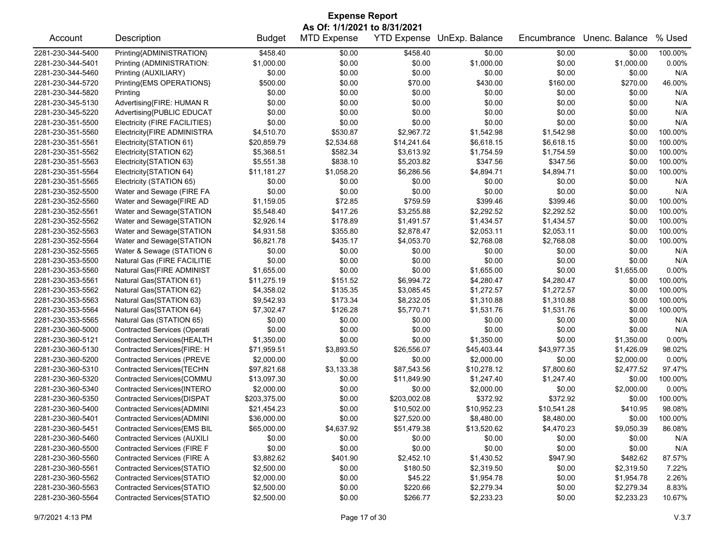| <b>Expense Report</b> |                                    |               |                    |                    |                |             |                |          |  |  |
|-----------------------|------------------------------------|---------------|--------------------|--------------------|----------------|-------------|----------------|----------|--|--|
|                       | As Of: 1/1/2021 to 8/31/2021       |               |                    |                    |                |             |                |          |  |  |
| Account               | Description                        | <b>Budget</b> | <b>MTD Expense</b> | <b>YTD Expense</b> | UnExp. Balance | Encumbrance | Unenc. Balance | % Used   |  |  |
| 2281-230-344-5400     | Printing{ADMINISTRATION}           | \$458.40      | \$0.00             | \$458.40           | \$0.00         | \$0.00      | \$0.00         | 100.00%  |  |  |
| 2281-230-344-5401     | Printing (ADMINISTRATION:          | \$1,000.00    | \$0.00             | \$0.00             | \$1,000.00     | \$0.00      | \$1,000.00     | 0.00%    |  |  |
| 2281-230-344-5460     | Printing (AUXILIARY)               | \$0.00        | \$0.00             | \$0.00             | \$0.00         | \$0.00      | \$0.00         | N/A      |  |  |
| 2281-230-344-5720     | Printing{EMS OPERATIONS}           | \$500.00      | \$0.00             | \$70.00            | \$430.00       | \$160.00    | \$270.00       | 46.00%   |  |  |
| 2281-230-344-5820     | Printing                           | \$0.00        | \$0.00             | \$0.00             | \$0.00         | \$0.00      | \$0.00         | N/A      |  |  |
| 2281-230-345-5130     | Advertising{FIRE: HUMAN R          | \$0.00        | \$0.00             | \$0.00             | \$0.00         | \$0.00      | \$0.00         | N/A      |  |  |
| 2281-230-345-5220     | Advertising{PUBLIC EDUCAT          | \$0.00        | \$0.00             | \$0.00             | \$0.00         | \$0.00      | \$0.00         | N/A      |  |  |
| 2281-230-351-5500     | Electricity (FIRE FACILITIES)      | \$0.00        | \$0.00             | \$0.00             | \$0.00         | \$0.00      | \$0.00         | N/A      |  |  |
| 2281-230-351-5560     | Electricity{FIRE ADMINISTRA        | \$4,510.70    | \$530.87           | \$2,967.72         | \$1,542.98     | \$1,542.98  | \$0.00         | 100.00%  |  |  |
| 2281-230-351-5561     | Electricity{STATION 61}            | \$20,859.79   | \$2,534.68         | \$14,241.64        | \$6,618.15     | \$6,618.15  | \$0.00         | 100.00%  |  |  |
| 2281-230-351-5562     | Electricity{STATION 62}            | \$5,368.51    | \$582.34           | \$3,613.92         | \$1,754.59     | \$1,754.59  | \$0.00         | 100.00%  |  |  |
| 2281-230-351-5563     | Electricity{STATION 63}            | \$5,551.38    | \$838.10           | \$5,203.82         | \$347.56       | \$347.56    | \$0.00         | 100.00%  |  |  |
| 2281-230-351-5564     | Electricity{STATION 64}            | \$11,181.27   | \$1,058.20         | \$6,286.56         | \$4,894.71     | \$4,894.71  | \$0.00         | 100.00%  |  |  |
| 2281-230-351-5565     | Electricity (STATION 65)           | \$0.00        | \$0.00             | \$0.00             | \$0.00         | \$0.00      | \$0.00         | N/A      |  |  |
| 2281-230-352-5500     | Water and Sewage (FIRE FA          | \$0.00        | \$0.00             | \$0.00             | \$0.00         | \$0.00      | \$0.00         | N/A      |  |  |
| 2281-230-352-5560     | Water and Sewage{FIRE AD           | \$1,159.05    | \$72.85            | \$759.59           | \$399.46       | \$399.46    | \$0.00         | 100.00%  |  |  |
| 2281-230-352-5561     | Water and Sewage{STATION           | \$5,548.40    | \$417.26           | \$3,255.88         | \$2,292.52     | \$2,292.52  | \$0.00         | 100.00%  |  |  |
| 2281-230-352-5562     | Water and Sewage{STATION           | \$2,926.14    | \$178.89           | \$1,491.57         | \$1,434.57     | \$1,434.57  | \$0.00         | 100.00%  |  |  |
| 2281-230-352-5563     | Water and Sewage{STATION           | \$4,931.58    | \$355.80           | \$2,878.47         | \$2,053.11     | \$2,053.11  | \$0.00         | 100.00%  |  |  |
| 2281-230-352-5564     | Water and Sewage{STATION           | \$6,821.78    | \$435.17           | \$4,053.70         | \$2,768.08     | \$2,768.08  | \$0.00         | 100.00%  |  |  |
| 2281-230-352-5565     | Water & Sewage (STATION 6          | \$0.00        | \$0.00             | \$0.00             | \$0.00         | \$0.00      | \$0.00         | N/A      |  |  |
| 2281-230-353-5500     | Natural Gas (FIRE FACILITIE        | \$0.00        | \$0.00             | \$0.00             | \$0.00         | \$0.00      | \$0.00         | N/A      |  |  |
| 2281-230-353-5560     | Natural Gas{FIRE ADMINIST          | \$1,655.00    | \$0.00             | \$0.00             | \$1,655.00     | \$0.00      | \$1,655.00     | $0.00\%$ |  |  |
| 2281-230-353-5561     | Natural Gas{STATION 61}            | \$11,275.19   | \$151.52           | \$6,994.72         | \$4,280.47     | \$4,280.47  | \$0.00         | 100.00%  |  |  |
| 2281-230-353-5562     | Natural Gas{STATION 62}            | \$4,358.02    | \$135.35           | \$3,085.45         | \$1,272.57     | \$1,272.57  | \$0.00         | 100.00%  |  |  |
| 2281-230-353-5563     | Natural Gas{STATION 63}            | \$9,542.93    | \$173.34           | \$8,232.05         | \$1,310.88     | \$1,310.88  | \$0.00         | 100.00%  |  |  |
| 2281-230-353-5564     | Natural Gas{STATION 64}            | \$7,302.47    | \$126.28           | \$5,770.71         | \$1,531.76     | \$1,531.76  | \$0.00         | 100.00%  |  |  |
| 2281-230-353-5565     | Natural Gas (STATION 65)           | \$0.00        | \$0.00             | \$0.00             | \$0.00         | \$0.00      | \$0.00         | N/A      |  |  |
| 2281-230-360-5000     | Contracted Services (Operati       | \$0.00        | \$0.00             | \$0.00             | \$0.00         | \$0.00      | \$0.00         | N/A      |  |  |
| 2281-230-360-5121     | Contracted Services{HEALTH         | \$1,350.00    | \$0.00             | \$0.00             | \$1,350.00     | \$0.00      | \$1,350.00     | 0.00%    |  |  |
| 2281-230-360-5130     | Contracted Services{FIRE: H        | \$71,959.51   | \$3,893.50         | \$26,556.07        | \$45,403.44    | \$43,977.35 | \$1,426.09     | 98.02%   |  |  |
| 2281-230-360-5200     | <b>Contracted Services (PREVE</b>  | \$2,000.00    | \$0.00             | \$0.00             | \$2,000.00     | \$0.00      | \$2,000.00     | 0.00%    |  |  |
|                       |                                    |               |                    |                    |                |             |                |          |  |  |
| 2281-230-360-5310     | Contracted Services{TECHN          | \$97,821.68   | \$3,133.38         | \$87,543.56        | \$10,278.12    | \$7,800.60  | \$2,477.52     | 97.47%   |  |  |
| 2281-230-360-5320     | Contracted Services{COMMU          | \$13,097.30   | \$0.00             | \$11,849.90        | \$1,247.40     | \$1,247.40  | \$0.00         | 100.00%  |  |  |
| 2281-230-360-5340     | Contracted Services{INTERO         | \$2,000.00    | \$0.00             | \$0.00             | \$2,000.00     | \$0.00      | \$2,000.00     | 0.00%    |  |  |
| 2281-230-360-5350     | Contracted Services{DISPAT         | \$203,375.00  | \$0.00             | \$203,002.08       | \$372.92       | \$372.92    | \$0.00         | 100.00%  |  |  |
| 2281-230-360-5400     | Contracted Services{ADMINI         | \$21,454.23   | \$0.00             | \$10,502.00        | \$10,952.23    | \$10,541.28 | \$410.95       | 98.08%   |  |  |
| 2281-230-360-5401     | Contracted Services{ADMINI         | \$36,000.00   | \$0.00             | \$27,520.00        | \$8,480.00     | \$8,480.00  | \$0.00         | 100.00%  |  |  |
| 2281-230-360-5451     | Contracted Services{EMS BIL        | \$65,000.00   | \$4,637.92         | \$51,479.38        | \$13,520.62    | \$4,470.23  | \$9,050.39     | 86.08%   |  |  |
| 2281-230-360-5460     | <b>Contracted Services (AUXILI</b> | \$0.00        | \$0.00             | \$0.00             | \$0.00         | \$0.00      | \$0.00         | N/A      |  |  |
| 2281-230-360-5500     | Contracted Services (FIRE F        | \$0.00        | \$0.00             | \$0.00             | \$0.00         | \$0.00      | \$0.00         | N/A      |  |  |
| 2281-230-360-5560     | <b>Contracted Services (FIRE A</b> | \$3,882.62    | \$401.90           | \$2,452.10         | \$1,430.52     | \$947.90    | \$482.62       | 87.57%   |  |  |
| 2281-230-360-5561     | Contracted Services{STATIO         | \$2,500.00    | \$0.00             | \$180.50           | \$2,319.50     | \$0.00      | \$2,319.50     | 7.22%    |  |  |
| 2281-230-360-5562     | Contracted Services{STATIO         | \$2,000.00    | \$0.00             | \$45.22            | \$1,954.78     | \$0.00      | \$1,954.78     | 2.26%    |  |  |
| 2281-230-360-5563     | Contracted Services{STATIO         | \$2,500.00    | \$0.00             | \$220.66           | \$2,279.34     | \$0.00      | \$2,279.34     | 8.83%    |  |  |
| 2281-230-360-5564     | Contracted Services{STATIO         | \$2,500.00    | \$0.00             | \$266.77           | \$2,233.23     | \$0.00      | \$2,233.23     | 10.67%   |  |  |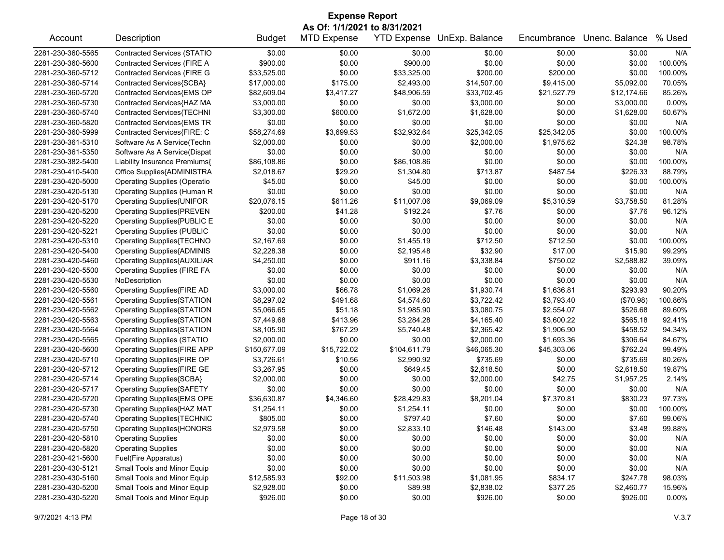## Account Description **Budget MTD Expense YTD Expense UnExp. Balance** Encumbrance Unenc. Balance % Used 2281-230-360-5565 Contracted Services (STATIO \$0.00 \$0.00 \$0.00 \$0.00 \$0.00 \$0.00 N/A 2281-230-360-5600 Contracted Services (FIRE A \$900.00 \$0.00 \$900.00 \$0.00 \$0.00 \$0.00 100.00% 2281-230-360-5712 Contracted Services (FIRE G \$33,525.00 \$0.00 \$33,325.00 \$200.00 \$200.00 \$0.00 100.00% 2281-230-360-5714 Contracted Services{SCBA} \$17,000.00 \$175.00 \$2,493.00 \$14,507.00 \$9,415.00 \$5,092.00 70.05% 2281-230-360-5720 Contracted Services{EMS OP \$82,609.04 \$3,417.27 \$48,906.59 \$33,702.45 \$21,527.79 \$12,174.66 85.26% 2281-230-360-5730 Contracted Services{HAZ MA \$3,000.00 \$0.00 \$0.00 \$3,000.00 \$0.00 \$3,000.00 0.00% 2281-230-360-5740 Contracted Services{TECHNI \$3,300.00 \$600.00 \$1,672.00 \$1,628.00 \$0.00 \$1,628.00 \$1,628.00 50.67% 2281-230-360-5820 Contracted Services{EMS TR \$0.00 \$0.00 \$0.00 \$0.00 \$0.00 \$0.00 N/A 2281-230-360-5999 Contracted Services{FIRE: C \$58,274.69 \$3,699.53 \$32,932.64 \$25,342.05 \$25,342.05 \$0.00 100.00% 2281-230-361-5310 Software As A Service(Techn \$2,000.00 \$0.00 \$0.00 \$2,000.00 \$1,975.62 \$24.38 98.78% 2281-230-361-5350 Software As A Service(Dispat \$0.00 \$0.00 \$0.00 \$0.00 \$0.00 \$0.00 N/A 2281-230-382-5400 Liability Insurance Premiums{ \$86,108.86 \$0.00 \$86,108.86 \$0.00 \$0.00 \$0.00 100.00% 2281-230-410-5400 Office Supplies{ADMINISTRA \$2,018.67 \$29.20 \$1,304.80 \$713.87 \$487.54 \$226.33 88.79% 2281-230-420-5000 Operating Supplies (Operatio \$45.00 \$0.00 \$45.00 \$0.00 \$0.00 \$0.00 100.00% 2281-230-420-5130 Operating Supplies (Human R \$0.00 \$0.00 \$0.00 \$0.00 \$0.00 \$0.00 N/A 2281-230-420-5170 Operating Supplies{UNIFOR \$20,076.15 \$611.26 \$11,007.06 \$9,069.09 \$5,310.59 \$3,758.50 81.28% 2281-230-420-5200 Operating Supplies{PREVEN \$200.00 \$41.28 \$192.24 \$7.76 \$0.00 \$7.76 \$7.76 \$7.76 2281-230-420-5220 Operating Supplies{PUBLIC E \$0.00 \$0.00 \$0.00 \$0.00 \$0.00 \$0.00 N/A 2281-230-420-5221 Operating Supplies (PUBLIC \$0.00 \$0.00 \$0.00 \$0.00 \$0.00 \$0.00 N/A 2281-230-420-5310 Operating Supplies{TECHNO \$2,167.69 \$0.00 \$1,455.19 \$712.50 \$712.50 \$0.00 100.00% 2281-230-420-5400 Operating Supplies{ADMINIS \$2,228.38 \$0.00 \$2,195.48 \$32.90 \$17.00 \$15.90 \$15.90 \$15.90 2281-230-420-5460 Operating Supplies{AUXILIAR \$4,250.00 \$0.00 \$911.16 \$3,338.84 \$750.02 \$2,588.82 39.09% 2281-230-420-5500 Operating Supplies (FIRE FA \$0.00 \$0.00 \$0.00 \$0.00 \$0.00 \$0.00 N/A 2281-230-420-5530 NoDescription \$0.00 \$0.00 \$0.00 \$0.00 \$0.00 \$0.00 N/A 2281-230-420-5560 Operating Supplies{FIRE AD \$3,000.00 \$66.78 \$1,069.26 \$1,930.74 \$1,636.81 \$293.93 90.20% 2281-230-420-5561 Operating Supplies{STATION \$8,297.02 \$491.68 \$4,574.60 \$3,722.42 \$3,793.40 (\$70.98) 100.86% 2281-230-420-5562 Operating Supplies{STATION \$5,066.65 \$51.18 \$1,985.90 \$3,080.75 \$2,554.07 \$526.68 \$9.60% 2281-230-420-5563 Operating Supplies{STATION \$7,449.68 \$413.96 \$3,284.28 \$4,165.40 \$3,600.22 \$565.18 \$565.18 2281-230-420-5564 Operating Supplies{STATION \$8,105.90 \$767.29 \$5,740.48 \$2,365.42 \$1,906.90 \$458.52 94.34% 2281-230-420-5565 Operating Supplies (STATIO \$2,000.00 \$0.00 \$0.00 \$2,000.00 \$1,693.36 \$306.64 84.67% 2281-230-420-5600 Operating Supplies{FIRE APP \$150,677.09 \$15,722.02 \$104,611.79 \$46,065.30 \$45,303.06 \$762.24 99.49% 2281-230-420-5710 Operating Supplies{FIRE OP \$3,726.61 \$10.56 \$2,990.92 \$735.69 \$0.00 \$735.69 \$735.69 \$0.26% 2281-230-420-5712 Operating Supplies{FIRE GE \$3,267.95 \$0.00 \$649.45 \$2,618.50 \$0.00 \$2,618.50 19.87% 2281-230-420-5714 Operating Supplies{SCBA} \$2,000.00 \$0.00 \$0.00 \$2,000.00 \$42.75 \$1,957.25 2.14% 2281-230-420-5717 Operating Supplies{SAFETY \$0.00 \$0.00 \$0.00 \$0.00 \$0.00 \$0.00 N/A 2281-230-420-5720 Operating Supplies{EMS OPE \$36,630.87 \$4,346.60 \$28,429.83 \$8,201.04 \$7,370.81 \$830.23 97.73% 2281-230-420-5730 Operating Supplies{HAZ MAT \$1,254.11 \$0.00 \$1,254.11 \$0.00 \$0.00 \$0.00 100.00% 2281-230-420-5740 Operating Supplies{TECHNIC \$805.00 \$0.00 \$797.40 \$7.60 \$0.00 \$7.60 \$7.60 \$7.60 \$7.60 2281-230-420-5750 Operating Supplies{HONORS \$2,979.58 \$0.00 \$2,833.10 \$146.48 \$143.00 \$3.48 99.88% 2281-230-420-5810 Operating Supplies \$0.00 \$0.00 \$0.00 \$0.00 \$0.00 \$0.00 N/A 2281-230-420-5820 Operating Supplies \$0.00 \$0.00 \$0.00 \$0.00 \$0.00 \$0.00 N/A 2281-230-421-5600 Fuel(Fire Apparatus) \$0.00 \$0.00 \$0.00 \$0.00 \$0.00 \$0.00 N/A 2281-230-430-5121 Small Tools and Minor Equip \$0.00 \$0.00 \$0.00 \$0.00 \$0.00 \$0.00 N/A 2281-230-430-5160 Small Tools and Minor Equip \$12,585.93 \$92.00 \$11,503.98 \$1,081.95 \$834.17 \$247.78 \$247.78 2281-230-430-5200 Small Tools and Minor Equip \$2,928.00 \$0.00 \$89.98 \$2,838.02 \$377.25 \$2,460.77 15.96% 2281-230-430-5220 Small Tools and Minor Equip \$926.00 \$0.00 \$0.00 \$926.00 \$0.00 \$926.00 0.00% **Expense Report As Of: 1/1/2021 to 8/31/2021**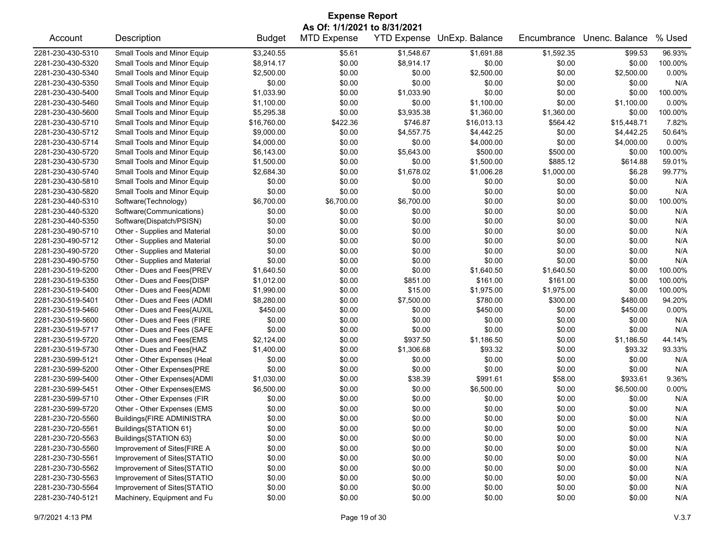| <b>Expense Report</b>                  |                                                        |                          |                              |            |                            |                  |                       |                  |  |
|----------------------------------------|--------------------------------------------------------|--------------------------|------------------------------|------------|----------------------------|------------------|-----------------------|------------------|--|
|                                        |                                                        |                          | As Of: 1/1/2021 to 8/31/2021 |            |                            |                  |                       |                  |  |
| Account                                | Description                                            | <b>Budget</b>            | <b>MTD Expense</b>           |            | YTD Expense UnExp. Balance | Encumbrance      | Unenc. Balance        | % Used           |  |
| 2281-230-430-5310                      | Small Tools and Minor Equip                            | \$3,240.55               | \$5.61                       | \$1,548.67 | \$1,691.88                 | \$1,592.35       | \$99.53               | 96.93%           |  |
| 2281-230-430-5320                      | Small Tools and Minor Equip                            | \$8,914.17               | \$0.00                       | \$8,914.17 | \$0.00                     | \$0.00           | \$0.00                | 100.00%          |  |
| 2281-230-430-5340                      | Small Tools and Minor Equip                            | \$2,500.00               | \$0.00                       | \$0.00     | \$2,500.00                 | \$0.00           | \$2,500.00            | 0.00%            |  |
| 2281-230-430-5350                      | Small Tools and Minor Equip                            | \$0.00                   | \$0.00                       | \$0.00     | \$0.00                     | \$0.00           | \$0.00                | N/A              |  |
| 2281-230-430-5400                      | Small Tools and Minor Equip                            | \$1,033.90               | \$0.00                       | \$1,033.90 | \$0.00                     | \$0.00           | \$0.00                | 100.00%          |  |
| 2281-230-430-5460                      | Small Tools and Minor Equip                            | \$1,100.00               | \$0.00                       | \$0.00     | \$1,100.00                 | \$0.00           | \$1,100.00            | $0.00\%$         |  |
| 2281-230-430-5600                      | Small Tools and Minor Equip                            | \$5,295.38               | \$0.00                       | \$3,935.38 | \$1,360.00                 | \$1,360.00       | \$0.00                | 100.00%          |  |
| 2281-230-430-5710                      | Small Tools and Minor Equip                            | \$16,760.00              | \$422.36                     | \$746.87   | \$16,013.13                | \$564.42         | \$15,448.71           | 7.82%            |  |
| 2281-230-430-5712                      | Small Tools and Minor Equip                            | \$9,000.00               | \$0.00                       | \$4,557.75 | \$4,442.25                 | \$0.00           | \$4,442.25            | 50.64%           |  |
| 2281-230-430-5714                      | Small Tools and Minor Equip                            | \$4,000.00               | \$0.00                       | \$0.00     | \$4,000.00                 | \$0.00           | \$4,000.00            | 0.00%            |  |
| 2281-230-430-5720                      | Small Tools and Minor Equip                            | \$6,143.00               | \$0.00                       | \$5,643.00 | \$500.00                   | \$500.00         | \$0.00                | 100.00%          |  |
| 2281-230-430-5730                      | Small Tools and Minor Equip                            | \$1,500.00               | \$0.00                       | \$0.00     | \$1,500.00                 | \$885.12         | \$614.88              | 59.01%           |  |
| 2281-230-430-5740                      | Small Tools and Minor Equip                            | \$2,684.30               | \$0.00                       | \$1,678.02 | \$1,006.28                 | \$1,000.00       | \$6.28                | 99.77%           |  |
| 2281-230-430-5810                      | Small Tools and Minor Equip                            | \$0.00                   | \$0.00                       | \$0.00     | \$0.00                     | \$0.00           | \$0.00                | N/A              |  |
| 2281-230-430-5820                      | Small Tools and Minor Equip                            | \$0.00                   | \$0.00                       | \$0.00     | \$0.00                     | \$0.00           | \$0.00                | N/A              |  |
| 2281-230-440-5310                      | Software(Technology)                                   | \$6,700.00               | \$6,700.00                   | \$6,700.00 | \$0.00                     | \$0.00           | \$0.00                | 100.00%          |  |
| 2281-230-440-5320                      | Software(Communications)                               | \$0.00                   | \$0.00                       | \$0.00     | \$0.00                     | \$0.00           | \$0.00                | N/A              |  |
| 2281-230-440-5350                      | Software(Dispatch/PSISN)                               | \$0.00                   | \$0.00                       | \$0.00     | \$0.00                     | \$0.00           | \$0.00                | N/A              |  |
| 2281-230-490-5710                      | Other - Supplies and Material                          | \$0.00                   | \$0.00                       | \$0.00     | \$0.00                     | \$0.00           | \$0.00                | N/A              |  |
| 2281-230-490-5712                      | Other - Supplies and Material                          | \$0.00                   | \$0.00                       | \$0.00     | \$0.00                     | \$0.00           | \$0.00                | N/A              |  |
| 2281-230-490-5720                      | Other - Supplies and Material                          | \$0.00                   | \$0.00                       | \$0.00     | \$0.00                     | \$0.00           | \$0.00                | N/A              |  |
| 2281-230-490-5750                      | Other - Supplies and Material                          | \$0.00                   | \$0.00                       | \$0.00     | \$0.00                     | \$0.00           | \$0.00                | N/A              |  |
| 2281-230-519-5200                      | Other - Dues and Fees{PREV                             | \$1,640.50               | \$0.00                       | \$0.00     | \$1,640.50                 | \$1,640.50       | \$0.00                | 100.00%          |  |
| 2281-230-519-5350                      | Other - Dues and Fees{DISP                             | \$1,012.00               | \$0.00                       | \$851.00   | \$161.00                   | \$161.00         | \$0.00                | 100.00%          |  |
| 2281-230-519-5400                      | Other - Dues and Fees{ADMI                             | \$1,990.00               | \$0.00                       | \$15.00    | \$1,975.00                 | \$1,975.00       | \$0.00                | 100.00%          |  |
| 2281-230-519-5401                      | Other - Dues and Fees (ADMI                            | \$8,280.00               | \$0.00                       | \$7,500.00 | \$780.00                   | \$300.00         | \$480.00              | 94.20%           |  |
| 2281-230-519-5460                      | Other - Dues and Fees{AUXIL                            | \$450.00                 | \$0.00                       | \$0.00     | \$450.00                   | \$0.00           | \$450.00              | $0.00\%$         |  |
| 2281-230-519-5600                      | Other - Dues and Fees (FIRE                            | \$0.00                   | \$0.00                       | \$0.00     | \$0.00                     | \$0.00           | \$0.00                | N/A              |  |
| 2281-230-519-5717                      | Other - Dues and Fees (SAFE                            | \$0.00                   | \$0.00                       | \$0.00     | \$0.00                     | \$0.00           | \$0.00                | N/A              |  |
|                                        |                                                        |                          |                              | \$937.50   |                            |                  |                       |                  |  |
| 2281-230-519-5720<br>2281-230-519-5730 | Other - Dues and Fees{EMS<br>Other - Dues and Fees{HAZ | \$2,124.00<br>\$1,400.00 | \$0.00<br>\$0.00             | \$1,306.68 | \$1,186.50<br>\$93.32      | \$0.00<br>\$0.00 | \$1,186.50<br>\$93.32 | 44.14%<br>93.33% |  |
|                                        |                                                        |                          |                              |            |                            |                  |                       |                  |  |
| 2281-230-599-5121                      | Other - Other Expenses (Heal                           | \$0.00                   | \$0.00                       | \$0.00     | \$0.00                     | \$0.00           | \$0.00                | N/A              |  |
| 2281-230-599-5200                      | Other - Other Expenses{PRE                             | \$0.00                   | \$0.00                       | \$0.00     | \$0.00                     | \$0.00           | \$0.00                | N/A              |  |
| 2281-230-599-5400                      | Other - Other Expenses{ADMI                            | \$1,030.00               | \$0.00                       | \$38.39    | \$991.61                   | \$58.00          | \$933.61              | 9.36%            |  |
| 2281-230-599-5451                      | Other - Other Expenses{EMS                             | \$6,500.00               | \$0.00                       | \$0.00     | \$6,500.00                 | \$0.00           | \$6,500.00            | 0.00%            |  |
| 2281-230-599-5710                      | Other - Other Expenses (FIR                            | \$0.00                   | \$0.00                       | \$0.00     | \$0.00                     | \$0.00           | \$0.00                | N/A              |  |
| 2281-230-599-5720                      | Other - Other Expenses (EMS                            | \$0.00                   | \$0.00                       | \$0.00     | \$0.00                     | \$0.00           | \$0.00                | N/A              |  |
| 2281-230-720-5560                      | Buildings{FIRE ADMINISTRA                              | \$0.00                   | \$0.00                       | \$0.00     | \$0.00                     | \$0.00           | \$0.00                | N/A              |  |
| 2281-230-720-5561                      | Buildings{STATION 61}                                  | \$0.00                   | \$0.00                       | \$0.00     | \$0.00                     | \$0.00           | \$0.00                | N/A              |  |
| 2281-230-720-5563                      | Buildings{STATION 63}                                  | \$0.00                   | \$0.00                       | \$0.00     | \$0.00                     | \$0.00           | \$0.00                | N/A              |  |
| 2281-230-730-5560                      | Improvement of Sites{FIRE A                            | \$0.00                   | \$0.00                       | \$0.00     | \$0.00                     | \$0.00           | \$0.00                | N/A              |  |
| 2281-230-730-5561                      | Improvement of Sites{STATIO                            | \$0.00                   | \$0.00                       | \$0.00     | \$0.00                     | \$0.00           | \$0.00                | N/A              |  |
| 2281-230-730-5562                      | Improvement of Sites{STATIO                            | \$0.00                   | \$0.00                       | \$0.00     | \$0.00                     | \$0.00           | \$0.00                | N/A              |  |
| 2281-230-730-5563                      | Improvement of Sites{STATIO                            | \$0.00                   | \$0.00                       | \$0.00     | \$0.00                     | \$0.00           | \$0.00                | N/A              |  |
| 2281-230-730-5564                      | Improvement of Sites{STATIO                            | \$0.00                   | \$0.00                       | \$0.00     | \$0.00                     | \$0.00           | \$0.00                | N/A              |  |
| 2281-230-740-5121                      | Machinery, Equipment and Fu                            | \$0.00                   | \$0.00                       | \$0.00     | \$0.00                     | \$0.00           | \$0.00                | N/A              |  |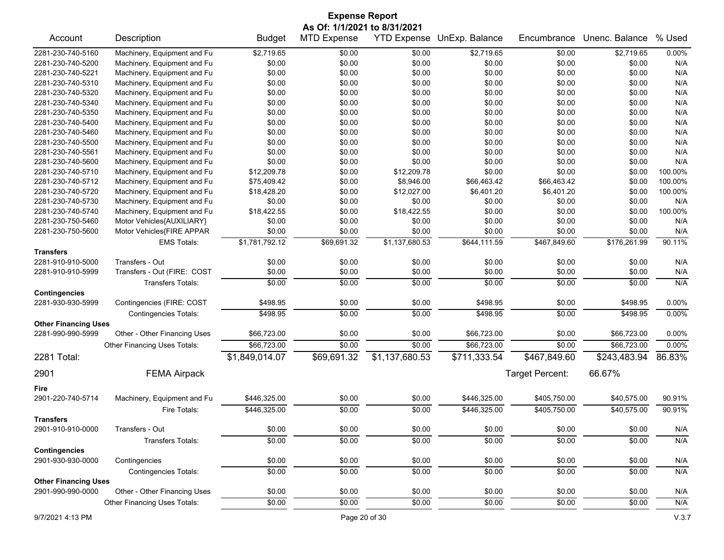|                                                  | <b>Expense Report</b>        |                |                                                    |                |                            |                 |                |         |  |  |
|--------------------------------------------------|------------------------------|----------------|----------------------------------------------------|----------------|----------------------------|-----------------|----------------|---------|--|--|
| Account                                          | Description                  | <b>Budget</b>  | As Of: 1/1/2021 to 8/31/2021<br><b>MTD Expense</b> |                | YTD Expense UnExp. Balance | Encumbrance     | Unenc. Balance | % Used  |  |  |
| 2281-230-740-5160                                | Machinery, Equipment and Fu  | \$2,719.65     | \$0.00                                             | \$0.00         | \$2,719.65                 | \$0.00          | \$2,719.65     | 0.00%   |  |  |
| 2281-230-740-5200                                | Machinery, Equipment and Fu  | \$0.00         | \$0.00                                             | \$0.00         | \$0.00                     | \$0.00          | \$0.00         | N/A     |  |  |
| 2281-230-740-5221                                | Machinery, Equipment and Fu  | \$0.00         | \$0.00                                             | \$0.00         | \$0.00                     | \$0.00          | \$0.00         | N/A     |  |  |
| 2281-230-740-5310                                | Machinery, Equipment and Fu  | \$0.00         | \$0.00                                             | \$0.00         | \$0.00                     | \$0.00          | \$0.00         | N/A     |  |  |
| 2281-230-740-5320                                | Machinery, Equipment and Fu  | \$0.00         | \$0.00                                             | \$0.00         | \$0.00                     | \$0.00          | \$0.00         | N/A     |  |  |
| 2281-230-740-5340                                | Machinery, Equipment and Fu  | \$0.00         | \$0.00                                             | \$0.00         | \$0.00                     | \$0.00          | \$0.00         | N/A     |  |  |
| 2281-230-740-5350                                | Machinery, Equipment and Fu  | \$0.00         | \$0.00                                             | \$0.00         | \$0.00                     | \$0.00          | \$0.00         | N/A     |  |  |
| 2281-230-740-5400                                | Machinery, Equipment and Fu  | \$0.00         | \$0.00                                             | \$0.00         | \$0.00                     | \$0.00          | \$0.00         | N/A     |  |  |
| 2281-230-740-5460                                | Machinery, Equipment and Fu  | \$0.00         | \$0.00                                             | \$0.00         | \$0.00                     | \$0.00          | \$0.00         | N/A     |  |  |
| 2281-230-740-5500                                | Machinery, Equipment and Fu  | \$0.00         | \$0.00                                             | \$0.00         | \$0.00                     | \$0.00          | \$0.00         | N/A     |  |  |
| 2281-230-740-5561                                | Machinery, Equipment and Fu  | \$0.00         | \$0.00                                             | \$0.00         | \$0.00                     | \$0.00          | \$0.00         | N/A     |  |  |
| 2281-230-740-5600                                | Machinery, Equipment and Fu  | \$0.00         | \$0.00                                             | \$0.00         | \$0.00                     | \$0.00          | \$0.00         | N/A     |  |  |
| 2281-230-740-5710                                | Machinery, Equipment and Fu  | \$12,209.78    | \$0.00                                             | \$12,209.78    | \$0.00                     | \$0.00          | \$0.00         | 100.00% |  |  |
| 2281-230-740-5712                                | Machinery, Equipment and Fu  | \$75,409.42    | \$0.00                                             | \$8,946.00     | \$66,463.42                | \$66,463.42     | \$0.00         | 100.00% |  |  |
| 2281-230-740-5720                                | Machinery, Equipment and Fu  | \$18,428.20    | \$0.00                                             | \$12,027.00    | \$6,401.20                 | \$6,401.20      | \$0.00         | 100.00% |  |  |
| 2281-230-740-5730                                | Machinery, Equipment and Fu  | \$0.00         | \$0.00                                             | \$0.00         | \$0.00                     | \$0.00          | \$0.00         | N/A     |  |  |
| 2281-230-740-5740                                | Machinery, Equipment and Fu  | \$18,422.55    | \$0.00                                             | \$18,422.55    | \$0.00                     | \$0.00          | \$0.00         | 100.00% |  |  |
| 2281-230-750-5460                                | Motor Vehicles{AUXILIARY}    | \$0.00         | \$0.00                                             | \$0.00         | \$0.00                     | \$0.00          | \$0.00         | N/A     |  |  |
| 2281-230-750-5600                                | Motor Vehicles{FIRE APPAR    | \$0.00         | \$0.00                                             | \$0.00         | \$0.00                     | \$0.00          | \$0.00         | N/A     |  |  |
|                                                  | <b>EMS Totals:</b>           | \$1,781,792.12 | \$69,691.32                                        | \$1,137,680.53 | \$644,111.59               | \$467,849.60    | \$176,261.99   | 90.11%  |  |  |
| <b>Transfers</b>                                 |                              |                |                                                    |                |                            |                 |                |         |  |  |
| 2281-910-910-5000                                | Transfers - Out              | \$0.00         | \$0.00                                             | \$0.00         | \$0.00                     | \$0.00          | \$0.00         | N/A     |  |  |
| 2281-910-910-5999                                | Transfers - Out (FIRE: COST  | \$0.00         | \$0.00                                             | \$0.00         | \$0.00                     | \$0.00          | \$0.00         | N/A     |  |  |
|                                                  | <b>Transfers Totals:</b>     | \$0.00         | \$0.00                                             | \$0.00         | \$0.00                     | \$0.00          | \$0.00         | N/A     |  |  |
|                                                  |                              |                |                                                    |                |                            |                 |                |         |  |  |
| <b>Contingencies</b><br>2281-930-930-5999        |                              | \$498.95       | \$0.00                                             | \$0.00         | \$498.95                   | \$0.00          | \$498.95       | 0.00%   |  |  |
|                                                  | Contingencies (FIRE: COST    |                |                                                    |                |                            |                 |                |         |  |  |
|                                                  | <b>Contingencies Totals:</b> | \$498.95       | \$0.00                                             | \$0.00         | \$498.95                   | \$0.00          | \$498.95       | 0.00%   |  |  |
| <b>Other Financing Uses</b><br>2281-990-990-5999 |                              |                | \$0.00                                             | \$0.00         |                            | \$0.00          |                | 0.00%   |  |  |
|                                                  | Other - Other Financing Uses | \$66,723.00    | \$0.00                                             |                | \$66,723.00                | \$0.00          | \$66,723.00    | 0.00%   |  |  |
|                                                  | Other Financing Uses Totals: | \$66,723.00    |                                                    | \$0.00         | \$66,723.00                |                 | \$66,723.00    |         |  |  |
| 2281 Total:                                      |                              | \$1,849,014.07 | \$69,691.32                                        | \$1,137,680.53 | \$711,333.54               | \$467,849.60    | \$243,483.94   | 86.83%  |  |  |
| 2901                                             | <b>FEMA Airpack</b>          |                |                                                    |                |                            | Target Percent: | 66.67%         |         |  |  |
| Fire                                             |                              |                |                                                    |                |                            |                 |                |         |  |  |
| 2901-220-740-5714                                | Machinery, Equipment and Fu  | \$446,325.00   | \$0.00                                             | \$0.00         | \$446,325.00               | \$405,750.00    | \$40,575.00    | 90.91%  |  |  |
|                                                  | Fire Totals:                 | \$446,325.00   | \$0.00                                             | \$0.00         | \$446,325.00               | \$405,750.00    | \$40,575.00    | 90.91%  |  |  |
| <b>Transfers</b>                                 |                              |                |                                                    |                |                            |                 |                |         |  |  |
| 2901-910-910-0000                                | Transfers - Out              | \$0.00         | \$0.00                                             | \$0.00         | \$0.00                     | \$0.00          | \$0.00         | N/A     |  |  |
|                                                  | <b>Transfers Totals:</b>     | \$0.00         | \$0.00                                             | \$0.00         | \$0.00                     | \$0.00          | \$0.00         | N/A     |  |  |
| <b>Contingencies</b>                             |                              |                |                                                    |                |                            |                 |                |         |  |  |
| 2901-930-930-0000                                | Contingencies                | \$0.00         | \$0.00                                             | \$0.00         | \$0.00                     | \$0.00          | \$0.00         | N/A     |  |  |
|                                                  | <b>Contingencies Totals:</b> | \$0.00         | \$0.00                                             | \$0.00         | \$0.00                     | \$0.00          | \$0.00         | N/A     |  |  |
| <b>Other Financing Uses</b>                      |                              |                |                                                    |                |                            |                 |                |         |  |  |
| 2901-990-990-0000                                | Other - Other Financing Uses | \$0.00         | \$0.00                                             | \$0.00         | \$0.00                     | \$0.00          | \$0.00         | N/A     |  |  |
|                                                  | Other Financing Uses Totals: | \$0.00         | \$0.00                                             | \$0.00         | \$0.00                     | \$0.00          | \$0.00         | N/A     |  |  |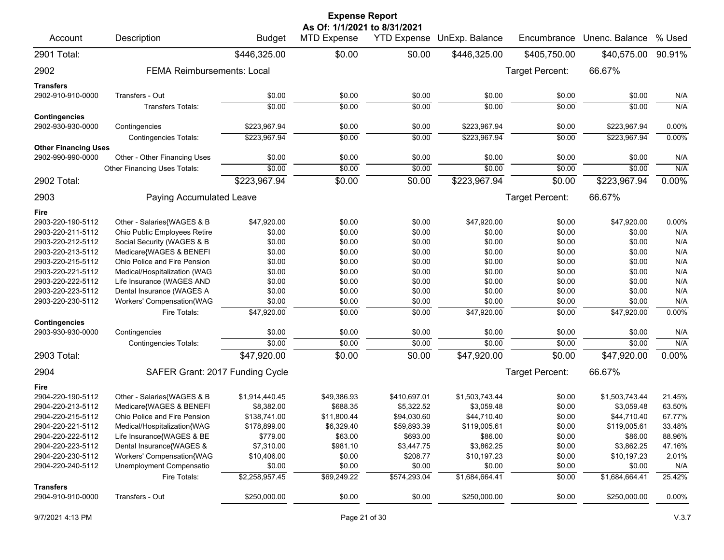|                                           |                                   |                | <b>Expense Report</b>                              |                    |                |                        |                |          |
|-------------------------------------------|-----------------------------------|----------------|----------------------------------------------------|--------------------|----------------|------------------------|----------------|----------|
| Account                                   | Description                       | <b>Budget</b>  | As Of: 1/1/2021 to 8/31/2021<br><b>MTD Expense</b> | <b>YTD Expense</b> | UnExp. Balance | Encumbrance            | Unenc. Balance | % Used   |
| 2901 Total:                               |                                   | \$446,325.00   | \$0.00                                             | \$0.00             | \$446,325.00   | \$405,750.00           | \$40,575.00    | 90.91%   |
| 2902                                      | <b>FEMA Reimbursements: Local</b> |                |                                                    |                    |                | <b>Target Percent:</b> | 66.67%         |          |
| <b>Transfers</b>                          |                                   |                |                                                    |                    |                |                        |                |          |
| 2902-910-910-0000                         | Transfers - Out                   | \$0.00         | \$0.00                                             | \$0.00             | \$0.00         | \$0.00                 | \$0.00         | N/A      |
|                                           | Transfers Totals:                 | \$0.00         | \$0.00                                             | \$0.00             | \$0.00         | \$0.00                 | \$0.00         | N/A      |
| <b>Contingencies</b><br>2902-930-930-0000 | Contingencies                     | \$223,967.94   | \$0.00                                             | \$0.00             | \$223,967.94   | \$0.00                 | \$223,967.94   | 0.00%    |
|                                           | <b>Contingencies Totals:</b>      | \$223,967.94   | \$0.00                                             | \$0.00             | \$223,967.94   | \$0.00                 | \$223,967.94   | 0.00%    |
| <b>Other Financing Uses</b>               |                                   |                |                                                    |                    |                |                        |                |          |
| 2902-990-990-0000                         | Other - Other Financing Uses      | \$0.00         | \$0.00                                             | \$0.00             | \$0.00         | \$0.00                 | \$0.00         | N/A      |
|                                           | Other Financing Uses Totals:      | \$0.00         | \$0.00                                             | \$0.00             | \$0.00         | \$0.00                 | \$0.00         | N/A      |
| 2902 Total:                               |                                   | \$223,967.94   | \$0.00                                             | $\sqrt{$0.00}$     | \$223,967.94   | \$0.00                 | \$223,967.94   | $0.00\%$ |
| 2903                                      | Paying Accumulated Leave          |                |                                                    |                    |                | Target Percent:        | 66.67%         |          |
| Fire                                      |                                   |                |                                                    |                    |                |                        |                |          |
| 2903-220-190-5112                         | Other - Salaries{WAGES & B        | \$47,920.00    | \$0.00                                             | \$0.00             | \$47,920.00    | \$0.00                 | \$47,920.00    | 0.00%    |
| 2903-220-211-5112                         | Ohio Public Employees Retire      | \$0.00         | \$0.00                                             | \$0.00             | \$0.00         | \$0.00                 | \$0.00         | N/A      |
| 2903-220-212-5112                         | Social Security (WAGES & B        | \$0.00         | \$0.00                                             | \$0.00             | \$0.00         | \$0.00                 | \$0.00         | N/A      |
| 2903-220-213-5112                         | Medicare{WAGES & BENEFI           | \$0.00         | \$0.00                                             | \$0.00             | \$0.00         | \$0.00                 | \$0.00         | N/A      |
| 2903-220-215-5112                         | Ohio Police and Fire Pension      | \$0.00         | \$0.00                                             | \$0.00             | \$0.00         | \$0.00                 | \$0.00         | N/A      |
| 2903-220-221-5112                         | Medical/Hospitalization (WAG      | \$0.00         | \$0.00                                             | \$0.00             | \$0.00         | \$0.00                 | \$0.00         | N/A      |
| 2903-220-222-5112                         | Life Insurance (WAGES AND         | \$0.00         | \$0.00                                             | \$0.00             | \$0.00         | \$0.00                 | \$0.00         | N/A      |
| 2903-220-223-5112                         | Dental Insurance (WAGES A         | \$0.00         | \$0.00                                             | \$0.00             | \$0.00         | \$0.00                 | \$0.00         | N/A      |
| 2903-220-230-5112                         | Workers' Compensation(WAG         | \$0.00         | \$0.00                                             | \$0.00             | \$0.00         | \$0.00                 | \$0.00         | N/A      |
| <b>Contingencies</b>                      | Fire Totals:                      | \$47,920.00    | \$0.00                                             | \$0.00             | \$47,920.00    | \$0.00                 | \$47,920.00    | 0.00%    |
| 2903-930-930-0000                         | Contingencies                     | \$0.00         | \$0.00                                             | \$0.00             | \$0.00         | \$0.00                 | \$0.00         | N/A      |
|                                           | <b>Contingencies Totals:</b>      | \$0.00         | \$0.00                                             | \$0.00             | \$0.00         | \$0.00                 | \$0.00         | N/A      |
| 2903 Total:                               |                                   | \$47,920.00    | \$0.00                                             | \$0.00             | \$47,920.00    | \$0.00                 | \$47,920.00    | 0.00%    |
| 2904                                      | SAFER Grant: 2017 Funding Cycle   |                |                                                    |                    |                | Target Percent:        | 66.67%         |          |
| Fire                                      |                                   |                |                                                    |                    |                |                        |                |          |
| 2904-220-190-5112                         | Other - Salaries{WAGES & B        | \$1,914,440.45 | \$49,386.93                                        | \$410,697.01       | \$1,503,743.44 | \$0.00                 | \$1,503,743.44 | 21.45%   |
| 2904-220-213-5112                         | Medicare{WAGES & BENEFI           | \$8,382.00     | \$688.35                                           | \$5,322.52         | \$3,059.48     | \$0.00                 | \$3,059.48     | 63.50%   |
| 2904-220-215-5112                         | Ohio Police and Fire Pension      | \$138,741.00   | \$11,800.44                                        | \$94,030.60        | \$44,710.40    | \$0.00                 | \$44,710.40    | 67.77%   |
| 2904-220-221-5112                         | Medical/Hospitalization{WAG       | \$178,899.00   | \$6,329.40                                         | \$59,893.39        | \$119,005.61   | \$0.00                 | \$119,005.61   | 33.48%   |
| 2904-220-222-5112                         | Life Insurance{WAGES & BE         | \$779.00       | \$63.00                                            | \$693.00           | \$86.00        | \$0.00                 | \$86.00        | 88.96%   |
| 2904-220-223-5112                         | Dental Insurance{WAGES &          | \$7,310.00     | \$981.10                                           | \$3,447.75         | \$3,862.25     | \$0.00                 | \$3,862.25     | 47.16%   |
| 2904-220-230-5112                         | Workers' Compensation{WAG         | \$10,406.00    | \$0.00                                             | \$208.77           | \$10,197.23    | \$0.00                 | \$10,197.23    | 2.01%    |
| 2904-220-240-5112                         | Unemployment Compensatio          | \$0.00         | \$0.00                                             | \$0.00             | \$0.00         | \$0.00                 | \$0.00         | N/A      |
|                                           | Fire Totals:                      | \$2,258,957.45 | \$69,249.22                                        | \$574,293.04       | \$1,684,664.41 | \$0.00                 | \$1,684,664.41 | 25.42%   |
| <b>Transfers</b><br>2904-910-910-0000     | Transfers - Out                   | \$250,000.00   | \$0.00                                             | \$0.00             | \$250,000.00   | \$0.00                 | \$250,000.00   | 0.00%    |
|                                           |                                   |                |                                                    |                    |                |                        |                |          |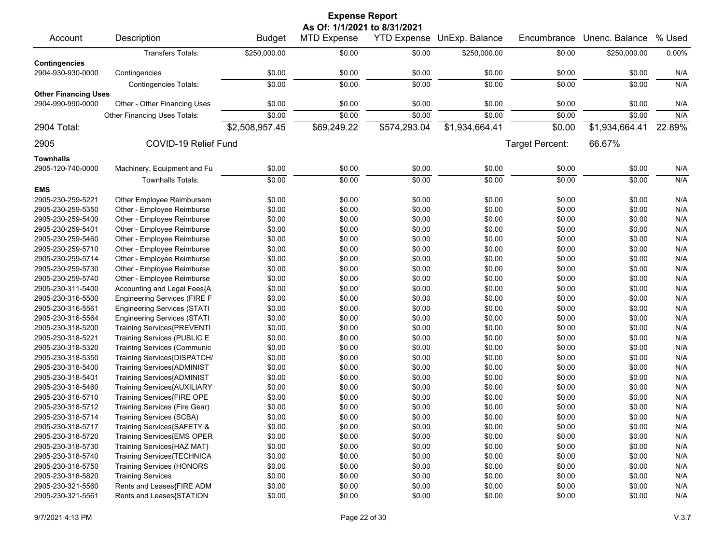|                             |                                     |                | <b>Expense Report</b>        |                    |                |                 |                |        |
|-----------------------------|-------------------------------------|----------------|------------------------------|--------------------|----------------|-----------------|----------------|--------|
|                             |                                     |                | As Of: 1/1/2021 to 8/31/2021 |                    |                |                 |                |        |
| Account                     | Description                         | <b>Budget</b>  | <b>MTD Expense</b>           | <b>YTD Expense</b> | UnExp. Balance | Encumbrance     | Unenc. Balance | % Used |
|                             | <b>Transfers Totals:</b>            | \$250,000.00   | \$0.00                       | \$0.00             | \$250,000.00   | \$0.00          | \$250,000.00   | 0.00%  |
| <b>Contingencies</b>        |                                     |                |                              |                    |                |                 |                |        |
| 2904-930-930-0000           | Contingencies                       | \$0.00         | \$0.00                       | \$0.00             | \$0.00         | \$0.00          | \$0.00         | N/A    |
|                             | <b>Contingencies Totals:</b>        | \$0.00         | \$0.00                       | \$0.00             | \$0.00         | \$0.00          | \$0.00         | N/A    |
| <b>Other Financing Uses</b> |                                     |                |                              |                    |                |                 |                |        |
| 2904-990-990-0000           | Other - Other Financing Uses        | \$0.00         | \$0.00                       | \$0.00             | \$0.00         | \$0.00          | \$0.00         | N/A    |
|                             | <b>Other Financing Uses Totals:</b> | \$0.00         | \$0.00                       | \$0.00             | \$0.00         | \$0.00          | \$0.00         | N/A    |
| 2904 Total:                 |                                     | \$2,508,957.45 | \$69,249.22                  | \$574,293.04       | \$1,934,664.41 | \$0.00          | \$1,934,664.41 | 22.89% |
| 2905                        | COVID-19 Relief Fund                |                |                              |                    |                | Target Percent: | 66.67%         |        |
|                             |                                     |                |                              |                    |                |                 |                |        |
| <b>Townhalls</b>            |                                     |                |                              |                    |                |                 |                |        |
| 2905-120-740-0000           | Machinery, Equipment and Fu         | \$0.00         | \$0.00                       | \$0.00             | \$0.00         | \$0.00          | \$0.00         | N/A    |
|                             | <b>Townhalls Totals:</b>            | \$0.00         | \$0.00                       | \$0.00             | \$0.00         | \$0.00          | \$0.00         | N/A    |
| <b>EMS</b>                  |                                     |                |                              |                    |                |                 |                |        |
| 2905-230-259-5221           | Other Employee Reimbursem           | \$0.00         | \$0.00                       | \$0.00             | \$0.00         | \$0.00          | \$0.00         | N/A    |
| 2905-230-259-5350           | Other - Employee Reimburse          | \$0.00         | \$0.00                       | \$0.00             | \$0.00         | \$0.00          | \$0.00         | N/A    |
| 2905-230-259-5400           | Other - Employee Reimburse          | \$0.00         | \$0.00                       | \$0.00             | \$0.00         | \$0.00          | \$0.00         | N/A    |
| 2905-230-259-5401           | Other - Employee Reimburse          | \$0.00         | \$0.00                       | \$0.00             | \$0.00         | \$0.00          | \$0.00         | N/A    |
| 2905-230-259-5460           | Other - Employee Reimburse          | \$0.00         | \$0.00                       | \$0.00             | \$0.00         | \$0.00          | \$0.00         | N/A    |
| 2905-230-259-5710           | Other - Employee Reimburse          | \$0.00         | \$0.00                       | \$0.00             | \$0.00         | \$0.00          | \$0.00         | N/A    |
| 2905-230-259-5714           | Other - Employee Reimburse          | \$0.00         | \$0.00                       | \$0.00             | \$0.00         | \$0.00          | \$0.00         | N/A    |
| 2905-230-259-5730           | Other - Employee Reimburse          | \$0.00         | \$0.00                       | \$0.00             | \$0.00         | \$0.00          | \$0.00         | N/A    |
| 2905-230-259-5740           | Other - Employee Reimburse          | \$0.00         | \$0.00                       | \$0.00             | \$0.00         | \$0.00          | \$0.00         | N/A    |
| 2905-230-311-5400           | Accounting and Legal Fees{A         | \$0.00         | \$0.00                       | \$0.00             | \$0.00         | \$0.00          | \$0.00         | N/A    |
| 2905-230-316-5500           | <b>Engineering Services (FIRE F</b> | \$0.00         | \$0.00                       | \$0.00             | \$0.00         | \$0.00          | \$0.00         | N/A    |
| 2905-230-316-5561           | <b>Engineering Services (STATI</b>  | \$0.00         | \$0.00                       | \$0.00             | \$0.00         | \$0.00          | \$0.00         | N/A    |
| 2905-230-316-5564           | <b>Engineering Services (STATI</b>  | \$0.00         | \$0.00                       | \$0.00             | \$0.00         | \$0.00          | \$0.00         | N/A    |
| 2905-230-318-5200           | Training Services{PREVENTI          | \$0.00         | \$0.00                       | \$0.00             | \$0.00         | \$0.00          | \$0.00         | N/A    |
| 2905-230-318-5221           | Training Services (PUBLIC E         | \$0.00         | \$0.00                       | \$0.00             | \$0.00         | \$0.00          | \$0.00         | N/A    |
| 2905-230-318-5320           | <b>Training Services (Communic</b>  | \$0.00         | \$0.00                       | \$0.00             | \$0.00         | \$0.00          | \$0.00         | N/A    |
| 2905-230-318-5350           | Training Services{DISPATCH/         | \$0.00         | \$0.00                       | \$0.00             | \$0.00         | \$0.00          | \$0.00         | N/A    |
| 2905-230-318-5400           | Training Services{ADMINIST          | \$0.00         | \$0.00                       | \$0.00             | \$0.00         | \$0.00          | \$0.00         | N/A    |
| 2905-230-318-5401           | <b>Training Services{ADMINIST</b>   | \$0.00         | \$0.00                       | \$0.00             | \$0.00         | \$0.00          | \$0.00         | N/A    |
| 2905-230-318-5460           | Training Services{AUXILIARY         | \$0.00         | \$0.00                       | \$0.00             | \$0.00         | \$0.00          | \$0.00         | N/A    |
| 2905-230-318-5710           | Training Services{FIRE OPE          | \$0.00         | \$0.00                       | \$0.00             | \$0.00         | \$0.00          | \$0.00         | N/A    |
| 2905-230-318-5712           | Training Services (Fire Gear)       | \$0.00         | \$0.00                       | \$0.00             | \$0.00         | \$0.00          | \$0.00         | N/A    |
| 2905-230-318-5714           | <b>Training Services (SCBA)</b>     | \$0.00         | \$0.00                       | \$0.00             | \$0.00         | \$0.00          | \$0.00         | N/A    |
| 2905-230-318-5717           | Training Services{SAFETY &          | \$0.00         | \$0.00                       | \$0.00             | \$0.00         | \$0.00          | \$0.00         | N/A    |
| 2905-230-318-5720           | Training Services{EMS OPER          | \$0.00         | \$0.00                       | \$0.00             | \$0.00         | \$0.00          | \$0.00         | N/A    |
| 2905-230-318-5730           | Training Services{HAZ MAT}          | \$0.00         | \$0.00                       | \$0.00             | \$0.00         | \$0.00          | \$0.00         | N/A    |
| 2905-230-318-5740           | Training Services{TECHNICA          | \$0.00         | \$0.00                       | \$0.00             | \$0.00         | \$0.00          | \$0.00         | N/A    |
| 2905-230-318-5750           | <b>Training Services (HONORS</b>    | \$0.00         | \$0.00                       | \$0.00             | \$0.00         | \$0.00          | \$0.00         | N/A    |
| 2905-230-318-5820           | <b>Training Services</b>            | \$0.00         | \$0.00                       | \$0.00             | \$0.00         | \$0.00          | \$0.00         | N/A    |
| 2905-230-321-5560           | Rents and Leases{FIRE ADM           | \$0.00         | \$0.00                       | \$0.00             | \$0.00         | \$0.00          | \$0.00         | N/A    |
| 2905-230-321-5561           | Rents and Leases{STATION            | \$0.00         | \$0.00                       | \$0.00             | \$0.00         | \$0.00          | \$0.00         | N/A    |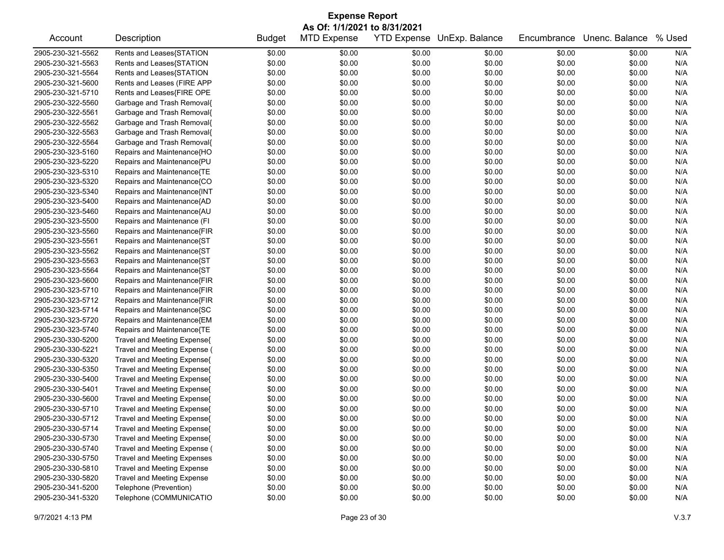|                   | <b>Expense Report</b>              |               |                              |        |                            |             |                |        |  |  |  |
|-------------------|------------------------------------|---------------|------------------------------|--------|----------------------------|-------------|----------------|--------|--|--|--|
|                   |                                    |               | As Of: 1/1/2021 to 8/31/2021 |        |                            |             |                |        |  |  |  |
| Account           | Description                        | <b>Budget</b> | <b>MTD Expense</b>           |        | YTD Expense UnExp. Balance | Encumbrance | Unenc. Balance | % Used |  |  |  |
| 2905-230-321-5562 | Rents and Leases{STATION           | \$0.00        | \$0.00                       | \$0.00 | \$0.00                     | \$0.00      | \$0.00         | N/A    |  |  |  |
| 2905-230-321-5563 | Rents and Leases{STATION           | \$0.00        | \$0.00                       | \$0.00 | \$0.00                     | \$0.00      | \$0.00         | N/A    |  |  |  |
| 2905-230-321-5564 | Rents and Leases{STATION           | \$0.00        | \$0.00                       | \$0.00 | \$0.00                     | \$0.00      | \$0.00         | N/A    |  |  |  |
| 2905-230-321-5600 | Rents and Leases (FIRE APP         | \$0.00        | \$0.00                       | \$0.00 | \$0.00                     | \$0.00      | \$0.00         | N/A    |  |  |  |
| 2905-230-321-5710 | Rents and Leases{FIRE OPE          | \$0.00        | \$0.00                       | \$0.00 | \$0.00                     | \$0.00      | \$0.00         | N/A    |  |  |  |
| 2905-230-322-5560 | Garbage and Trash Removal{         | \$0.00        | \$0.00                       | \$0.00 | \$0.00                     | \$0.00      | \$0.00         | N/A    |  |  |  |
| 2905-230-322-5561 | Garbage and Trash Removal{         | \$0.00        | \$0.00                       | \$0.00 | \$0.00                     | \$0.00      | \$0.00         | N/A    |  |  |  |
| 2905-230-322-5562 | Garbage and Trash Removal{         | \$0.00        | \$0.00                       | \$0.00 | \$0.00                     | \$0.00      | \$0.00         | N/A    |  |  |  |
| 2905-230-322-5563 | Garbage and Trash Removal{         | \$0.00        | \$0.00                       | \$0.00 | \$0.00                     | \$0.00      | \$0.00         | N/A    |  |  |  |
| 2905-230-322-5564 | Garbage and Trash Removal{         | \$0.00        | \$0.00                       | \$0.00 | \$0.00                     | \$0.00      | \$0.00         | N/A    |  |  |  |
| 2905-230-323-5160 | Repairs and Maintenance{HO         | \$0.00        | \$0.00                       | \$0.00 | \$0.00                     | \$0.00      | \$0.00         | N/A    |  |  |  |
| 2905-230-323-5220 | Repairs and Maintenance{PU         | \$0.00        | \$0.00                       | \$0.00 | \$0.00                     | \$0.00      | \$0.00         | N/A    |  |  |  |
| 2905-230-323-5310 | Repairs and Maintenance{TE         | \$0.00        | \$0.00                       | \$0.00 | \$0.00                     | \$0.00      | \$0.00         | N/A    |  |  |  |
| 2905-230-323-5320 | Repairs and Maintenance{CO         | \$0.00        | \$0.00                       | \$0.00 | \$0.00                     | \$0.00      | \$0.00         | N/A    |  |  |  |
| 2905-230-323-5340 | Repairs and Maintenance{INT        | \$0.00        | \$0.00                       | \$0.00 | \$0.00                     | \$0.00      | \$0.00         | N/A    |  |  |  |
| 2905-230-323-5400 | Repairs and Maintenance{AD         | \$0.00        | \$0.00                       | \$0.00 | \$0.00                     | \$0.00      | \$0.00         | N/A    |  |  |  |
| 2905-230-323-5460 | Repairs and Maintenance{AU         | \$0.00        | \$0.00                       | \$0.00 | \$0.00                     | \$0.00      | \$0.00         | N/A    |  |  |  |
| 2905-230-323-5500 | Repairs and Maintenance (FI        | \$0.00        | \$0.00                       | \$0.00 | \$0.00                     | \$0.00      | \$0.00         | N/A    |  |  |  |
| 2905-230-323-5560 | Repairs and Maintenance{FIR        | \$0.00        | \$0.00                       | \$0.00 | \$0.00                     | \$0.00      | \$0.00         | N/A    |  |  |  |
| 2905-230-323-5561 | Repairs and Maintenance{ST         | \$0.00        | \$0.00                       | \$0.00 | \$0.00                     | \$0.00      | \$0.00         | N/A    |  |  |  |
| 2905-230-323-5562 | Repairs and Maintenance{ST         | \$0.00        | \$0.00                       | \$0.00 | \$0.00                     | \$0.00      | \$0.00         | N/A    |  |  |  |
| 2905-230-323-5563 | Repairs and Maintenance{ST         | \$0.00        | \$0.00                       | \$0.00 | \$0.00                     | \$0.00      | \$0.00         | N/A    |  |  |  |
| 2905-230-323-5564 | Repairs and Maintenance{ST         | \$0.00        | \$0.00                       | \$0.00 | \$0.00                     | \$0.00      | \$0.00         | N/A    |  |  |  |
| 2905-230-323-5600 | Repairs and Maintenance{FIR        | \$0.00        | \$0.00                       | \$0.00 | \$0.00                     | \$0.00      | \$0.00         | N/A    |  |  |  |
| 2905-230-323-5710 | Repairs and Maintenance{FIR        | \$0.00        | \$0.00                       | \$0.00 | \$0.00                     | \$0.00      | \$0.00         | N/A    |  |  |  |
| 2905-230-323-5712 | Repairs and Maintenance{FIR        | \$0.00        | \$0.00                       | \$0.00 | \$0.00                     | \$0.00      | \$0.00         | N/A    |  |  |  |
| 2905-230-323-5714 | Repairs and Maintenance{SC         | \$0.00        | \$0.00                       | \$0.00 | \$0.00                     | \$0.00      | \$0.00         | N/A    |  |  |  |
| 2905-230-323-5720 | Repairs and Maintenance{EM         | \$0.00        | \$0.00                       | \$0.00 | \$0.00                     | \$0.00      | \$0.00         | N/A    |  |  |  |
| 2905-230-323-5740 | Repairs and Maintenance{TE         | \$0.00        | \$0.00                       | \$0.00 | \$0.00                     | \$0.00      | \$0.00         | N/A    |  |  |  |
| 2905-230-330-5200 | Travel and Meeting Expense{        | \$0.00        | \$0.00                       | \$0.00 | \$0.00                     | \$0.00      | \$0.00         | N/A    |  |  |  |
| 2905-230-330-5221 | Travel and Meeting Expense (       | \$0.00        | \$0.00                       | \$0.00 | \$0.00                     | \$0.00      | \$0.00         | N/A    |  |  |  |
| 2905-230-330-5320 | Travel and Meeting Expense{        | \$0.00        | \$0.00                       | \$0.00 | \$0.00                     | \$0.00      | \$0.00         | N/A    |  |  |  |
| 2905-230-330-5350 | Travel and Meeting Expense{        | \$0.00        | \$0.00                       | \$0.00 | \$0.00                     | \$0.00      | \$0.00         | N/A    |  |  |  |
| 2905-230-330-5400 | Travel and Meeting Expense{        | \$0.00        | \$0.00                       | \$0.00 | \$0.00                     | \$0.00      | \$0.00         | N/A    |  |  |  |
| 2905-230-330-5401 | Travel and Meeting Expense{        | \$0.00        | \$0.00                       | \$0.00 | \$0.00                     | \$0.00      | \$0.00         | N/A    |  |  |  |
| 2905-230-330-5600 | Travel and Meeting Expense{        | \$0.00        | \$0.00                       | \$0.00 | \$0.00                     | \$0.00      | \$0.00         | N/A    |  |  |  |
| 2905-230-330-5710 | Travel and Meeting Expense{        | \$0.00        | \$0.00                       | \$0.00 | \$0.00                     | \$0.00      | \$0.00         | N/A    |  |  |  |
| 2905-230-330-5712 | Travel and Meeting Expense{        | \$0.00        | \$0.00                       | \$0.00 | \$0.00                     | \$0.00      | \$0.00         | N/A    |  |  |  |
| 2905-230-330-5714 | Travel and Meeting Expense{        | \$0.00        | \$0.00                       | \$0.00 | \$0.00                     | \$0.00      | \$0.00         | N/A    |  |  |  |
| 2905-230-330-5730 | Travel and Meeting Expense{        | \$0.00        | \$0.00                       | \$0.00 | \$0.00                     | \$0.00      | \$0.00         | N/A    |  |  |  |
| 2905-230-330-5740 | Travel and Meeting Expense (       | \$0.00        | \$0.00                       | \$0.00 | \$0.00                     | \$0.00      | \$0.00         | N/A    |  |  |  |
| 2905-230-330-5750 | <b>Travel and Meeting Expenses</b> | \$0.00        | \$0.00                       | \$0.00 | \$0.00                     | \$0.00      | \$0.00         | N/A    |  |  |  |
| 2905-230-330-5810 | <b>Travel and Meeting Expense</b>  | \$0.00        | \$0.00                       | \$0.00 | \$0.00                     | \$0.00      | \$0.00         | N/A    |  |  |  |
| 2905-230-330-5820 | <b>Travel and Meeting Expense</b>  | \$0.00        | \$0.00                       | \$0.00 | \$0.00                     | \$0.00      | \$0.00         | N/A    |  |  |  |
| 2905-230-341-5200 | Telephone (Prevention)             | \$0.00        | \$0.00                       | \$0.00 | \$0.00                     | \$0.00      | \$0.00         | N/A    |  |  |  |
| 2905-230-341-5320 | Telephone (COMMUNICATIO            | \$0.00        | \$0.00                       | \$0.00 | \$0.00                     | \$0.00      | \$0.00         | N/A    |  |  |  |
|                   |                                    |               |                              |        |                            |             |                |        |  |  |  |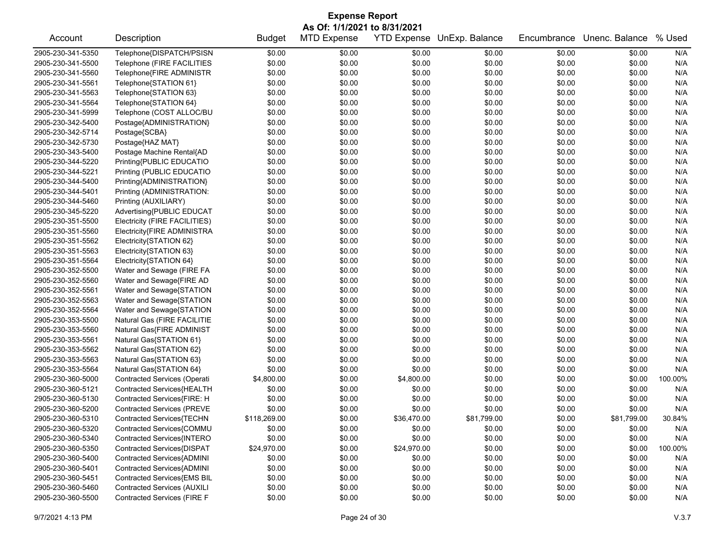| <b>Expense Report</b><br>As Of: 1/1/2021 to 8/31/2021 |                                    |               |                    |             |                            |             |                       |         |
|-------------------------------------------------------|------------------------------------|---------------|--------------------|-------------|----------------------------|-------------|-----------------------|---------|
| Account                                               | Description                        | <b>Budget</b> | <b>MTD Expense</b> |             | YTD Expense UnExp. Balance | Encumbrance | Unenc. Balance % Used |         |
| 2905-230-341-5350                                     | Telephone{DISPATCH/PSISN           | \$0.00        | \$0.00             | \$0.00      | \$0.00                     | \$0.00      | \$0.00                | N/A     |
| 2905-230-341-5500                                     | Telephone (FIRE FACILITIES         | \$0.00        | \$0.00             | \$0.00      | \$0.00                     | \$0.00      | \$0.00                | N/A     |
| 2905-230-341-5560                                     | Telephone{FIRE ADMINISTR           | \$0.00        | \$0.00             | \$0.00      | \$0.00                     | \$0.00      | \$0.00                | N/A     |
| 2905-230-341-5561                                     | Telephone{STATION 61}              | \$0.00        | \$0.00             | \$0.00      | \$0.00                     | \$0.00      | \$0.00                | N/A     |
| 2905-230-341-5563                                     | Telephone{STATION 63}              | \$0.00        | \$0.00             | \$0.00      | \$0.00                     | \$0.00      | \$0.00                | N/A     |
| 2905-230-341-5564                                     | Telephone{STATION 64}              | \$0.00        | \$0.00             | \$0.00      | \$0.00                     | \$0.00      | \$0.00                | N/A     |
| 2905-230-341-5999                                     | Telephone (COST ALLOC/BU           | \$0.00        | \$0.00             | \$0.00      | \$0.00                     | \$0.00      | \$0.00                | N/A     |
| 2905-230-342-5400                                     | Postage{ADMINISTRATION}            | \$0.00        | \$0.00             | \$0.00      | \$0.00                     | \$0.00      | \$0.00                | N/A     |
| 2905-230-342-5714                                     | Postage{SCBA}                      | \$0.00        | \$0.00             | \$0.00      | \$0.00                     | \$0.00      | \$0.00                | N/A     |
| 2905-230-342-5730                                     | Postage{HAZ MAT}                   | \$0.00        | \$0.00             | \$0.00      | \$0.00                     | \$0.00      | \$0.00                | N/A     |
| 2905-230-343-5400                                     | Postage Machine Rental{AD          | \$0.00        | \$0.00             | \$0.00      | \$0.00                     | \$0.00      | \$0.00                | N/A     |
| 2905-230-344-5220                                     | Printing{PUBLIC EDUCATIO           | \$0.00        | \$0.00             | \$0.00      | \$0.00                     | \$0.00      | \$0.00                | N/A     |
| 2905-230-344-5221                                     | Printing (PUBLIC EDUCATIO          | \$0.00        | \$0.00             | \$0.00      | \$0.00                     | \$0.00      | \$0.00                | N/A     |
| 2905-230-344-5400                                     | Printing{ADMINISTRATION}           | \$0.00        | \$0.00             | \$0.00      | \$0.00                     | \$0.00      | \$0.00                | N/A     |
| 2905-230-344-5401                                     | Printing (ADMINISTRATION:          | \$0.00        | \$0.00             | \$0.00      | \$0.00                     | \$0.00      | \$0.00                | N/A     |
| 2905-230-344-5460                                     | Printing (AUXILIARY)               | \$0.00        | \$0.00             | \$0.00      | \$0.00                     | \$0.00      | \$0.00                | N/A     |
| 2905-230-345-5220                                     | Advertising{PUBLIC EDUCAT          | \$0.00        | \$0.00             | \$0.00      | \$0.00                     | \$0.00      | \$0.00                | N/A     |
| 2905-230-351-5500                                     | Electricity (FIRE FACILITIES)      | \$0.00        | \$0.00             | \$0.00      | \$0.00                     | \$0.00      | \$0.00                | N/A     |
| 2905-230-351-5560                                     | Electricity{FIRE ADMINISTRA        | \$0.00        | \$0.00             | \$0.00      | \$0.00                     | \$0.00      | \$0.00                | N/A     |
| 2905-230-351-5562                                     | Electricity{STATION 62}            | \$0.00        | \$0.00             | \$0.00      | \$0.00                     | \$0.00      | \$0.00                | N/A     |
| 2905-230-351-5563                                     | Electricity{STATION 63}            | \$0.00        | \$0.00             | \$0.00      | \$0.00                     | \$0.00      | \$0.00                | N/A     |
| 2905-230-351-5564                                     | Electricity{STATION 64}            | \$0.00        | \$0.00             | \$0.00      | \$0.00                     | \$0.00      | \$0.00                | N/A     |
| 2905-230-352-5500                                     | Water and Sewage (FIRE FA          | \$0.00        | \$0.00             | \$0.00      | \$0.00                     | \$0.00      | \$0.00                | N/A     |
| 2905-230-352-5560                                     | Water and Sewage{FIRE AD           | \$0.00        | \$0.00             | \$0.00      | \$0.00                     | \$0.00      | \$0.00                | N/A     |
| 2905-230-352-5561                                     | Water and Sewage{STATION           | \$0.00        | \$0.00             | \$0.00      | \$0.00                     | \$0.00      | \$0.00                | N/A     |
| 2905-230-352-5563                                     | Water and Sewage{STATION           | \$0.00        | \$0.00             | \$0.00      | \$0.00                     | \$0.00      | \$0.00                | N/A     |
| 2905-230-352-5564                                     | Water and Sewage{STATION           | \$0.00        | \$0.00             | \$0.00      | \$0.00                     | \$0.00      | \$0.00                | N/A     |
| 2905-230-353-5500                                     | Natural Gas (FIRE FACILITIE        | \$0.00        | \$0.00             | \$0.00      | \$0.00                     | \$0.00      | \$0.00                | N/A     |
| 2905-230-353-5560                                     | Natural Gas{FIRE ADMINIST          | \$0.00        | \$0.00             | \$0.00      | \$0.00                     | \$0.00      | \$0.00                | N/A     |
| 2905-230-353-5561                                     | Natural Gas{STATION 61}            | \$0.00        | \$0.00             | \$0.00      | \$0.00                     | \$0.00      | \$0.00                | N/A     |
| 2905-230-353-5562                                     | Natural Gas{STATION 62}            | \$0.00        | \$0.00             | \$0.00      | \$0.00                     | \$0.00      | \$0.00                | N/A     |
| 2905-230-353-5563                                     | Natural Gas{STATION 63}            | \$0.00        | \$0.00             | \$0.00      | \$0.00                     | \$0.00      | \$0.00                | N/A     |
| 2905-230-353-5564                                     | Natural Gas{STATION 64}            | \$0.00        | \$0.00             | \$0.00      | \$0.00                     | \$0.00      | \$0.00                | N/A     |
| 2905-230-360-5000                                     | Contracted Services (Operati       | \$4,800.00    | \$0.00             | \$4,800.00  | \$0.00                     | \$0.00      | \$0.00                | 100.00% |
| 2905-230-360-5121                                     | Contracted Services{HEALTH         | \$0.00        | \$0.00             | \$0.00      | \$0.00                     | \$0.00      | \$0.00                | N/A     |
| 2905-230-360-5130                                     | Contracted Services{FIRE: H        | \$0.00        | \$0.00             | \$0.00      | \$0.00                     | \$0.00      | \$0.00                | N/A     |
| 2905-230-360-5200                                     | <b>Contracted Services (PREVE</b>  | \$0.00        | \$0.00             | \$0.00      | \$0.00                     | \$0.00      | \$0.00                | N/A     |
| 2905-230-360-5310                                     | Contracted Services{TECHN          | \$118,269.00  | \$0.00             | \$36,470.00 | \$81,799.00                | \$0.00      | \$81,799.00           | 30.84%  |
| 2905-230-360-5320                                     | Contracted Services{COMMU          | \$0.00        | \$0.00             | \$0.00      | \$0.00                     | \$0.00      | \$0.00                | N/A     |
| 2905-230-360-5340                                     | Contracted Services{INTERO         | \$0.00        | \$0.00             | \$0.00      | \$0.00                     | \$0.00      | \$0.00                | N/A     |
| 2905-230-360-5350                                     | Contracted Services{DISPAT         | \$24,970.00   | \$0.00             | \$24,970.00 | \$0.00                     | \$0.00      | \$0.00                | 100.00% |
| 2905-230-360-5400                                     | Contracted Services{ADMINI         | \$0.00        | \$0.00             | \$0.00      | \$0.00                     | \$0.00      | \$0.00                | N/A     |
| 2905-230-360-5401                                     | Contracted Services{ADMINI         | \$0.00        | \$0.00             | \$0.00      | \$0.00                     | \$0.00      | \$0.00                | N/A     |
| 2905-230-360-5451                                     | <b>Contracted Services{EMS BIL</b> | \$0.00        | \$0.00             | \$0.00      | \$0.00                     | \$0.00      | \$0.00                | N/A     |
| 2905-230-360-5460                                     | <b>Contracted Services (AUXILI</b> | \$0.00        | \$0.00             | \$0.00      | \$0.00                     | \$0.00      | \$0.00                | N/A     |
| 2905-230-360-5500                                     | <b>Contracted Services (FIRE F</b> | \$0.00        | \$0.00             | \$0.00      | \$0.00                     | \$0.00      | \$0.00                | N/A     |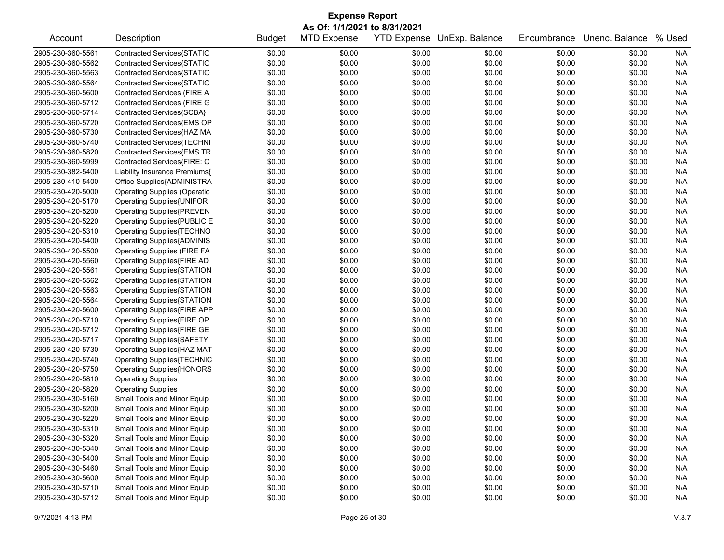|                   | <b>Expense Report</b>               |               |                              |        |                            |             |                |        |  |  |  |
|-------------------|-------------------------------------|---------------|------------------------------|--------|----------------------------|-------------|----------------|--------|--|--|--|
|                   |                                     |               | As Of: 1/1/2021 to 8/31/2021 |        |                            |             |                |        |  |  |  |
| Account           | Description                         | <b>Budget</b> | <b>MTD Expense</b>           |        | YTD Expense UnExp. Balance | Encumbrance | Unenc. Balance | % Used |  |  |  |
| 2905-230-360-5561 | Contracted Services{STATIO          | \$0.00        | \$0.00                       | \$0.00 | \$0.00                     | \$0.00      | \$0.00         | N/A    |  |  |  |
| 2905-230-360-5562 | Contracted Services{STATIO          | \$0.00        | \$0.00                       | \$0.00 | \$0.00                     | \$0.00      | \$0.00         | N/A    |  |  |  |
| 2905-230-360-5563 | Contracted Services{STATIO          | \$0.00        | \$0.00                       | \$0.00 | \$0.00                     | \$0.00      | \$0.00         | N/A    |  |  |  |
| 2905-230-360-5564 | Contracted Services{STATIO          | \$0.00        | \$0.00                       | \$0.00 | \$0.00                     | \$0.00      | \$0.00         | N/A    |  |  |  |
| 2905-230-360-5600 | Contracted Services (FIRE A         | \$0.00        | \$0.00                       | \$0.00 | \$0.00                     | \$0.00      | \$0.00         | N/A    |  |  |  |
| 2905-230-360-5712 | Contracted Services (FIRE G         | \$0.00        | \$0.00                       | \$0.00 | \$0.00                     | \$0.00      | \$0.00         | N/A    |  |  |  |
| 2905-230-360-5714 | Contracted Services{SCBA}           | \$0.00        | \$0.00                       | \$0.00 | \$0.00                     | \$0.00      | \$0.00         | N/A    |  |  |  |
| 2905-230-360-5720 | Contracted Services{EMS OP          | \$0.00        | \$0.00                       | \$0.00 | \$0.00                     | \$0.00      | \$0.00         | N/A    |  |  |  |
| 2905-230-360-5730 | Contracted Services{HAZ MA          | \$0.00        | \$0.00                       | \$0.00 | \$0.00                     | \$0.00      | \$0.00         | N/A    |  |  |  |
| 2905-230-360-5740 | Contracted Services{TECHNI          | \$0.00        | \$0.00                       | \$0.00 | \$0.00                     | \$0.00      | \$0.00         | N/A    |  |  |  |
| 2905-230-360-5820 | Contracted Services{EMS TR          | \$0.00        | \$0.00                       | \$0.00 | \$0.00                     | \$0.00      | \$0.00         | N/A    |  |  |  |
| 2905-230-360-5999 | Contracted Services{FIRE: C         | \$0.00        | \$0.00                       | \$0.00 | \$0.00                     | \$0.00      | \$0.00         | N/A    |  |  |  |
| 2905-230-382-5400 | Liability Insurance Premiums{       | \$0.00        | \$0.00                       | \$0.00 | \$0.00                     | \$0.00      | \$0.00         | N/A    |  |  |  |
| 2905-230-410-5400 | Office Supplies{ADMINISTRA          | \$0.00        | \$0.00                       | \$0.00 | \$0.00                     | \$0.00      | \$0.00         | N/A    |  |  |  |
| 2905-230-420-5000 | <b>Operating Supplies (Operatio</b> | \$0.00        | \$0.00                       | \$0.00 | \$0.00                     | \$0.00      | \$0.00         | N/A    |  |  |  |
| 2905-230-420-5170 | Operating Supplies{UNIFOR           | \$0.00        | \$0.00                       | \$0.00 | \$0.00                     | \$0.00      | \$0.00         | N/A    |  |  |  |
| 2905-230-420-5200 | <b>Operating Supplies{PREVEN</b>    | \$0.00        | \$0.00                       | \$0.00 | \$0.00                     | \$0.00      | \$0.00         | N/A    |  |  |  |
| 2905-230-420-5220 | Operating Supplies{PUBLIC E         | \$0.00        | \$0.00                       | \$0.00 | \$0.00                     | \$0.00      | \$0.00         | N/A    |  |  |  |
| 2905-230-420-5310 | Operating Supplies{TECHNO           | \$0.00        | \$0.00                       | \$0.00 | \$0.00                     | \$0.00      | \$0.00         | N/A    |  |  |  |
| 2905-230-420-5400 | <b>Operating Supplies{ADMINIS</b>   | \$0.00        | \$0.00                       | \$0.00 | \$0.00                     | \$0.00      | \$0.00         | N/A    |  |  |  |
| 2905-230-420-5500 | <b>Operating Supplies (FIRE FA</b>  | \$0.00        | \$0.00                       | \$0.00 | \$0.00                     | \$0.00      | \$0.00         | N/A    |  |  |  |
| 2905-230-420-5560 | Operating Supplies{FIRE AD          | \$0.00        | \$0.00                       | \$0.00 | \$0.00                     | \$0.00      | \$0.00         | N/A    |  |  |  |
| 2905-230-420-5561 | Operating Supplies{STATION          | \$0.00        | \$0.00                       | \$0.00 | \$0.00                     | \$0.00      | \$0.00         | N/A    |  |  |  |
| 2905-230-420-5562 | Operating Supplies{STATION          | \$0.00        | \$0.00                       | \$0.00 | \$0.00                     | \$0.00      | \$0.00         | N/A    |  |  |  |
| 2905-230-420-5563 | <b>Operating Supplies{STATION</b>   | \$0.00        | \$0.00                       | \$0.00 | \$0.00                     | \$0.00      | \$0.00         | N/A    |  |  |  |
| 2905-230-420-5564 | <b>Operating Supplies{STATION</b>   | \$0.00        | \$0.00                       | \$0.00 | \$0.00                     | \$0.00      | \$0.00         | N/A    |  |  |  |
| 2905-230-420-5600 | Operating Supplies{FIRE APP         | \$0.00        | \$0.00                       | \$0.00 | \$0.00                     | \$0.00      | \$0.00         | N/A    |  |  |  |
| 2905-230-420-5710 | Operating Supplies{FIRE OP          | \$0.00        | \$0.00                       | \$0.00 | \$0.00                     | \$0.00      | \$0.00         | N/A    |  |  |  |
| 2905-230-420-5712 | Operating Supplies{FIRE GE          | \$0.00        | \$0.00                       | \$0.00 | \$0.00                     | \$0.00      | \$0.00         | N/A    |  |  |  |
| 2905-230-420-5717 | <b>Operating Supplies{SAFETY</b>    | \$0.00        | \$0.00                       | \$0.00 | \$0.00                     | \$0.00      | \$0.00         | N/A    |  |  |  |
| 2905-230-420-5730 | Operating Supplies{HAZ MAT          | \$0.00        | \$0.00                       | \$0.00 | \$0.00                     | \$0.00      | \$0.00         | N/A    |  |  |  |
| 2905-230-420-5740 | <b>Operating Supplies{TECHNIC</b>   | \$0.00        | \$0.00                       | \$0.00 | \$0.00                     | \$0.00      | \$0.00         | N/A    |  |  |  |
| 2905-230-420-5750 | <b>Operating Supplies{HONORS</b>    | \$0.00        | \$0.00                       | \$0.00 | \$0.00                     | \$0.00      | \$0.00         | N/A    |  |  |  |
| 2905-230-420-5810 | <b>Operating Supplies</b>           | \$0.00        | \$0.00                       | \$0.00 | \$0.00                     | \$0.00      | \$0.00         | N/A    |  |  |  |
| 2905-230-420-5820 | <b>Operating Supplies</b>           | \$0.00        | \$0.00                       | \$0.00 | \$0.00                     | \$0.00      | \$0.00         | N/A    |  |  |  |
| 2905-230-430-5160 | Small Tools and Minor Equip         | \$0.00        | \$0.00                       | \$0.00 | \$0.00                     | \$0.00      | \$0.00         | N/A    |  |  |  |
| 2905-230-430-5200 | Small Tools and Minor Equip         | \$0.00        | \$0.00                       | \$0.00 | \$0.00                     | \$0.00      | \$0.00         | N/A    |  |  |  |
| 2905-230-430-5220 | Small Tools and Minor Equip         | \$0.00        | \$0.00                       | \$0.00 | \$0.00                     | \$0.00      | \$0.00         | N/A    |  |  |  |
| 2905-230-430-5310 | Small Tools and Minor Equip         | \$0.00        | \$0.00                       | \$0.00 | \$0.00                     | \$0.00      | \$0.00         | N/A    |  |  |  |
| 2905-230-430-5320 | Small Tools and Minor Equip         | \$0.00        | \$0.00                       | \$0.00 | \$0.00                     | \$0.00      | \$0.00         | N/A    |  |  |  |
| 2905-230-430-5340 | Small Tools and Minor Equip         | \$0.00        | \$0.00                       | \$0.00 | \$0.00                     | \$0.00      | \$0.00         | N/A    |  |  |  |
| 2905-230-430-5400 | Small Tools and Minor Equip         | \$0.00        | \$0.00                       | \$0.00 | \$0.00                     | \$0.00      | \$0.00         | N/A    |  |  |  |
| 2905-230-430-5460 | Small Tools and Minor Equip         | \$0.00        | \$0.00                       | \$0.00 | \$0.00                     | \$0.00      | \$0.00         | N/A    |  |  |  |
| 2905-230-430-5600 | Small Tools and Minor Equip         | \$0.00        | \$0.00                       | \$0.00 | \$0.00                     | \$0.00      | \$0.00         | N/A    |  |  |  |
| 2905-230-430-5710 | Small Tools and Minor Equip         | \$0.00        | \$0.00                       | \$0.00 | \$0.00                     | \$0.00      | \$0.00         | N/A    |  |  |  |
| 2905-230-430-5712 | Small Tools and Minor Equip         | \$0.00        | \$0.00                       | \$0.00 | \$0.00                     | \$0.00      | \$0.00         | N/A    |  |  |  |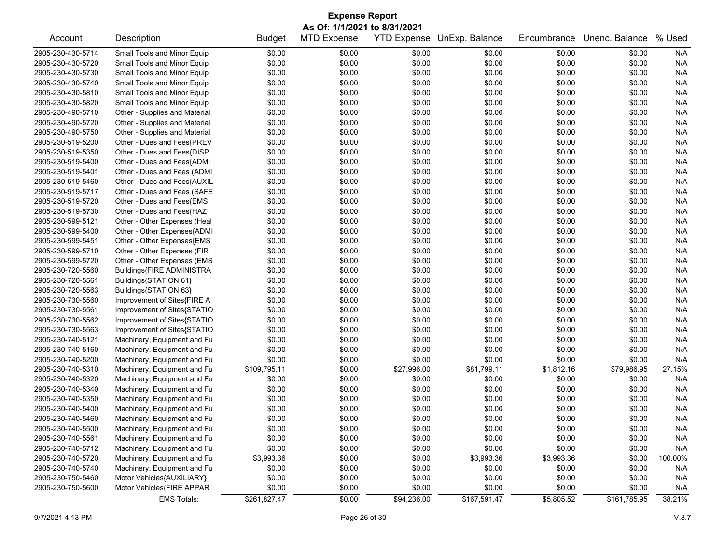|                   | <b>Expense Report</b>         |               |                              |                    |                |             |                |         |  |  |
|-------------------|-------------------------------|---------------|------------------------------|--------------------|----------------|-------------|----------------|---------|--|--|
|                   |                               |               | As Of: 1/1/2021 to 8/31/2021 |                    |                |             |                |         |  |  |
| Account           | Description                   | <b>Budget</b> | <b>MTD Expense</b>           | <b>YTD Expense</b> | UnExp. Balance | Encumbrance | Unenc. Balance | % Used  |  |  |
| 2905-230-430-5714 | Small Tools and Minor Equip   | \$0.00        | \$0.00                       | \$0.00             | \$0.00         | \$0.00      | \$0.00         | N/A     |  |  |
| 2905-230-430-5720 | Small Tools and Minor Equip   | \$0.00        | \$0.00                       | \$0.00             | \$0.00         | \$0.00      | \$0.00         | N/A     |  |  |
| 2905-230-430-5730 | Small Tools and Minor Equip   | \$0.00        | \$0.00                       | \$0.00             | \$0.00         | \$0.00      | \$0.00         | N/A     |  |  |
| 2905-230-430-5740 | Small Tools and Minor Equip   | \$0.00        | \$0.00                       | \$0.00             | \$0.00         | \$0.00      | \$0.00         | N/A     |  |  |
| 2905-230-430-5810 | Small Tools and Minor Equip   | \$0.00        | \$0.00                       | \$0.00             | \$0.00         | \$0.00      | \$0.00         | N/A     |  |  |
| 2905-230-430-5820 | Small Tools and Minor Equip   | \$0.00        | \$0.00                       | \$0.00             | \$0.00         | \$0.00      | \$0.00         | N/A     |  |  |
| 2905-230-490-5710 | Other - Supplies and Material | \$0.00        | \$0.00                       | \$0.00             | \$0.00         | \$0.00      | \$0.00         | N/A     |  |  |
| 2905-230-490-5720 | Other - Supplies and Material | \$0.00        | \$0.00                       | \$0.00             | \$0.00         | \$0.00      | \$0.00         | N/A     |  |  |
| 2905-230-490-5750 | Other - Supplies and Material | \$0.00        | \$0.00                       | \$0.00             | \$0.00         | \$0.00      | \$0.00         | N/A     |  |  |
| 2905-230-519-5200 | Other - Dues and Fees{PREV    | \$0.00        | \$0.00                       | \$0.00             | \$0.00         | \$0.00      | \$0.00         | N/A     |  |  |
| 2905-230-519-5350 | Other - Dues and Fees{DISP    | \$0.00        | \$0.00                       | \$0.00             | \$0.00         | \$0.00      | \$0.00         | N/A     |  |  |
| 2905-230-519-5400 | Other - Dues and Fees{ADMI    | \$0.00        | \$0.00                       | \$0.00             | \$0.00         | \$0.00      | \$0.00         | N/A     |  |  |
| 2905-230-519-5401 | Other - Dues and Fees (ADMI   | \$0.00        | \$0.00                       | \$0.00             | \$0.00         | \$0.00      | \$0.00         | N/A     |  |  |
| 2905-230-519-5460 | Other - Dues and Fees{AUXIL   | \$0.00        | \$0.00                       | \$0.00             | \$0.00         | \$0.00      | \$0.00         | N/A     |  |  |
| 2905-230-519-5717 | Other - Dues and Fees (SAFE   | \$0.00        | \$0.00                       | \$0.00             | \$0.00         | \$0.00      | \$0.00         | N/A     |  |  |
| 2905-230-519-5720 | Other - Dues and Fees{EMS     | \$0.00        | \$0.00                       | \$0.00             | \$0.00         | \$0.00      | \$0.00         | N/A     |  |  |
| 2905-230-519-5730 | Other - Dues and Fees{HAZ     | \$0.00        | \$0.00                       | \$0.00             | \$0.00         | \$0.00      | \$0.00         | N/A     |  |  |
| 2905-230-599-5121 | Other - Other Expenses (Heal  | \$0.00        | \$0.00                       | \$0.00             | \$0.00         | \$0.00      | \$0.00         | N/A     |  |  |
| 2905-230-599-5400 | Other - Other Expenses{ADMI   | \$0.00        | \$0.00                       | \$0.00             | \$0.00         | \$0.00      | \$0.00         | N/A     |  |  |
| 2905-230-599-5451 | Other - Other Expenses{EMS    | \$0.00        | \$0.00                       | \$0.00             | \$0.00         | \$0.00      | \$0.00         | N/A     |  |  |
| 2905-230-599-5710 | Other - Other Expenses (FIR   | \$0.00        | \$0.00                       | \$0.00             | \$0.00         | \$0.00      | \$0.00         | N/A     |  |  |
| 2905-230-599-5720 |                               | \$0.00        | \$0.00                       | \$0.00             | \$0.00         | \$0.00      | \$0.00         | N/A     |  |  |
|                   | Other - Other Expenses (EMS   |               |                              |                    |                |             |                |         |  |  |
| 2905-230-720-5560 | Buildings{FIRE ADMINISTRA     | \$0.00        | \$0.00                       | \$0.00             | \$0.00         | \$0.00      | \$0.00         | N/A     |  |  |
| 2905-230-720-5561 | Buildings{STATION 61}         | \$0.00        | \$0.00                       | \$0.00             | \$0.00         | \$0.00      | \$0.00         | N/A     |  |  |
| 2905-230-720-5563 | Buildings{STATION 63}         | \$0.00        | \$0.00                       | \$0.00             | \$0.00         | \$0.00      | \$0.00         | N/A     |  |  |
| 2905-230-730-5560 | Improvement of Sites{FIRE A   | \$0.00        | \$0.00                       | \$0.00             | \$0.00         | \$0.00      | \$0.00         | N/A     |  |  |
| 2905-230-730-5561 | Improvement of Sites{STATIO   | \$0.00        | \$0.00                       | \$0.00             | \$0.00         | \$0.00      | \$0.00         | N/A     |  |  |
| 2905-230-730-5562 | Improvement of Sites{STATIO   | \$0.00        | \$0.00                       | \$0.00             | \$0.00         | \$0.00      | \$0.00         | N/A     |  |  |
| 2905-230-730-5563 | Improvement of Sites{STATIO   | \$0.00        | \$0.00                       | \$0.00             | \$0.00         | \$0.00      | \$0.00         | N/A     |  |  |
| 2905-230-740-5121 | Machinery, Equipment and Fu   | \$0.00        | \$0.00                       | \$0.00             | \$0.00         | \$0.00      | \$0.00         | N/A     |  |  |
| 2905-230-740-5160 | Machinery, Equipment and Fu   | \$0.00        | \$0.00                       | \$0.00             | \$0.00         | \$0.00      | \$0.00         | N/A     |  |  |
| 2905-230-740-5200 | Machinery, Equipment and Fu   | \$0.00        | \$0.00                       | \$0.00             | \$0.00         | \$0.00      | \$0.00         | N/A     |  |  |
| 2905-230-740-5310 | Machinery, Equipment and Fu   | \$109,795.11  | \$0.00                       | \$27,996.00        | \$81,799.11    | \$1,812.16  | \$79,986.95    | 27.15%  |  |  |
| 2905-230-740-5320 | Machinery, Equipment and Fu   | \$0.00        | \$0.00                       | \$0.00             | \$0.00         | \$0.00      | \$0.00         | N/A     |  |  |
| 2905-230-740-5340 | Machinery, Equipment and Fu   | \$0.00        | \$0.00                       | \$0.00             | \$0.00         | \$0.00      | \$0.00         | N/A     |  |  |
| 2905-230-740-5350 | Machinery, Equipment and Fu   | \$0.00        | \$0.00                       | \$0.00             | \$0.00         | \$0.00      | \$0.00         | N/A     |  |  |
| 2905-230-740-5400 | Machinery, Equipment and Fu   | \$0.00        | \$0.00                       | \$0.00             | \$0.00         | \$0.00      | \$0.00         | N/A     |  |  |
| 2905-230-740-5460 | Machinery, Equipment and Fu   | \$0.00        | \$0.00                       | \$0.00             | \$0.00         | \$0.00      | \$0.00         | N/A     |  |  |
| 2905-230-740-5500 | Machinery, Equipment and Fu   | \$0.00        | \$0.00                       | \$0.00             | \$0.00         | \$0.00      | \$0.00         | N/A     |  |  |
| 2905-230-740-5561 | Machinery, Equipment and Fu   | \$0.00        | \$0.00                       | \$0.00             | \$0.00         | \$0.00      | \$0.00         | N/A     |  |  |
| 2905-230-740-5712 | Machinery, Equipment and Fu   | \$0.00        | \$0.00                       | \$0.00             | \$0.00         | \$0.00      | \$0.00         | N/A     |  |  |
| 2905-230-740-5720 | Machinery, Equipment and Fu   | \$3,993.36    | \$0.00                       | \$0.00             | \$3,993.36     | \$3,993.36  | \$0.00         | 100.00% |  |  |
| 2905-230-740-5740 | Machinery, Equipment and Fu   | \$0.00        | \$0.00                       | \$0.00             | \$0.00         | \$0.00      | \$0.00         | N/A     |  |  |
| 2905-230-750-5460 | Motor Vehicles{AUXILIARY}     | \$0.00        | \$0.00                       | \$0.00             | \$0.00         | \$0.00      | \$0.00         | N/A     |  |  |
| 2905-230-750-5600 | Motor Vehicles{FIRE APPAR     | \$0.00        | \$0.00                       | \$0.00             | \$0.00         | \$0.00      | \$0.00         | N/A     |  |  |
|                   | <b>EMS Totals:</b>            | \$261,827.47  | \$0.00                       | \$94,236.00        | \$167,591.47   | \$5,805.52  | \$161,785.95   | 38.21%  |  |  |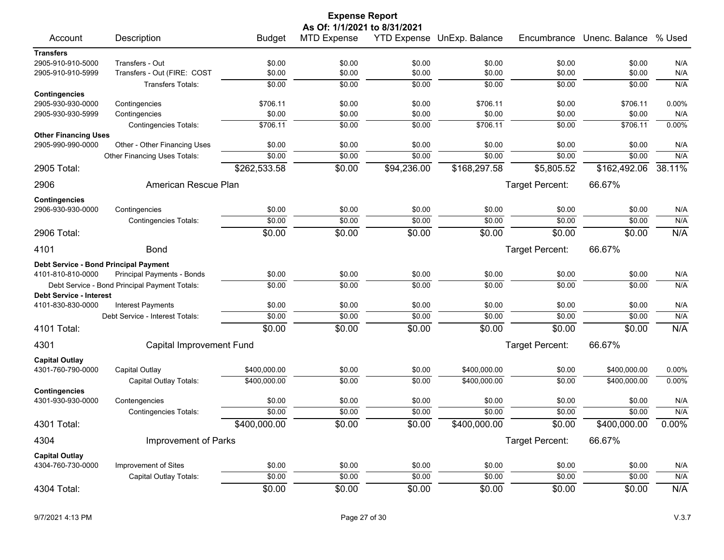| As Of: 1/1/2021 to 8/31/2021<br>YTD Expense UnExp. Balance<br>Encumbrance Unenc. Balance % Used<br>Account<br>Description<br><b>Budget</b><br><b>MTD Expense</b><br><b>Transfers</b><br>2905-910-910-5000<br>\$0.00<br>\$0.00<br>\$0.00<br>\$0.00<br>Transfers - Out<br>\$0.00<br>\$0.00<br>N/A<br>Transfers - Out (FIRE: COST<br>\$0.00<br>\$0.00<br>\$0.00<br>\$0.00<br>\$0.00<br>\$0.00<br>N/A<br>2905-910-910-5999<br>\$0.00<br>N/A<br>\$0.00<br>\$0.00<br>\$0.00<br>\$0.00<br>\$0.00<br><b>Transfers Totals:</b><br><b>Contingencies</b><br>\$706.11<br>\$0.00<br>\$706.11<br>0.00%<br>2905-930-930-0000<br>Contingencies<br>\$0.00<br>\$0.00<br>\$706.11<br>\$0.00<br>\$0.00<br>\$0.00<br>\$0.00<br>\$0.00<br>\$0.00<br>N/A<br>2905-930-930-5999<br>Contingencies<br>\$706.11<br>\$706.11<br>0.00%<br>Contingencies Totals:<br>\$0.00<br>\$0.00<br>\$0.00<br>\$706.11<br><b>Other Financing Uses</b><br>\$0.00<br>\$0.00<br>\$0.00<br>\$0.00<br>\$0.00<br>2905-990-990-0000<br>Other - Other Financing Uses<br>\$0.00<br>N/A<br>\$0.00<br>\$0.00<br>\$0.00<br>\$0.00<br>\$0.00<br>\$0.00<br>N/A<br>Other Financing Uses Totals:<br>38.11%<br>\$94,236.00<br>2905 Total:<br>\$262,533.58<br>\$0.00<br>\$168,297.58<br>\$5,805.52<br>\$162,492.06<br>American Rescue Plan<br>66.67%<br>2906<br>Target Percent:<br><b>Contingencies</b><br>2906-930-930-0000<br>Contingencies<br>\$0.00<br>\$0.00<br>\$0.00<br>\$0.00<br>\$0.00<br>\$0.00<br>N/A<br>\$0.00<br>\$0.00<br>\$0.00<br>\$0.00<br>\$0.00<br>N/A<br>\$0.00<br><b>Contingencies Totals:</b><br>\$0.00<br>\$0.00<br>N/A<br>2906 Total:<br>\$0.00<br>\$0.00<br>\$0.00<br>\$0.00<br>66.67%<br>4101<br><b>Bond</b><br>Target Percent:<br>Debt Service - Bond Principal Payment<br>4101-810-810-0000<br>Principal Payments - Bonds<br>\$0.00<br>\$0.00<br>\$0.00<br>\$0.00<br>\$0.00<br>\$0.00<br>N/A<br>\$0.00<br>\$0.00<br>\$0.00<br>\$0.00<br>\$0.00<br>N/A<br>\$0.00<br>Debt Service - Bond Principal Payment Totals:<br><b>Debt Service - Interest</b><br>4101-830-830-0000<br>Interest Payments<br>\$0.00<br>\$0.00<br>\$0.00<br>\$0.00<br>\$0.00<br>\$0.00<br>N/A<br>\$0.00<br>\$0.00<br>\$0.00<br>\$0.00<br>\$0.00<br>N/A<br>\$0.00<br>Debt Service - Interest Totals:<br>\$0.00<br>\$0.00<br>\$0.00<br>N/A<br>4101 Total:<br>\$0.00<br>\$0.00<br>\$0.00<br>66.67%<br>Capital Improvement Fund<br>Target Percent:<br>4301<br><b>Capital Outlay</b><br>4301-760-790-0000<br>Capital Outlay<br>\$400,000.00<br>\$0.00<br>\$0.00<br>\$400,000.00<br>\$0.00<br>\$400,000.00<br>$0.00\%$<br>\$400,000.00<br>\$0.00<br>\$0.00<br>\$400,000.00<br>\$0.00<br>\$400,000.00<br>0.00%<br>Capital Outlay Totals:<br><b>Contingencies</b><br>4301-930-930-0000<br>\$0.00<br>\$0.00<br>\$0.00<br>\$0.00<br>\$0.00<br>\$0.00<br>N/A<br>Contengencies<br>\$0.00<br>\$0.00<br>\$0.00<br>N/A<br>\$0.00<br>\$0.00<br>\$0.00<br><b>Contingencies Totals:</b><br>\$400,000.00<br>\$0.00<br>\$0.00<br>\$400,000.00<br>\$0.00<br>\$400,000.00<br>0.00%<br>4301 Total:<br>4304<br>Improvement of Parks<br>Target Percent:<br>66.67% |                       |  |  | <b>Expense Report</b> |  |  |  |
|---------------------------------------------------------------------------------------------------------------------------------------------------------------------------------------------------------------------------------------------------------------------------------------------------------------------------------------------------------------------------------------------------------------------------------------------------------------------------------------------------------------------------------------------------------------------------------------------------------------------------------------------------------------------------------------------------------------------------------------------------------------------------------------------------------------------------------------------------------------------------------------------------------------------------------------------------------------------------------------------------------------------------------------------------------------------------------------------------------------------------------------------------------------------------------------------------------------------------------------------------------------------------------------------------------------------------------------------------------------------------------------------------------------------------------------------------------------------------------------------------------------------------------------------------------------------------------------------------------------------------------------------------------------------------------------------------------------------------------------------------------------------------------------------------------------------------------------------------------------------------------------------------------------------------------------------------------------------------------------------------------------------------------------------------------------------------------------------------------------------------------------------------------------------------------------------------------------------------------------------------------------------------------------------------------------------------------------------------------------------------------------------------------------------------------------------------------------------------------------------------------------------------------------------------------------------------------------------------------------------------------------------------------------------------------------------------------------------------------------------------------------------------------------------------------------------------------------------------------------------------------------------------------------------------------------------------------------------------------------------------------------------------------------------------------------------------|-----------------------|--|--|-----------------------|--|--|--|
|                                                                                                                                                                                                                                                                                                                                                                                                                                                                                                                                                                                                                                                                                                                                                                                                                                                                                                                                                                                                                                                                                                                                                                                                                                                                                                                                                                                                                                                                                                                                                                                                                                                                                                                                                                                                                                                                                                                                                                                                                                                                                                                                                                                                                                                                                                                                                                                                                                                                                                                                                                                                                                                                                                                                                                                                                                                                                                                                                                                                                                                                           |                       |  |  |                       |  |  |  |
|                                                                                                                                                                                                                                                                                                                                                                                                                                                                                                                                                                                                                                                                                                                                                                                                                                                                                                                                                                                                                                                                                                                                                                                                                                                                                                                                                                                                                                                                                                                                                                                                                                                                                                                                                                                                                                                                                                                                                                                                                                                                                                                                                                                                                                                                                                                                                                                                                                                                                                                                                                                                                                                                                                                                                                                                                                                                                                                                                                                                                                                                           |                       |  |  |                       |  |  |  |
|                                                                                                                                                                                                                                                                                                                                                                                                                                                                                                                                                                                                                                                                                                                                                                                                                                                                                                                                                                                                                                                                                                                                                                                                                                                                                                                                                                                                                                                                                                                                                                                                                                                                                                                                                                                                                                                                                                                                                                                                                                                                                                                                                                                                                                                                                                                                                                                                                                                                                                                                                                                                                                                                                                                                                                                                                                                                                                                                                                                                                                                                           |                       |  |  |                       |  |  |  |
|                                                                                                                                                                                                                                                                                                                                                                                                                                                                                                                                                                                                                                                                                                                                                                                                                                                                                                                                                                                                                                                                                                                                                                                                                                                                                                                                                                                                                                                                                                                                                                                                                                                                                                                                                                                                                                                                                                                                                                                                                                                                                                                                                                                                                                                                                                                                                                                                                                                                                                                                                                                                                                                                                                                                                                                                                                                                                                                                                                                                                                                                           |                       |  |  |                       |  |  |  |
|                                                                                                                                                                                                                                                                                                                                                                                                                                                                                                                                                                                                                                                                                                                                                                                                                                                                                                                                                                                                                                                                                                                                                                                                                                                                                                                                                                                                                                                                                                                                                                                                                                                                                                                                                                                                                                                                                                                                                                                                                                                                                                                                                                                                                                                                                                                                                                                                                                                                                                                                                                                                                                                                                                                                                                                                                                                                                                                                                                                                                                                                           |                       |  |  |                       |  |  |  |
|                                                                                                                                                                                                                                                                                                                                                                                                                                                                                                                                                                                                                                                                                                                                                                                                                                                                                                                                                                                                                                                                                                                                                                                                                                                                                                                                                                                                                                                                                                                                                                                                                                                                                                                                                                                                                                                                                                                                                                                                                                                                                                                                                                                                                                                                                                                                                                                                                                                                                                                                                                                                                                                                                                                                                                                                                                                                                                                                                                                                                                                                           |                       |  |  |                       |  |  |  |
|                                                                                                                                                                                                                                                                                                                                                                                                                                                                                                                                                                                                                                                                                                                                                                                                                                                                                                                                                                                                                                                                                                                                                                                                                                                                                                                                                                                                                                                                                                                                                                                                                                                                                                                                                                                                                                                                                                                                                                                                                                                                                                                                                                                                                                                                                                                                                                                                                                                                                                                                                                                                                                                                                                                                                                                                                                                                                                                                                                                                                                                                           |                       |  |  |                       |  |  |  |
|                                                                                                                                                                                                                                                                                                                                                                                                                                                                                                                                                                                                                                                                                                                                                                                                                                                                                                                                                                                                                                                                                                                                                                                                                                                                                                                                                                                                                                                                                                                                                                                                                                                                                                                                                                                                                                                                                                                                                                                                                                                                                                                                                                                                                                                                                                                                                                                                                                                                                                                                                                                                                                                                                                                                                                                                                                                                                                                                                                                                                                                                           |                       |  |  |                       |  |  |  |
|                                                                                                                                                                                                                                                                                                                                                                                                                                                                                                                                                                                                                                                                                                                                                                                                                                                                                                                                                                                                                                                                                                                                                                                                                                                                                                                                                                                                                                                                                                                                                                                                                                                                                                                                                                                                                                                                                                                                                                                                                                                                                                                                                                                                                                                                                                                                                                                                                                                                                                                                                                                                                                                                                                                                                                                                                                                                                                                                                                                                                                                                           |                       |  |  |                       |  |  |  |
|                                                                                                                                                                                                                                                                                                                                                                                                                                                                                                                                                                                                                                                                                                                                                                                                                                                                                                                                                                                                                                                                                                                                                                                                                                                                                                                                                                                                                                                                                                                                                                                                                                                                                                                                                                                                                                                                                                                                                                                                                                                                                                                                                                                                                                                                                                                                                                                                                                                                                                                                                                                                                                                                                                                                                                                                                                                                                                                                                                                                                                                                           |                       |  |  |                       |  |  |  |
|                                                                                                                                                                                                                                                                                                                                                                                                                                                                                                                                                                                                                                                                                                                                                                                                                                                                                                                                                                                                                                                                                                                                                                                                                                                                                                                                                                                                                                                                                                                                                                                                                                                                                                                                                                                                                                                                                                                                                                                                                                                                                                                                                                                                                                                                                                                                                                                                                                                                                                                                                                                                                                                                                                                                                                                                                                                                                                                                                                                                                                                                           |                       |  |  |                       |  |  |  |
|                                                                                                                                                                                                                                                                                                                                                                                                                                                                                                                                                                                                                                                                                                                                                                                                                                                                                                                                                                                                                                                                                                                                                                                                                                                                                                                                                                                                                                                                                                                                                                                                                                                                                                                                                                                                                                                                                                                                                                                                                                                                                                                                                                                                                                                                                                                                                                                                                                                                                                                                                                                                                                                                                                                                                                                                                                                                                                                                                                                                                                                                           |                       |  |  |                       |  |  |  |
|                                                                                                                                                                                                                                                                                                                                                                                                                                                                                                                                                                                                                                                                                                                                                                                                                                                                                                                                                                                                                                                                                                                                                                                                                                                                                                                                                                                                                                                                                                                                                                                                                                                                                                                                                                                                                                                                                                                                                                                                                                                                                                                                                                                                                                                                                                                                                                                                                                                                                                                                                                                                                                                                                                                                                                                                                                                                                                                                                                                                                                                                           |                       |  |  |                       |  |  |  |
|                                                                                                                                                                                                                                                                                                                                                                                                                                                                                                                                                                                                                                                                                                                                                                                                                                                                                                                                                                                                                                                                                                                                                                                                                                                                                                                                                                                                                                                                                                                                                                                                                                                                                                                                                                                                                                                                                                                                                                                                                                                                                                                                                                                                                                                                                                                                                                                                                                                                                                                                                                                                                                                                                                                                                                                                                                                                                                                                                                                                                                                                           |                       |  |  |                       |  |  |  |
|                                                                                                                                                                                                                                                                                                                                                                                                                                                                                                                                                                                                                                                                                                                                                                                                                                                                                                                                                                                                                                                                                                                                                                                                                                                                                                                                                                                                                                                                                                                                                                                                                                                                                                                                                                                                                                                                                                                                                                                                                                                                                                                                                                                                                                                                                                                                                                                                                                                                                                                                                                                                                                                                                                                                                                                                                                                                                                                                                                                                                                                                           |                       |  |  |                       |  |  |  |
|                                                                                                                                                                                                                                                                                                                                                                                                                                                                                                                                                                                                                                                                                                                                                                                                                                                                                                                                                                                                                                                                                                                                                                                                                                                                                                                                                                                                                                                                                                                                                                                                                                                                                                                                                                                                                                                                                                                                                                                                                                                                                                                                                                                                                                                                                                                                                                                                                                                                                                                                                                                                                                                                                                                                                                                                                                                                                                                                                                                                                                                                           |                       |  |  |                       |  |  |  |
|                                                                                                                                                                                                                                                                                                                                                                                                                                                                                                                                                                                                                                                                                                                                                                                                                                                                                                                                                                                                                                                                                                                                                                                                                                                                                                                                                                                                                                                                                                                                                                                                                                                                                                                                                                                                                                                                                                                                                                                                                                                                                                                                                                                                                                                                                                                                                                                                                                                                                                                                                                                                                                                                                                                                                                                                                                                                                                                                                                                                                                                                           |                       |  |  |                       |  |  |  |
|                                                                                                                                                                                                                                                                                                                                                                                                                                                                                                                                                                                                                                                                                                                                                                                                                                                                                                                                                                                                                                                                                                                                                                                                                                                                                                                                                                                                                                                                                                                                                                                                                                                                                                                                                                                                                                                                                                                                                                                                                                                                                                                                                                                                                                                                                                                                                                                                                                                                                                                                                                                                                                                                                                                                                                                                                                                                                                                                                                                                                                                                           |                       |  |  |                       |  |  |  |
|                                                                                                                                                                                                                                                                                                                                                                                                                                                                                                                                                                                                                                                                                                                                                                                                                                                                                                                                                                                                                                                                                                                                                                                                                                                                                                                                                                                                                                                                                                                                                                                                                                                                                                                                                                                                                                                                                                                                                                                                                                                                                                                                                                                                                                                                                                                                                                                                                                                                                                                                                                                                                                                                                                                                                                                                                                                                                                                                                                                                                                                                           |                       |  |  |                       |  |  |  |
|                                                                                                                                                                                                                                                                                                                                                                                                                                                                                                                                                                                                                                                                                                                                                                                                                                                                                                                                                                                                                                                                                                                                                                                                                                                                                                                                                                                                                                                                                                                                                                                                                                                                                                                                                                                                                                                                                                                                                                                                                                                                                                                                                                                                                                                                                                                                                                                                                                                                                                                                                                                                                                                                                                                                                                                                                                                                                                                                                                                                                                                                           |                       |  |  |                       |  |  |  |
|                                                                                                                                                                                                                                                                                                                                                                                                                                                                                                                                                                                                                                                                                                                                                                                                                                                                                                                                                                                                                                                                                                                                                                                                                                                                                                                                                                                                                                                                                                                                                                                                                                                                                                                                                                                                                                                                                                                                                                                                                                                                                                                                                                                                                                                                                                                                                                                                                                                                                                                                                                                                                                                                                                                                                                                                                                                                                                                                                                                                                                                                           |                       |  |  |                       |  |  |  |
|                                                                                                                                                                                                                                                                                                                                                                                                                                                                                                                                                                                                                                                                                                                                                                                                                                                                                                                                                                                                                                                                                                                                                                                                                                                                                                                                                                                                                                                                                                                                                                                                                                                                                                                                                                                                                                                                                                                                                                                                                                                                                                                                                                                                                                                                                                                                                                                                                                                                                                                                                                                                                                                                                                                                                                                                                                                                                                                                                                                                                                                                           |                       |  |  |                       |  |  |  |
|                                                                                                                                                                                                                                                                                                                                                                                                                                                                                                                                                                                                                                                                                                                                                                                                                                                                                                                                                                                                                                                                                                                                                                                                                                                                                                                                                                                                                                                                                                                                                                                                                                                                                                                                                                                                                                                                                                                                                                                                                                                                                                                                                                                                                                                                                                                                                                                                                                                                                                                                                                                                                                                                                                                                                                                                                                                                                                                                                                                                                                                                           |                       |  |  |                       |  |  |  |
|                                                                                                                                                                                                                                                                                                                                                                                                                                                                                                                                                                                                                                                                                                                                                                                                                                                                                                                                                                                                                                                                                                                                                                                                                                                                                                                                                                                                                                                                                                                                                                                                                                                                                                                                                                                                                                                                                                                                                                                                                                                                                                                                                                                                                                                                                                                                                                                                                                                                                                                                                                                                                                                                                                                                                                                                                                                                                                                                                                                                                                                                           |                       |  |  |                       |  |  |  |
|                                                                                                                                                                                                                                                                                                                                                                                                                                                                                                                                                                                                                                                                                                                                                                                                                                                                                                                                                                                                                                                                                                                                                                                                                                                                                                                                                                                                                                                                                                                                                                                                                                                                                                                                                                                                                                                                                                                                                                                                                                                                                                                                                                                                                                                                                                                                                                                                                                                                                                                                                                                                                                                                                                                                                                                                                                                                                                                                                                                                                                                                           |                       |  |  |                       |  |  |  |
|                                                                                                                                                                                                                                                                                                                                                                                                                                                                                                                                                                                                                                                                                                                                                                                                                                                                                                                                                                                                                                                                                                                                                                                                                                                                                                                                                                                                                                                                                                                                                                                                                                                                                                                                                                                                                                                                                                                                                                                                                                                                                                                                                                                                                                                                                                                                                                                                                                                                                                                                                                                                                                                                                                                                                                                                                                                                                                                                                                                                                                                                           |                       |  |  |                       |  |  |  |
|                                                                                                                                                                                                                                                                                                                                                                                                                                                                                                                                                                                                                                                                                                                                                                                                                                                                                                                                                                                                                                                                                                                                                                                                                                                                                                                                                                                                                                                                                                                                                                                                                                                                                                                                                                                                                                                                                                                                                                                                                                                                                                                                                                                                                                                                                                                                                                                                                                                                                                                                                                                                                                                                                                                                                                                                                                                                                                                                                                                                                                                                           |                       |  |  |                       |  |  |  |
|                                                                                                                                                                                                                                                                                                                                                                                                                                                                                                                                                                                                                                                                                                                                                                                                                                                                                                                                                                                                                                                                                                                                                                                                                                                                                                                                                                                                                                                                                                                                                                                                                                                                                                                                                                                                                                                                                                                                                                                                                                                                                                                                                                                                                                                                                                                                                                                                                                                                                                                                                                                                                                                                                                                                                                                                                                                                                                                                                                                                                                                                           |                       |  |  |                       |  |  |  |
|                                                                                                                                                                                                                                                                                                                                                                                                                                                                                                                                                                                                                                                                                                                                                                                                                                                                                                                                                                                                                                                                                                                                                                                                                                                                                                                                                                                                                                                                                                                                                                                                                                                                                                                                                                                                                                                                                                                                                                                                                                                                                                                                                                                                                                                                                                                                                                                                                                                                                                                                                                                                                                                                                                                                                                                                                                                                                                                                                                                                                                                                           |                       |  |  |                       |  |  |  |
|                                                                                                                                                                                                                                                                                                                                                                                                                                                                                                                                                                                                                                                                                                                                                                                                                                                                                                                                                                                                                                                                                                                                                                                                                                                                                                                                                                                                                                                                                                                                                                                                                                                                                                                                                                                                                                                                                                                                                                                                                                                                                                                                                                                                                                                                                                                                                                                                                                                                                                                                                                                                                                                                                                                                                                                                                                                                                                                                                                                                                                                                           |                       |  |  |                       |  |  |  |
|                                                                                                                                                                                                                                                                                                                                                                                                                                                                                                                                                                                                                                                                                                                                                                                                                                                                                                                                                                                                                                                                                                                                                                                                                                                                                                                                                                                                                                                                                                                                                                                                                                                                                                                                                                                                                                                                                                                                                                                                                                                                                                                                                                                                                                                                                                                                                                                                                                                                                                                                                                                                                                                                                                                                                                                                                                                                                                                                                                                                                                                                           |                       |  |  |                       |  |  |  |
|                                                                                                                                                                                                                                                                                                                                                                                                                                                                                                                                                                                                                                                                                                                                                                                                                                                                                                                                                                                                                                                                                                                                                                                                                                                                                                                                                                                                                                                                                                                                                                                                                                                                                                                                                                                                                                                                                                                                                                                                                                                                                                                                                                                                                                                                                                                                                                                                                                                                                                                                                                                                                                                                                                                                                                                                                                                                                                                                                                                                                                                                           |                       |  |  |                       |  |  |  |
|                                                                                                                                                                                                                                                                                                                                                                                                                                                                                                                                                                                                                                                                                                                                                                                                                                                                                                                                                                                                                                                                                                                                                                                                                                                                                                                                                                                                                                                                                                                                                                                                                                                                                                                                                                                                                                                                                                                                                                                                                                                                                                                                                                                                                                                                                                                                                                                                                                                                                                                                                                                                                                                                                                                                                                                                                                                                                                                                                                                                                                                                           |                       |  |  |                       |  |  |  |
|                                                                                                                                                                                                                                                                                                                                                                                                                                                                                                                                                                                                                                                                                                                                                                                                                                                                                                                                                                                                                                                                                                                                                                                                                                                                                                                                                                                                                                                                                                                                                                                                                                                                                                                                                                                                                                                                                                                                                                                                                                                                                                                                                                                                                                                                                                                                                                                                                                                                                                                                                                                                                                                                                                                                                                                                                                                                                                                                                                                                                                                                           |                       |  |  |                       |  |  |  |
|                                                                                                                                                                                                                                                                                                                                                                                                                                                                                                                                                                                                                                                                                                                                                                                                                                                                                                                                                                                                                                                                                                                                                                                                                                                                                                                                                                                                                                                                                                                                                                                                                                                                                                                                                                                                                                                                                                                                                                                                                                                                                                                                                                                                                                                                                                                                                                                                                                                                                                                                                                                                                                                                                                                                                                                                                                                                                                                                                                                                                                                                           |                       |  |  |                       |  |  |  |
| Improvement of Sites<br>4304-760-730-0000<br>\$0.00<br>\$0.00<br>\$0.00<br>\$0.00<br>\$0.00<br>\$0.00<br>N/A                                                                                                                                                                                                                                                                                                                                                                                                                                                                                                                                                                                                                                                                                                                                                                                                                                                                                                                                                                                                                                                                                                                                                                                                                                                                                                                                                                                                                                                                                                                                                                                                                                                                                                                                                                                                                                                                                                                                                                                                                                                                                                                                                                                                                                                                                                                                                                                                                                                                                                                                                                                                                                                                                                                                                                                                                                                                                                                                                              | <b>Capital Outlay</b> |  |  |                       |  |  |  |
| Capital Outlay Totals:<br>\$0.00<br>\$0.00<br>\$0.00<br>\$0.00<br>\$0.00<br>\$0.00<br>N/A                                                                                                                                                                                                                                                                                                                                                                                                                                                                                                                                                                                                                                                                                                                                                                                                                                                                                                                                                                                                                                                                                                                                                                                                                                                                                                                                                                                                                                                                                                                                                                                                                                                                                                                                                                                                                                                                                                                                                                                                                                                                                                                                                                                                                                                                                                                                                                                                                                                                                                                                                                                                                                                                                                                                                                                                                                                                                                                                                                                 |                       |  |  |                       |  |  |  |
| \$0.00<br>4304 Total:<br>\$0.00<br>\$0.00<br>\$0.00<br>\$0.00<br>\$0.00<br>N/A                                                                                                                                                                                                                                                                                                                                                                                                                                                                                                                                                                                                                                                                                                                                                                                                                                                                                                                                                                                                                                                                                                                                                                                                                                                                                                                                                                                                                                                                                                                                                                                                                                                                                                                                                                                                                                                                                                                                                                                                                                                                                                                                                                                                                                                                                                                                                                                                                                                                                                                                                                                                                                                                                                                                                                                                                                                                                                                                                                                            |                       |  |  |                       |  |  |  |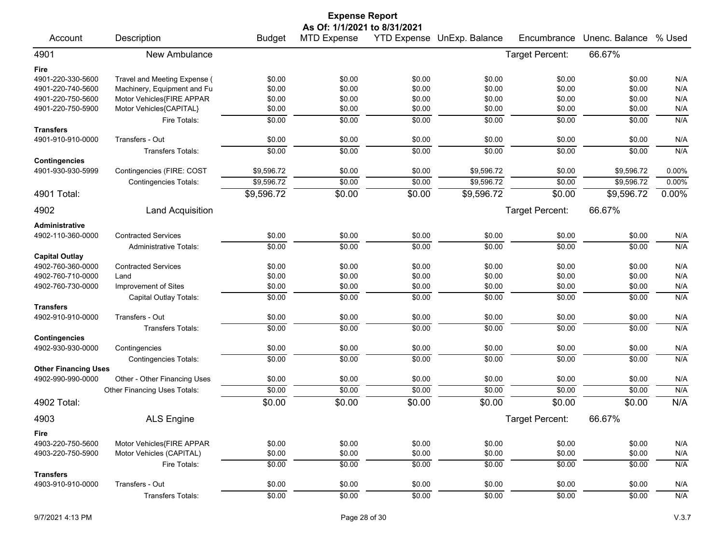|                             |                               |               | <b>Expense Report</b>        |        |                            |                 |                |        |
|-----------------------------|-------------------------------|---------------|------------------------------|--------|----------------------------|-----------------|----------------|--------|
|                             |                               |               | As Of: 1/1/2021 to 8/31/2021 |        |                            |                 |                |        |
| Account                     | Description                   | <b>Budget</b> | <b>MTD Expense</b>           |        | YTD Expense UnExp. Balance | Encumbrance     | Unenc. Balance | % Used |
| 4901                        | New Ambulance                 |               |                              |        |                            | Target Percent: | 66.67%         |        |
| Fire                        |                               |               |                              |        |                            |                 |                |        |
| 4901-220-330-5600           | Travel and Meeting Expense (  | \$0.00        | \$0.00                       | \$0.00 | \$0.00                     | \$0.00          | \$0.00         | N/A    |
| 4901-220-740-5600           | Machinery, Equipment and Fu   | \$0.00        | \$0.00                       | \$0.00 | \$0.00                     | \$0.00          | \$0.00         | N/A    |
| 4901-220-750-5600           | Motor Vehicles{FIRE APPAR     | \$0.00        | \$0.00                       | \$0.00 | \$0.00                     | \$0.00          | \$0.00         | N/A    |
| 4901-220-750-5900           | Motor Vehicles{CAPITAL}       | \$0.00        | \$0.00                       | \$0.00 | \$0.00                     | \$0.00          | \$0.00         | N/A    |
|                             | Fire Totals:                  | \$0.00        | \$0.00                       | \$0.00 | \$0.00                     | \$0.00          | \$0.00         | N/A    |
| <b>Transfers</b>            |                               |               |                              |        |                            |                 |                |        |
| 4901-910-910-0000           | Transfers - Out               | \$0.00        | \$0.00                       | \$0.00 | \$0.00                     | \$0.00          | \$0.00         | N/A    |
|                             | <b>Transfers Totals:</b>      | \$0.00        | \$0.00                       | \$0.00 | \$0.00                     | \$0.00          | \$0.00         | N/A    |
| <b>Contingencies</b>        |                               |               |                              |        |                            |                 |                |        |
| 4901-930-930-5999           | Contingencies (FIRE: COST     | \$9,596.72    | \$0.00                       | \$0.00 | \$9,596.72                 | \$0.00          | \$9,596.72     | 0.00%  |
|                             | Contingencies Totals:         | \$9,596.72    | \$0.00                       | \$0.00 | \$9,596.72                 | \$0.00          | \$9,596.72     | 0.00%  |
| 4901 Total:                 |                               | \$9,596.72    | \$0.00                       | \$0.00 | \$9,596.72                 | \$0.00          | \$9,596.72     | 0.00%  |
| 4902                        | <b>Land Acquisition</b>       |               |                              |        |                            | Target Percent: | 66.67%         |        |
| Administrative              |                               |               |                              |        |                            |                 |                |        |
| 4902-110-360-0000           | <b>Contracted Services</b>    | \$0.00        | \$0.00                       | \$0.00 | \$0.00                     | \$0.00          | \$0.00         | N/A    |
|                             | <b>Administrative Totals:</b> | \$0.00        | \$0.00                       | \$0.00 | \$0.00                     | \$0.00          | \$0.00         | N/A    |
| <b>Capital Outlay</b>       |                               |               |                              |        |                            |                 |                |        |
| 4902-760-360-0000           | <b>Contracted Services</b>    | \$0.00        | \$0.00                       | \$0.00 | \$0.00                     | \$0.00          | \$0.00         | N/A    |
| 4902-760-710-0000           | Land                          | \$0.00        | \$0.00                       | \$0.00 | \$0.00                     | \$0.00          | \$0.00         | N/A    |
| 4902-760-730-0000           | Improvement of Sites          | \$0.00        | \$0.00                       | \$0.00 | \$0.00                     | \$0.00          | \$0.00         | N/A    |
| <b>Transfers</b>            | Capital Outlay Totals:        | \$0.00        | \$0.00                       | \$0.00 | \$0.00                     | \$0.00          | \$0.00         | N/A    |
| 4902-910-910-0000           | Transfers - Out               | \$0.00        | \$0.00                       | \$0.00 | \$0.00                     | \$0.00          | \$0.00         | N/A    |
|                             | Transfers Totals:             | \$0.00        | \$0.00                       | \$0.00 | \$0.00                     | \$0.00          | \$0.00         | N/A    |
| <b>Contingencies</b>        |                               |               |                              |        |                            |                 |                |        |
| 4902-930-930-0000           | Contingencies                 | \$0.00        | \$0.00                       | \$0.00 | \$0.00                     | \$0.00          | \$0.00         | N/A    |
|                             | <b>Contingencies Totals:</b>  | \$0.00        | \$0.00                       | \$0.00 | \$0.00                     | \$0.00          | \$0.00         | N/A    |
| <b>Other Financing Uses</b> |                               |               |                              |        |                            |                 |                |        |
| 4902-990-990-0000           | Other - Other Financing Uses  | \$0.00        | \$0.00                       | \$0.00 | \$0.00                     | \$0.00          | \$0.00         | N/A    |
|                             | Other Financing Uses Totals:  | \$0.00        | \$0.00                       | \$0.00 | \$0.00                     | \$0.00          | \$0.00         | N/A    |
| 4902 Total:                 |                               | \$0.00        | \$0.00                       | \$0.00 | \$0.00                     | \$0.00          | \$0.00         | N/A    |
| 4903                        | <b>ALS Engine</b>             |               |                              |        |                            | Target Percent: | 66.67%         |        |
| Fire                        |                               |               |                              |        |                            |                 |                |        |
| 4903-220-750-5600           | Motor Vehicles{FIRE APPAR     | \$0.00        | \$0.00                       | \$0.00 | \$0.00                     | \$0.00          | \$0.00         | N/A    |
| 4903-220-750-5900           | Motor Vehicles (CAPITAL)      | \$0.00        | \$0.00                       | \$0.00 | \$0.00                     | \$0.00          | \$0.00         | N/A    |
|                             | Fire Totals:                  | \$0.00        | \$0.00                       | \$0.00 | \$0.00                     | \$0.00          | \$0.00         | N/A    |
| <b>Transfers</b>            |                               |               |                              |        |                            |                 |                |        |
| 4903-910-910-0000           | Transfers - Out               | \$0.00        | \$0.00                       | \$0.00 | \$0.00                     | \$0.00          | \$0.00         | N/A    |
|                             | <b>Transfers Totals:</b>      | \$0.00        | \$0.00                       | \$0.00 | \$0.00                     | \$0.00          | \$0.00         | N/A    |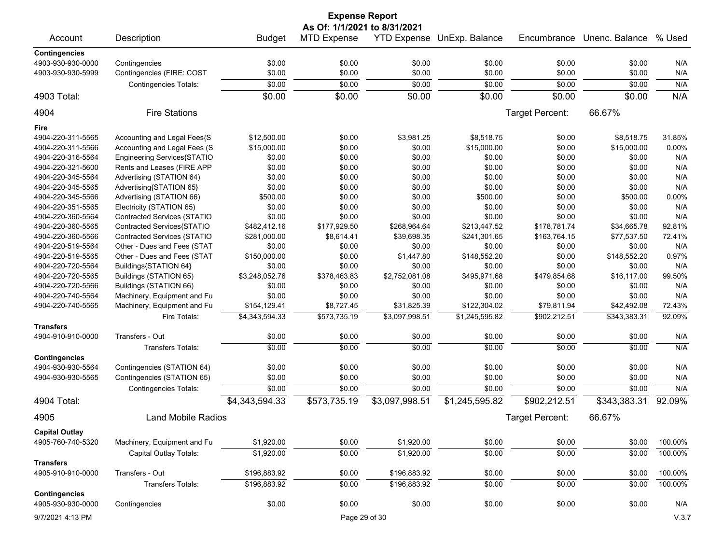|                              |                                    |                | <b>Expense Report</b> |                |                            |                        |                |         |
|------------------------------|------------------------------------|----------------|-----------------------|----------------|----------------------------|------------------------|----------------|---------|
| As Of: 1/1/2021 to 8/31/2021 |                                    |                |                       |                |                            |                        |                |         |
| Account                      | Description                        | <b>Budget</b>  | <b>MTD Expense</b>    |                | YTD Expense UnExp. Balance | Encumbrance            | Unenc. Balance | % Used  |
| <b>Contingencies</b>         |                                    |                |                       |                |                            |                        |                |         |
| 4903-930-930-0000            | Contingencies                      | \$0.00         | \$0.00                | \$0.00         | \$0.00                     | \$0.00                 | \$0.00         | N/A     |
| 4903-930-930-5999            | Contingencies (FIRE: COST          | \$0.00         | \$0.00                | \$0.00         | \$0.00                     | \$0.00                 | \$0.00         | N/A     |
|                              | <b>Contingencies Totals:</b>       | \$0.00         | \$0.00                | \$0.00         | \$0.00                     | \$0.00                 | \$0.00         | N/A     |
| 4903 Total:                  |                                    | \$0.00         | \$0.00                | \$0.00         | \$0.00                     | \$0.00                 | \$0.00         | N/A     |
| 4904                         | <b>Fire Stations</b>               |                |                       |                |                            | Target Percent:        | 66.67%         |         |
| Fire                         |                                    |                |                       |                |                            |                        |                |         |
| 4904-220-311-5565            | Accounting and Legal Fees{S        | \$12,500.00    | \$0.00                | \$3,981.25     | \$8,518.75                 | \$0.00                 | \$8,518.75     | 31.85%  |
| 4904-220-311-5566            | Accounting and Legal Fees (S       | \$15,000.00    | \$0.00                | \$0.00         | \$15,000.00                | \$0.00                 | \$15,000.00    | 0.00%   |
| 4904-220-316-5564            | Engineering Services{STATIO        | \$0.00         | \$0.00                | \$0.00         | \$0.00                     | \$0.00                 | \$0.00         | N/A     |
| 4904-220-321-5600            | Rents and Leases (FIRE APP         | \$0.00         | \$0.00                | \$0.00         | \$0.00                     | \$0.00                 | \$0.00         | N/A     |
|                              |                                    |                |                       |                |                            |                        |                | N/A     |
| 4904-220-345-5564            | Advertising (STATION 64)           | \$0.00         | \$0.00                | \$0.00         | \$0.00                     | \$0.00                 | \$0.00         |         |
| 4904-220-345-5565            | Advertising{STATION 65}            | \$0.00         | \$0.00                | \$0.00         | \$0.00                     | \$0.00                 | \$0.00         | N/A     |
| 4904-220-345-5566            | Advertising (STATION 66)           | \$500.00       | \$0.00                | \$0.00         | \$500.00                   | \$0.00                 | \$500.00       | 0.00%   |
| 4904-220-351-5565            | Electricity (STATION 65)           | \$0.00         | \$0.00                | \$0.00         | \$0.00                     | \$0.00                 | \$0.00         | N/A     |
| 4904-220-360-5564            | Contracted Services (STATIO        | \$0.00         | \$0.00                | \$0.00         | \$0.00                     | \$0.00                 | \$0.00         | N/A     |
| 4904-220-360-5565            | Contracted Services{STATIO         | \$482,412.16   | \$177,929.50          | \$268,964.64   | \$213,447.52               | \$178,781.74           | \$34,665.78    | 92.81%  |
| 4904-220-360-5566            | <b>Contracted Services (STATIO</b> | \$281,000.00   | \$8,614.41            | \$39,698.35    | \$241,301.65               | \$163,764.15           | \$77,537.50    | 72.41%  |
| 4904-220-519-5564            | Other - Dues and Fees (STAT        | \$0.00         | \$0.00                | \$0.00         | \$0.00                     | \$0.00                 | \$0.00         | N/A     |
| 4904-220-519-5565            | Other - Dues and Fees (STAT        | \$150,000.00   | \$0.00                | \$1,447.80     | \$148,552.20               | \$0.00                 | \$148,552.20   | 0.97%   |
| 4904-220-720-5564            | Buildings{STATION 64}              | \$0.00         | \$0.00                | \$0.00         | \$0.00                     | \$0.00                 | \$0.00         | N/A     |
| 4904-220-720-5565            | Buildings (STATION 65)             | \$3,248,052.76 | \$378,463.83          | \$2,752,081.08 | \$495,971.68               | \$479,854.68           | \$16,117.00    | 99.50%  |
| 4904-220-720-5566            | Buildings (STATION 66)             | \$0.00         | \$0.00                | \$0.00         | \$0.00                     | \$0.00                 | \$0.00         | N/A     |
| 4904-220-740-5564            | Machinery, Equipment and Fu        | \$0.00         | \$0.00                | \$0.00         | \$0.00                     | \$0.00                 | \$0.00         | N/A     |
| 4904-220-740-5565            | Machinery, Equipment and Fu        | \$154,129.41   | \$8,727.45            | \$31,825.39    | \$122,304.02               | \$79,811.94            | \$42,492.08    | 72.43%  |
|                              | Fire Totals:                       | \$4,343,594.33 | \$573,735.19          | \$3,097,998.51 | \$1,245,595.82             | \$902,212.51           | \$343,383.31   | 92.09%  |
| <b>Transfers</b>             |                                    |                |                       |                |                            |                        |                |         |
| 4904-910-910-0000            | Transfers - Out                    | \$0.00         | \$0.00                | \$0.00         | \$0.00                     | \$0.00                 | \$0.00         | N/A     |
|                              | Transfers Totals:                  | \$0.00         | \$0.00                | \$0.00         | \$0.00                     | \$0.00                 | \$0.00         | N/A     |
| <b>Contingencies</b>         |                                    |                |                       |                |                            |                        |                |         |
| 4904-930-930-5564            | Contingencies (STATION 64)         | \$0.00         | \$0.00                | \$0.00         | \$0.00                     | \$0.00                 | \$0.00         | N/A     |
| 4904-930-930-5565            | Contingencies (STATION 65)         | \$0.00         | \$0.00                | \$0.00         | \$0.00                     | \$0.00                 | \$0.00         | N/A     |
|                              | <b>Contingencies Totals:</b>       | \$0.00         | \$0.00                | \$0.00         | \$0.00                     | \$0.00                 | \$0.00         | N/A     |
| 4904 Total:                  |                                    | \$4,343,594.33 | \$573,735.19          | \$3,097,998.51 | \$1,245,595.82             | \$902,212.51           | \$343,383.31   | 92.09%  |
| 4905                         | <b>Land Mobile Radios</b>          |                |                       |                |                            | <b>Target Percent:</b> | 66.67%         |         |
| <b>Capital Outlay</b>        |                                    |                |                       |                |                            |                        |                |         |
| 4905-760-740-5320            | Machinery, Equipment and Fu        | \$1,920.00     | \$0.00                | \$1,920.00     | \$0.00                     | \$0.00                 | \$0.00         | 100.00% |
|                              | Capital Outlay Totals:             | \$1,920.00     | \$0.00                | \$1,920.00     | \$0.00                     | \$0.00                 | \$0.00         | 100.00% |
| <b>Transfers</b>             |                                    |                |                       |                |                            |                        |                |         |
| 4905-910-910-0000            | Transfers - Out                    | \$196,883.92   | \$0.00                | \$196,883.92   | \$0.00                     | \$0.00                 | \$0.00         | 100.00% |
|                              | <b>Transfers Totals:</b>           | \$196,883.92   | \$0.00                | \$196,883.92   | \$0.00                     | \$0.00                 | \$0.00         | 100.00% |
| <b>Contingencies</b>         |                                    |                |                       |                |                            |                        |                |         |
| 4905-930-930-0000            | Contingencies                      | \$0.00         | \$0.00                | \$0.00         | \$0.00                     | \$0.00                 | \$0.00         | N/A     |
|                              |                                    |                |                       |                |                            |                        |                |         |
| 9/7/2021 4:13 PM             |                                    |                |                       | Page 29 of 30  |                            |                        |                | V.3.7   |